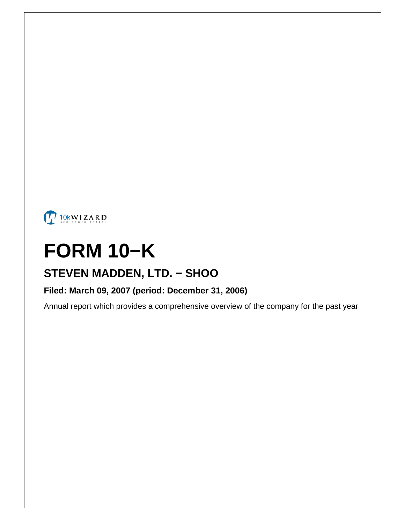

# **FORM 10−K**

# **STEVEN MADDEN, LTD. − SHOO**

# **Filed: March 09, 2007 (period: December 31, 2006)**

Annual report which provides a comprehensive overview of the company for the past year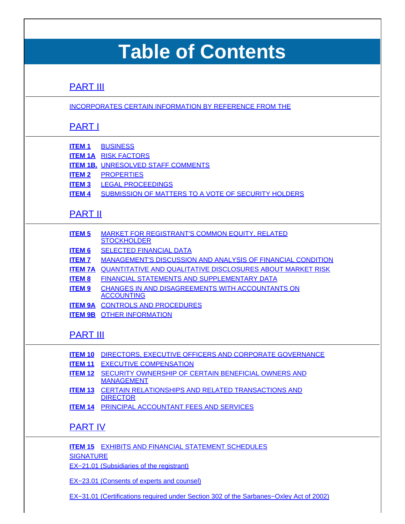| <b>Table of Contents</b>                                                                                       |
|----------------------------------------------------------------------------------------------------------------|
|                                                                                                                |
| <b>PART III</b>                                                                                                |
| <b>INCORPORATES CERTAIN INFORMATION BY REFERENCE FROM THE</b>                                                  |
| <b>PART I</b>                                                                                                  |
| <b>ITEM1</b><br><b>BUSINESS</b>                                                                                |
| <b>ITEM 1A RISK FACTORS</b>                                                                                    |
| <b>ITEM 1B. UNRESOLVED STAFF COMMENTS</b>                                                                      |
| <b>ITEM 2 PROPERTIES</b>                                                                                       |
| <b>LEGAL PROCEEDINGS</b><br><b>ITEM 3</b>                                                                      |
| <b>ITEM 4</b><br><b>SUBMISSION OF MATTERS TO A VOTE OF SECURITY HOLDERS</b>                                    |
| <b>PART II</b>                                                                                                 |
| <b>MARKET FOR REGISTRANT'S COMMON EQUITY, RELATED</b><br><b>ITEM<sub>5</sub></b><br><b>STOCKHOLDER</b>         |
| <b>ITEM 6</b><br><b>SELECTED FINANCIAL DATA</b>                                                                |
| <b>ITEM7</b><br><b>MANAGEMENT'S DISCUSSION AND ANALYSIS OF FINANCIAL CONDITION</b>                             |
| <b>ITEM 7A QUANTITATIVE AND QUALITATIVE DISCLOSURES ABOUT MARKET RISK</b>                                      |
| <b>FINANCIAL STATEMENTS AND SUPPLEMENTARY DATA</b><br><b>ITEM 8</b>                                            |
| <b>CHANGES IN AND DISAGREEMENTS WITH ACCOUNTANTS ON</b><br><b>ITEM 9</b>                                       |
| <b>ACCOUNTING</b><br><b>ITEM 9A CONTROLS AND PROCEDURES</b>                                                    |
| <b>ITEM 9B OTHER INFORMATION</b>                                                                               |
|                                                                                                                |
| <b>PART III</b>                                                                                                |
| <b>ITEM 10 DIRECTORS, EXECUTIVE OFFICERS AND CORPORATE GOVERNANCE</b>                                          |
| <b>ITEM 11 EXECUTIVE COMPENSATION</b><br><b>ITEM 12</b><br>SECURITY OWNERSHIP OF CERTAIN BENEFICIAL OWNERS AND |
| <b>MANAGEMENT</b>                                                                                              |
| CERTAIN RELATIONSHIPS AND RELATED TRANSACTIONS AND<br><b>ITEM 13</b>                                           |
| <b>DIRECTOR</b><br><b>ITEM 14 PRINCIPAL ACCOUNTANT FEES AND SERVICES</b>                                       |
|                                                                                                                |
| <b>PART IV</b>                                                                                                 |
| <b>ITEM 15 EXHIBITS AND FINANCIAL STATEMENT SCHEDULES</b>                                                      |
| <b>SIGNATURE</b><br>EX-21.01 (Subsidiaries of the registrant)                                                  |
|                                                                                                                |
| <b>EX-23.01 (Consents of experts and counsel)</b>                                                              |
| EX-31.01 (Certifications required under Section 302 of the Sarbanes-Oxley Act of 2002)                         |

 $\mathbf I$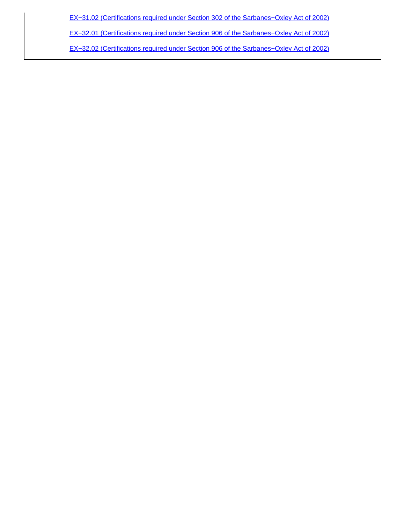[EX−31.02 \(Certifications required under Section 302 of the Sarbanes−Oxley Act of 2002\)](#page-74-0) [EX−32.01 \(Certifications required under Section 906 of the Sarbanes−Oxley Act of 2002\)](#page-75-0) [EX−32.02 \(Certifications required under Section 906 of the Sarbanes−Oxley Act of 2002\)](#page-76-0)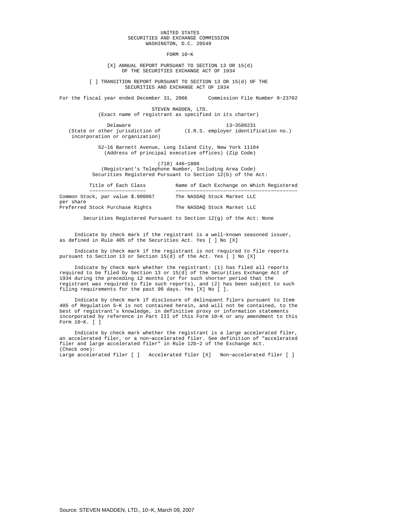#### UNITED STATES SECURITIES AND EXCHANGE COMMISSION WASHINGTON, D.C. 20549

FORM 10−K

# [X] ANNUAL REPORT PURSUANT TO SECTION 13 OR 15(d) OF THE SECURITIES EXCHANGE ACT OF 1934

 [ ] TRANSITION REPORT PURSUANT TO SECTION 13 OR 15(d) OF THE SECURITIES AND EXCHANGE ACT OF 1934

For the fiscal year ended December 31, 2006 Commission File Number 0−23702

STEVEN MADDEN, LTD. (Exact name of registrant as specified in its charter)

incorporation or organization)

Delaware 13−3588231<br>Chate or other jurisdiction of (I.R.S. employer identif (I.R.S. employer identification no.)

> 52−16 Barnett Avenue, Long Island City, New York 11104 (Address of principal executive offices) (Zip Code)

> > (718) 446−1800

 (Registrant's Telephone Number, Including Area Code) Securities Registered Pursuant to Section 12(b) of the Act:

| Title of Each Class               | Name of Each Exchange on Which Registered |
|-----------------------------------|-------------------------------------------|
|                                   |                                           |
| Common Stock, par value \$.000067 | The NASDAO Stock Market LLC               |
| per share                         |                                           |
| Preferred Stock Purchase Rights   | The NASDAO Stock Market LLC               |

Securities Registered Pursuant to Section 12(g) of the Act: None

 Indicate by check mark if the registrant is a well−known seasoned issuer, as defined in Rule 405 of the Securities Act. Yes [ ] No [X]

 Indicate by check mark if the registrant is not required to file reports pursuant to Section 13 or Section 15(d) of the Act. Yes [ ] No [X]

 Indicate by check mark whether the registrant: (1) has filed all reports required to be filed by Section 13 or 15(d) of the Securities Exchange Act of 1934 during the preceding 12 months (or for such shorter period that the registrant was required to file such reports), and (2) has been subject to such filing requirements for the past 90 days. Yes [X] No [ ].

 Indicate by check mark if disclosure of delinquent filers pursuant to Item 405 of Regulation S−K is not contained herein, and will not be contained, to the best of registrant's knowledge, in definitive proxy or information statements incorporated by reference in Part III of this Form 10−K or any amendment to this Form 10−K. [ ]

 Indicate by check mark whether the registrant is a large accelerated filer, an accelerated filer, or a non−accelerated filer. See definition of "accelerated filer and large accelerated filer" in Rule 12b−2 of the Exchange Act. (Check one):

Large accelerated filer [ ] Accelerated filer [X] Non−accelerated filer [ ]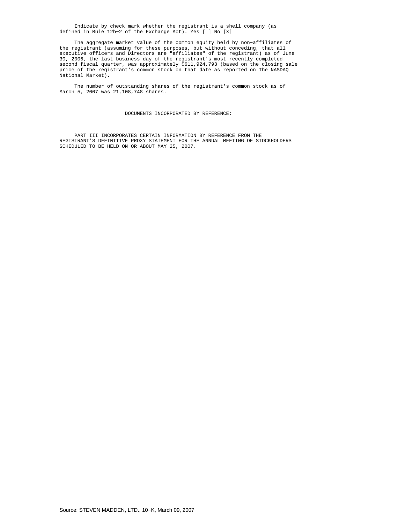Indicate by check mark whether the registrant is a shell company (as defined in Rule 12b−2 of the Exchange Act). Yes [ ] No [X]

 The aggregate market value of the common equity held by non−affiliates of the registrant (assuming for these purposes, but without conceding, that all executive officers and Directors are "affiliates" of the registrant) as of June 30, 2006, the last business day of the registrant's most recently completed second fiscal quarter, was approximately \$611,924,793 (based on the closing sale price of the registrant's common stock on that date as reported on The NASDAQ National Market).

 The number of outstanding shares of the registrant's common stock as of March 5, 2007 was 21,108,748 shares.

DOCUMENTS INCORPORATED BY REFERENCE:

<span id="page-4-0"></span> PART III INCORPORATES CERTAIN INFORMATION BY REFERENCE FROM THE REGISTRANT'S DEFINITIVE PROXY STATEMENT FOR THE ANNUAL MEETING OF STOCKHOLDERS SCHEDULED TO BE HELD ON OR ABOUT MAY 25, 2007.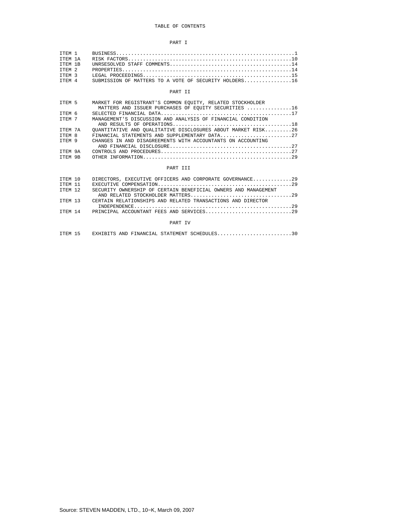# TABLE OF CONTENTS

# PART I

|  | ITEM 4 SUBMISSION OF MATTERS TO A VOTE OF SECURITY HOLDERS16 |
|--|--------------------------------------------------------------|

# PART II

| ITEM 5  | MARKET FOR REGISTRANT'S COMMON EOUITY, RELATED STOCKHOLDER<br>MATTERS AND ISSUER PURCHASES OF EOUITY SECURITIES 16 |
|---------|--------------------------------------------------------------------------------------------------------------------|
| ITEM 6  |                                                                                                                    |
| ITEM 7  | MANAGEMENT'S DISCUSSION AND ANALYSIS OF FINANCIAL CONDITION                                                        |
|         |                                                                                                                    |
| ITEM 7A | OUANTITATIVE AND OUALITATIVE DISCLOSURES ABOUT MARKET RISK26                                                       |
| TTEM 8  | FINANCIAL STATEMENTS AND SUPPLEMENTARY DATA27                                                                      |
| TTEM 9  | CHANGES IN AND DISAGREEMENTS WITH ACCOUNTANTS ON ACCOUNTING                                                        |
|         |                                                                                                                    |
| TTEM 9A |                                                                                                                    |
| TTEM 9R |                                                                                                                    |

# PART III

| TTEM 10<br>TTEM 11 | DIRECTORS, EXECUTIVE OFFICERS AND CORPORATE GOVERNANCE29       |
|--------------------|----------------------------------------------------------------|
| TTEM 12            | SECURITY OWNERSHIP OF CERTAIN BENEFICIAL OWNERS AND MANAGEMENT |
|                    |                                                                |
| TTEM 13            | CERTAIN RELATIONSHIPS AND RELATED TRANSACTIONS AND DIRECTOR    |
| TTEM 14            |                                                                |
|                    | PART TV                                                        |

| ITEM 15 |  |  |  |  | EXHIBITS AND FINANCIAL STATEMENT SCHEDULES30 |  |
|---------|--|--|--|--|----------------------------------------------|--|
|---------|--|--|--|--|----------------------------------------------|--|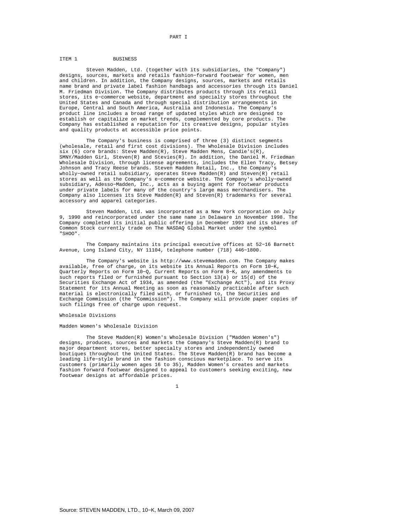#### PART I

#### <span id="page-6-1"></span><span id="page-6-0"></span>ITEM 1 BUSINESS

 Steven Madden, Ltd. (together with its subsidiaries, the "Company") designs, sources, markets and retails fashion−forward footwear for women, men and children. In addition, the Company designs, sources, markets and retails name brand and private label fashion handbags and accessories through its Daniel M. Friedman Division. The Company distributes products through its retail stores, its e−commerce website, department and specialty stores throughout the United States and Canada and through special distribution arrangements in Europe, Central and South America, Australia and Indonesia. The Company's product line includes a broad range of updated styles which are designed to establish or capitalize on market trends, complemented by core products. The Company has established a reputation for its creative designs, popular styles and quality products at accessible price points.

 The Company's business is comprised of three (3) distinct segments (wholesale, retail and first cost divisions). The Wholesale Division includes six (6) core brands: Steve Madden(R), Steve Madden Mens, Candie's(R), SMNY/Madden Girl, Steven(R) and Stevies(R). In addition, the Daniel M. Friedman Wholesale Division, through license agreements, includes the Ellen Tracy, Betsey Johnson and Tracy Reese brands. Steven Madden Retail, Inc., the Company's wholly−owned retail subsidiary, operates Steve Madden(R) and Steven(R) retail stores as well as the Company's e−commerce website. The Company's wholly−owned subsidiary, Adesso−Madden, Inc., acts as a buying agent for footwear products under private labels for many of the country's large mass merchandisers. The Company also licenses its Steve Madden(R) and Steven(R) trademarks for several accessory and apparel categories.

 Steven Madden, Ltd. was incorporated as a New York corporation on July 9, 1990 and reincorporated under the same name in Delaware in November 1998. The Company completed its initial public offering in December 1993 and its shares of Common Stock currently trade on The NASDAQ Global Market under the symbol "SHOO".

 The Company maintains its principal executive offices at 52−16 Barnett Avenue, Long Island City, NY 11104, telephone number (718) 446−1800.

 The Company's website is http://www.stevemadden.com. The Company makes available, free of charge, on its website its Annual Reports on Form 10−K, Quarterly Reports on Form 10−Q, Current Reports on Form 8−K, any amendments to such reports filed or furnished pursuant to Section 13(a) or 15(d) of the Securities Exchange Act of 1934, as amended (the "Exchange Act"), and its Proxy Statement for its Annual Meeting as soon as reasonably practicable after such material is electronically filed with, or furnished to, the Securities and Exchange Commission (the "Commission"). The Company will provide paper copies of such filings free of charge upon request.

Wholesale Divisions

Madden Women's Wholesale Division

 The Steve Madden(R) Women's Wholesale Division ("Madden Women's") designs, produces, sources and markets the Company's Steve Madden(R) brand to major department stores, better specialty stores and independently owned boutiques throughout the United States. The Steve Madden(R) brand has become a leading life−style brand in the fashion conscious marketplace. To serve its customers (primarily women ages 16 to 35), Madden Women's creates and markets fashion forward footwear designed to appeal to customers seeking exciting, new footwear designs at affordable prices.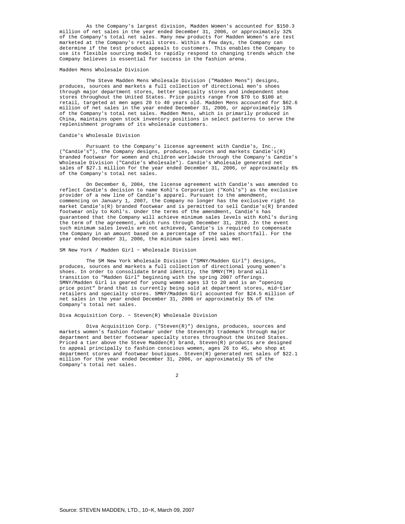As the Company's largest division, Madden Women's accounted for \$150.3 million of net sales in the year ended December 31, 2006, or approximately 32% of the Company's total net sales. Many new products for Madden Women's are test marketed at the Company's retail stores. Within a few days, the Company can determine if the test product appeals to customers. This enables the Company to use its flexible sourcing model to rapidly respond to changing trends which the Company believes is essential for success in the fashion arena.

#### Madden Mens Wholesale Division

 The Steve Madden Mens Wholesale Division ("Madden Mens") designs, produces, sources and markets a full collection of directional men's shoes through major department stores, better specialty stores and independent shoe stores throughout the United States. Price points range from \$70 to \$100 at retail, targeted at men ages 20 to 40 years old. Madden Mens accounted for \$62.6 million of net sales in the year ended December 31, 2006, or approximately 13% of the Company's total net sales. Madden Mens, which is primarily produced in China, maintains open stock inventory positions in select patterns to serve the replenishment programs of its wholesale customers.

# Candie's Wholesale Division

 Pursuant to the Company's license agreement with Candie's, Inc., ("Candie's"), the Company designs, produces, sources and markets Candie's(R) branded footwear for women and children worldwide through the Company's Candie's Wholesale Division ("Candie's Wholesale"). Candie's Wholesale generated net sales of \$27.1 million for the year ended December 31, 2006, or approximately 6% of the Company's total net sales.

 On December 6, 2004, the license agreement with Candie's was amended to reflect Candie's decision to name Kohl's Corporation ("Kohl's") as the exclusive provider of a new line of Candie's apparel. Pursuant to the amendment, commencing on January 1, 2007, the Company no longer has the exclusive right to market Candie's(R) branded footwear and is permitted to sell Candie's(R) branded footwear only to Kohl's. Under the terms of the amendment, Candie's has guaranteed that the Company will achieve minimum sales levels with Kohl's during the term of the agreement, which runs through December 31, 2010. In the event such minimum sales levels are not achieved, Candie's is required to compensate the Company in an amount based on a percentage of the sales shortfall. For the year ended December 31, 2006, the minimum sales level was met.

SM New York / Madden Girl − Wholesale Division

 The SM New York Wholesale Division ("SMNY/Madden Girl") designs, produces, sources and markets a full collection of directional young women's shoes. In order to consolidate brand identity, the SMNY(TM) brand will transition to "Madden Girl" beginning with the spring 2007 offerings. SMNY/Madden Girl is geared for young women ages 13 to 20 and is an "opening price point" brand that is currently being sold at department stores, mid−tier retailers and specialty stores. SMNY/Madden Girl accounted for \$24.5 million of net sales in the year ended December 31, 2006 or approximately 5% of the Company's total net sales.

#### Diva Acquisition Corp. − Steven(R) Wholesale Division

 Diva Acquisition Corp. ("Steven(R)") designs, produces, sources and markets women's fashion footwear under the Steven(R) trademark through major department and better footwear specialty stores throughout the United States. Priced a tier above the Steve Madden(R) brand, Steven(R) products are designed to appeal principally to fashion conscious women, ages 26 to 45, who shop at department stores and footwear boutiques. Steven(R) generated net sales of \$22.1 million for the year ended December 31, 2006, or approximately 5% of the Company's total net sales.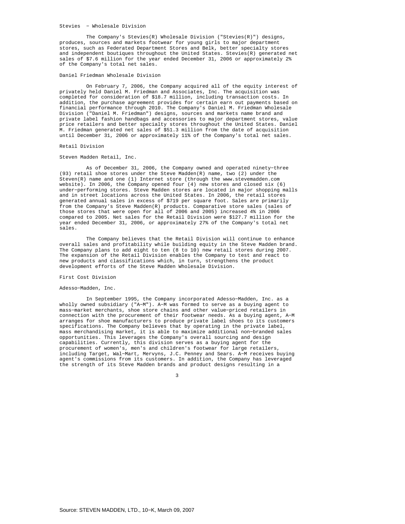#### Stevies − Wholesale Division

 The Company's Stevies(R) Wholesale Division ("Stevies(R)") designs, produces, sources and markets footwear for young girls to major department stores, such as Federated Department Stores and Belk, better specialty stores and independent boutiques throughout the United States. Stevies(R) generated net sales of \$7.6 million for the year ended December 31, 2006 or approximately 2% of the Company's total net sales.

Daniel Friedman Wholesale Division

 On February 7, 2006, the Company acquired all of the equity interest of privately held Daniel M. Friedman and Associates, Inc. The acquisition was completed for consideration of \$18.7 million, including transaction costs. In addition, the purchase agreement provides for certain earn out payments based on financial performance through 2010. The Company's Daniel M. Friedman Wholesale Division ("Daniel M. Friedman") designs, sources and markets name brand and private label fashion handbags and accessories to major department stores, value price retailers and better specialty stores throughout the United States. Daniel M. Friedman generated net sales of \$51.3 million from the date of acquisition until December 31, 2006 or approximately 11% of the Company's total net sales.

#### Retail Division

Steven Madden Retail, Inc.

 As of December 31, 2006, the Company owned and operated ninety−three (93) retail shoe stores under the Steve Madden $(R)$  name, two (2) under the Steven(R) name and one (1) Internet store (through the www.stevemadden.com website). In 2006, the Company opened four (4) new stores and closed six (6) under−performing stores. Steve Madden stores are located in major shopping malls and in street locations across the United States. In 2006, the retail stores generated annual sales in excess of \$719 per square foot. Sales are primarily from the Company's Steve Madden(R) products. Comparative store sales (sales of those stores that were open for all of 2006 and 2005) increased 4% in 2006 compared to 2005. Net sales for the Retail Division were \$127.7 million for the year ended December 31, 2006, or approximately 27% of the Company's total net sales.

 The Company believes that the Retail Division will continue to enhance overall sales and profitability while building equity in the Steve Madden brand. The Company plans to add eight to ten (8 to 10) new retail stores during 2007. The expansion of the Retail Division enables the Company to test and react to new products and classifications which, in turn, strengthens the product development efforts of the Steve Madden Wholesale Division.

#### First Cost Division

#### Adesso−Madden, Inc.

 In September 1995, the Company incorporated Adesso−Madden, Inc. as a wholly owned subsidiary ("A−M"). A−M was formed to serve as a buying agent to mass−market merchants, shoe store chains and other value−priced retailers in connection with the procurement of their footwear needs. As a buying agent, A−M arranges for shoe manufacturers to produce private label shoes to its customers specifications. The Company believes that by operating in the private label, mass merchandising market, it is able to maximize additional non−branded sales opportunities. This leverages the Company's overall sourcing and design capabilities. Currently, this division serves as a buying agent for the procurement of women's, men's and children's footwear for large retailers, including Target, Wal−Mart, Mervyns, J.C. Penney and Sears. A−M receives buying agent's commissions from its customers. In addition, the Company has leveraged the strength of its Steve Madden brands and product designs resulting in a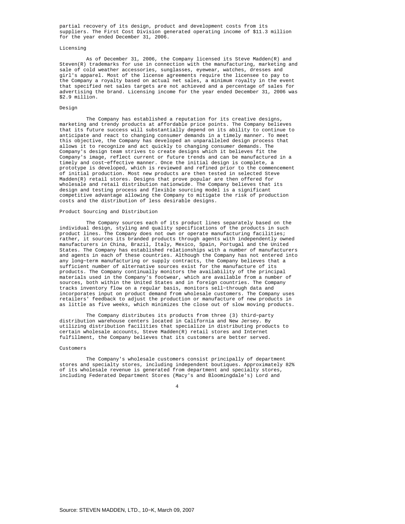partial recovery of its design, product and development costs from its suppliers. The First Cost Division generated operating income of \$11.3 million for the year ended December 31, 2006.

#### Licensing

 As of December 31, 2006, the Company licensed its Steve Madden(R) and Steven(R) trademarks for use in connection with the manufacturing, marketing and sale of cold weather accessories, sunglasses, eyewear, watches, dresses and girl's apparel. Most of the license agreements require the licensee to pay to the Company a royalty based on actual net sales, a minimum royalty in the event that specified net sales targets are not achieved and a percentage of sales for advertising the brand. Licensing income for the year ended December 31, 2006 was \$2.9 million.

# Design

 The Company has established a reputation for its creative designs, marketing and trendy products at affordable price points. The Company believes that its future success will substantially depend on its ability to continue to anticipate and react to changing consumer demands in a timely manner. To meet this objective, the Company has developed an unparalleled design process that allows it to recognize and act quickly to changing consumer demands. The Company's design team strives to create designs which it believes fit the Company's image, reflect current or future trends and can be manufactured in a timely and cost−effective manner. Once the initial design is complete, a prototype is developed, which is reviewed and refined prior to the commencement of initial production. Most new products are then tested in selected Steve Madden(R) retail stores. Designs that prove popular are then offered for wholesale and retail distribution nationwide. The Company believes that its design and testing process and flexible sourcing model is a significant competitive advantage allowing the Company to mitigate the risk of production costs and the distribution of less desirable designs.

# Product Sourcing and Distribution

 The Company sources each of its product lines separately based on the individual design, styling and quality specifications of the products in such product lines. The Company does not own or operate manufacturing facilities; rather, it sources its branded products through agents with independently owned manufacturers in China, Brazil, Italy, Mexico, Spain, Portugal and the United States. The Company has established relationships with a number of manufacturers and agents in each of these countries. Although the Company has not entered into any long−term manufacturing or supply contracts, the Company believes that a sufficient number of alternative sources exist for the manufacture of its products. The Company continually monitors the availability of the principal materials used in the Company's footwear, which are available from a number of sources, both within the United States and in foreign countries. The Company tracks inventory flow on a regular basis, monitors sell−through data and incorporates input on product demand from wholesale customers. The Company uses retailers' feedback to adjust the production or manufacture of new products in as little as five weeks, which minimizes the close out of slow moving products.

 The Company distributes its products from three (3) third−party distribution warehouse centers located in California and New Jersey. By utilizing distribution facilities that specialize in distributing products to certain wholesale accounts, Steve Madden(R) retail stores and Internet fulfillment, the Company believes that its customers are better served.

#### Customers

 The Company's wholesale customers consist principally of department stores and specialty stores, including independent boutiques. Approximately 82% of its wholesale revenue is generated from department and specialty stores, including Federated Department Stores (Macy's and Bloomingdale's) Lord and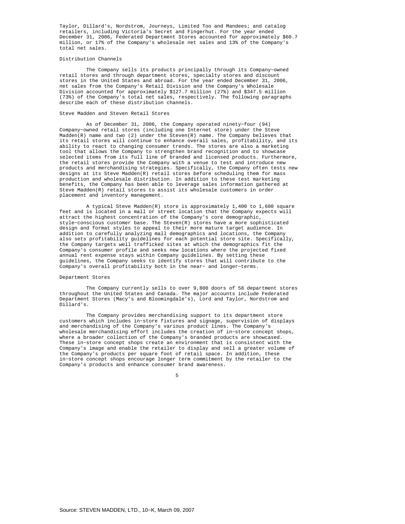Taylor, Dillard's, Nordstrom, Journeys, Limited Too and Mandees; and catalog retailers, including Victoria's Secret and Fingerhut. For the year ended December 31, 2006, Federated Department Stores accounted for approximately \$60.7 million, or 17% of the Company's wholesale net sales and 13% of the Company's total net sales.

#### Distribution Channels

 The Company sells its products principally through its Company−owned retail stores and through department stores, specialty stores and discount stores in the United States and abroad. For the year ended December 31, 2006, net sales from the Company's Retail Division and the Company's Wholesale Division accounted for approximately \$127.7 million (27%) and \$347.5 million (73%) of the Company's total net sales, respectively. The following paragraphs describe each of these distribution channels.

#### Steve Madden and Steven Retail Stores

 As of December 31, 2006, the Company operated ninety−four (94) Company−owned retail stores (including one Internet store) under the Steve Madden(R) name and two (2) under the Steven(R) name. The Company believes that its retail stores will continue to enhance overall sales, profitability, and its ability to react to changing consumer trends. The stores are also a marketing tool that allows the Company to strengthen brand recognition and to showcase selected items from its full line of branded and licensed products. Furthermore, the retail stores provide the Company with a venue to test and introduce new products and merchandising strategies. Specifically, the Company often tests new designs at its Steve Madden(R) retail stores before scheduling them for mass production and wholesale distribution. In addition to these test marketing benefits, the Company has been able to leverage sales information gathered at Steve Madden(R) retail stores to assist its wholesale customers in order placement and inventory management.

A typical Steve Madden(R) store is approximately  $1,400$  to  $1,600$  square feet and is located in a mall or street location that the Company expects will attract the highest concentration of the Company's core demographic, style−conscious customer base. The Steven(R) stores have a more sophisticated design and format styles to appeal to their more mature target audience. In addition to carefully analyzing mall demographics and locations, the Company also sets profitability guidelines for each potential store site. Specifically, the Company targets well trafficked sites at which the demographics fit the Company's consumer profile and seeks new locations where the projected fixed annual rent expense stays within Company guidelines. By setting these guidelines, the Company seeks to identify stores that will contribute to the Company's overall profitability both in the near− and longer−terms.

# Department Stores

 The Company currently sells to over 9,800 doors of 58 department stores throughout the United States and Canada. The major accounts include Federated Department Stores (Macy's and Bloomingdale's), Lord and Taylor, Nordstrom and Dillard's.

 The Company provides merchandising support to its department store customers which includes in−store fixtures and signage, supervision of displays and merchandising of the Company's various product lines. The Company's wholesale merchandising effort includes the creation of in−store concept shops, where a broader collection of the Company's branded products are showcased. These in−store concept shops create an environment that is consistent with the Company's image and enable the retailer to display and sell a greater volume of the Company's products per square foot of retail space. In addition, these in−store concept shops encourage longer term commitment by the retailer to the Company's products and enhance consumer brand awareness.

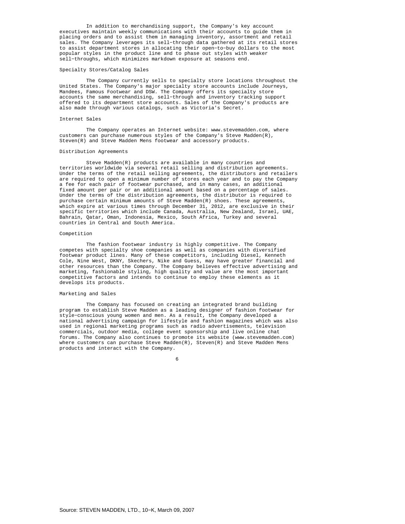In addition to merchandising support, the Company's key account executives maintain weekly communications with their accounts to guide them in placing orders and to assist them in managing inventory, assortment and retail sales. The Company leverages its sell−through data gathered at its retail stores to assist department stores in allocating their open−to−buy dollars to the most popular styles in the product line and to phase out styles with weaker sell−throughs, which minimizes markdown exposure at seasons end.

#### Specialty Stores/Catalog Sales

 The Company currently sells to specialty store locations throughout the United States. The Company's major specialty store accounts include Journeys, Mandees, Famous Footwear and DSW. The Company offers its specialty store accounts the same merchandising, sell−through and inventory tracking support offered to its department store accounts. Sales of the Company's products are also made through various catalogs, such as Victoria's Secret.

### Internet Sales

 The Company operates an Internet website: www.stevemadden.com, where customers can purchase numerous styles of the Company's Steve Madden(R), Steven(R) and Steve Madden Mens footwear and accessory products.

#### Distribution Agreements

 Steve Madden(R) products are available in many countries and territories worldwide via several retail selling and distribution agreements. Under the terms of the retail selling agreements, the distributors and retailers are required to open a minimum number of stores each year and to pay the Company a fee for each pair of footwear purchased, and in many cases, an additional fixed amount per pair or an additional amount based on a percentage of sales. Under the terms of the distribution agreements, the distributor is required to purchase certain minimum amounts of Steve Madden(R) shoes. These agreements, which expire at various times through December 31, 2012, are exclusive in their specific territories which include Canada, Australia, New Zealand, Israel, UAE, Bahrain, Qatar, Oman, Indonesia, Mexico, South Africa, Turkey and several countries in Central and South America.

#### Competition

 The fashion footwear industry is highly competitive. The Company competes with specialty shoe companies as well as companies with diversified footwear product lines. Many of these competitors, including Diesel, Kenneth Cole, Nine West, DKNY, Skechers, Nike and Guess, may have greater financial and other resources than the Company. The Company believes effective advertising and marketing, fashionable styling, high quality and value are the most important competitive factors and intends to continue to employ these elements as it develops its products.

# Marketing and Sales

 The Company has focused on creating an integrated brand building program to establish Steve Madden as a leading designer of fashion footwear for style−conscious young women and men. As a result, the Company developed a national advertising campaign for lifestyle and fashion magazines which was also used in regional marketing programs such as radio advertisements, television commercials, outdoor media, college event sponsorship and live online chat forums. The Company also continues to promote its website (www.stevemadden.com) where customers can purchase Steve Madden(R), Steven(R) and Steve Madden Mens products and interact with the Company.

#### $\sim$  6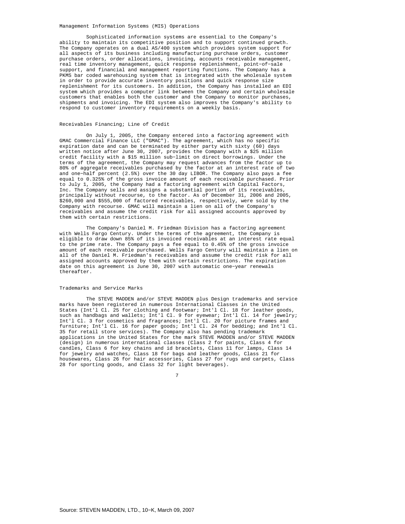#### Management Information Systems (MIS) Operations

 Sophisticated information systems are essential to the Company's ability to maintain its competitive position and to support continued growth. The Company operates on a dual AS/400 system which provides system support for all aspects of its business including manufacturing purchase orders, customer purchase orders, order allocations, invoicing, accounts receivable management, real time inventory management, quick response replenishment, point−of−sale support, and financial and management reporting functions. The Company has a PKMS bar coded warehousing system that is integrated with the wholesale system in order to provide accurate inventory positions and quick response size replenishment for its customers. In addition, the Company has installed an EDI system which provides a computer link between the Company and certain wholesale customers that enables both the customer and the Company to monitor purchases, shipments and invoicing. The EDI system also improves the Company's ability to respond to customer inventory requirements on a weekly basis.

# Receivables Financing; Line of Credit

 On July 1, 2005, the Company entered into a factoring agreement with GMAC Commercial Finance LLC ("GMAC"). The agreement, which has no specific expiration date and can be terminated by either party with sixty (60) days written notice after June 30, 2007, provides the Company with a \$25 million credit facility with a \$15 million sub−limit on direct borrowings. Under the terms of the agreement, the Company may request advances from the factor up to 80% of aggregate receivables purchased by the factor at an interest rate of two and one−half percent (2.5%) over the 30 day LIBOR. The Company also pays a fee equal to 0.325% of the gross invoice amount of each receivable purchased. Prior to July 1, 2005, the Company had a factoring agreement with Capital Factors, Inc. The Company sells and assigns a substantial portion of its receivables, principally without recourse, to the factor. As of December 31, 2006 and 2005, \$260,000 and \$555,000 of factored receivables, respectively, were sold by the Company with recourse. GMAC will maintain a lien on all of the Company's receivables and assume the credit risk for all assigned accounts approved by them with certain restrictions.

 The Company's Daniel M. Friedman Division has a factoring agreement with Wells Fargo Century. Under the terms of the agreement, the Company is eligible to draw down 85% of its invoiced receivables at an interest rate equal to the prime rate. The Company pays a fee equal to 0.45% of the gross invoice amount of each receivable purchased. Wells Fargo Century will maintain a lien on all of the Daniel M. Friedman's receivables and assume the credit risk for all assigned accounts approved by them with certain restrictions. The expiration date on this agreement is June 30, 2007 with automatic one−year renewals thereafter.

#### Trademarks and Service Marks

 The STEVE MADDEN and/or STEVE MADDEN plus Design trademarks and service marks have been registered in numerous International Classes in the United States (Int'l Cl. 25 for clothing and footwear; Int'l Cl. 18 for leather goods, such as handbags and wallets; Int'l Cl. 9 for eyewear; Int'l Cl. 14 for jewelry; Int'l Cl. 3 for cosmetics and fragrances; Int'l Cl. 20 for picture frames and furniture; Int'l Cl. 16 for paper goods; Int'l Cl. 24 for bedding; and Int'l Cl. 35 for retail store services). The Company also has pending trademark applications in the United States for the mark STEVE MADDEN and/or STEVE MADDEN (design) in numerous international classes (Class 2 for paints, Class 4 for candles, Class 6 for key chains and id bracelets, Class 11 for lamps, Class 14 for jewelry and watches, Class 18 for bags and leather goods, Class 21 for housewares, Class 26 for hair accessories, Class 27 for rugs and carpets, Class 28 for sporting goods, and Class 32 for light beverages).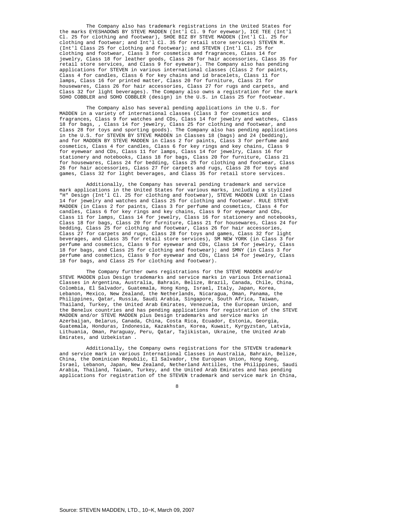The Company also has trademark registrations in the United States for the marks EYESHADOWS BY STEVE MADDEN (Int'l Cl. 9 for eyewear), ICE TEE (Int'l Cl. 25 for clothing and footwear), SHOE BIZ BY STEVE MADDEN (Int'l Cl. 25 for clothing and footwear; and Int'l Cl. 35 for retail store services) STEVEN M. (Int'l Class 25 for clothing and footwear); and STEVEN (Int'l Cl. 25 for clothing and footwear, Class 3 for cosmetics and fragrances, Class 14 for jewelry, Class 18 for leather goods, Class 26 for hair accessories, Class 35 for retail store services, and Class 9 for eyewear). The Company also has pending applications for STEVEN in various international classes (Class 2 for paints, Class 4 for candles, Class 6 for key chains and id bracelets, Class 11 for lamps, Class 16 for printed matter, Class 20 for furniture, Class 21 for housewares, Class 26 for hair accessories, Class 27 for rugs and carpets, and Class 32 for light beverages). The Company also owns a registration for the mark SOHO COBBLER and SOHO COBBLER (design) in the U.S. in Class 25 for footwear.

 The Company also has several pending applications in the U.S. for MADDEN in a variety of international classes (Class 3 for cosmetics and fragrances, Class 9 for watches and CDs, Class 14 for jewelry and watches, Class 18 for bags, , Class 14 for jewelry, Class 25 for clothing and footwear, and Class 28 for toys and sporting goods). The Company also has pending applications in the U.S. for STEVEN BY STEVE MADDEN in Classes 18 (bags) and 24 (bedding), and for MADDEN BY STEVE MADDEN in Class 2 for paints, Class 3 for perfume and cosmetics, Class 4 for candles, Class 6 for key rings and key chains, Class 9 for eyewear and CDs, Class 11 for lamps, Class 14 for jewelry, Class 16 for stationery and notebooks, Class 18 for bags, Class 20 for furniture, Class 21 for housewares, Class 24 for bedding, Class 25 for clothing and footwear, Class 26 for hair accessories, Class 27 for carpets and rugs, Class 28 for toys and games, Class 32 for light beverages, and Class 35 for retail store services.

 Additionally, the Company has several pending trademark and service mark applications in the United States for various marks, including a stylized "H" Design (Int'l Cl. 25 for clothing and footwear), STEVE MADDEN LUXE in Class 14 for jewelry and watches and Class 25 for clothing and footwear. RULE STEVE MADDEN (in Class 2 for paints, Class 3 for perfume and cosmetics, Class 4 for candles, Class 6 for key rings and key chains, Class 9 for eyewear and CDs, Class 11 for lamps, Class 14 for jewelry, Class 16 for stationery and notebooks, Class 18 for bags, Class 20 for furniture, Class 21 for housewares, Class 24 for bedding, Class 25 for clothing and footwear, Class 26 for hair accessories, Class 27 for carpets and rugs, Class 28 for toys and games, Class 32 for light beverages, and Class 35 for retail store services), SM NEW YORK (in Class 3 for perfume and cosmetics, Class 9 for eyewear and CDs, Class 14 for jewelry, Class 18 for bags, and Class 25 for clothing and footwear); and SMNY (in Class 3 for perfume and cosmetics, Class 9 for eyewear and CDs, Class 14 for jewelry, Class 18 for bags, and Class 25 for clothing and footwear).

 The Company further owns registrations for the STEVE MADDEN and/or STEVE MADDEN plus Design trademarks and service marks in various International Classes in Argentina, Australia, Bahrain, Belize, Brazil, Canada, Chile, China, Colombia, El Salvador, Guatemala, Hong Kong, Israel, Italy, Japan, Korea, Lebanon, Mexico, New Zealand, the Netherlands, Nicaragua, Oman, Panama, the Philippines, Qatar, Russia, Saudi Arabia, Singapore, South Africa, Taiwan, Thailand, Turkey, the United Arab Emirates, Venezuela, the European Union, and the Benelux countries and has pending applications for registration of the STEVE MADDEN and/or STEVE MADDEN plus Design trademarks and service marks in Azerbaijan, Belarus, Canada, China, Costa Rica, Ecuador, Estonia, Georgia, Guatemala, Honduras, Indonesia, Kazakhstan, Korea, Kuwait, Kyrgyzstan, Latvia, Lithuania, Oman, Paraguay, Peru, Qatar, Tajikistan, Ukraine, the United Arab Emirates, and Uzbekistan .

 Additionally, the Company owns registrations for the STEVEN trademark and service mark in various International Classes in Australia, Bahrain, Belize, China, the Dominican Republic, El Salvador, the European Union, Hong Kong, Israel, Lebanon, Japan, New Zealand, Netherland Antilles, the Philippines, Saudi Arabia, Thailand, Taiwan, Turkey, and the United Arab Emirates and has pending applications for registration of the STEVEN trademark and service mark in China,

en andere andere andere andere andere andere andere andere andere andere andere andere andere andere andere a<br>Bestehende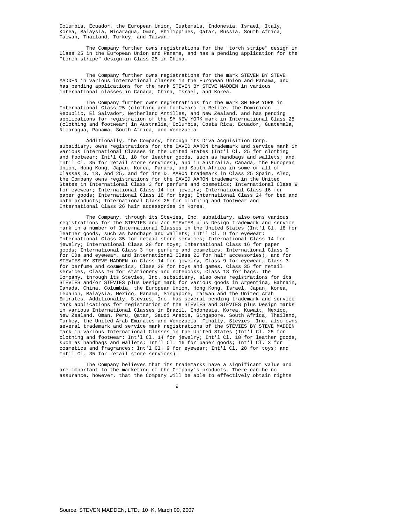Columbia, Ecuador, the European Union, Guatemala, Indonesia, Israel, Italy, Korea, Malaysia, Nicaragua, Oman, Philippines, Qatar, Russia, South Africa, Taiwan, Thailand, Turkey, and Taiwan.

 The Company further owns registrations for the "torch stripe" design in Class 25 in the European Union and Panama, and has a pending application for the "torch stripe" design in Class 25 in China.

 The Company further owns registrations for the mark STEVEN BY STEVE MADDEN in various international classes in the European Union and Panama, and has pending applications for the mark STEVEN BY STEVE MADDEN in various international classes in Canada, China, Israel, and Korea.

 The Company further owns registrations for the mark SM NEW YORK in International Class 25 (clothing and footwear) in Belize, the Dominican Republic, El Salvador, Netherland Antilles, and New Zealand, and has pending applications for registration of the SM NEW YORK mark in International Class 25 (clothing and footwear) in Australia, Columbia, Costa Rica, Ecuador, Guatemala, Nicaragua, Panama, South Africa, and Venezuela.

 Additionally, the Company, through its Diva Acquisition Corp. subsidiary, owns registrations for the DAVID AARON trademark and service mark in various International Classes in the United States (Int'l Cl. 25 for clothing and footwear; Int'l Cl. 18 for leather goods, such as handbags and wallets; and Int'l Cl. 35 for retail store services), and in Australia, Canada, the European Union, Hong Kong, Japan, Korea, Panama, and South Africa in some or all of Classes 3, 18, and 25, and for its D. AARON trademark in Class 25 Spain. Also, the Company owns registrations for the DAVID AARON trademark in the United States in International Class 3 for perfume and cosmetics; International Class 9 for eyewear; International Class 14 for jewelry; International Class 16 for paper goods; International Class 18 for bags; International Class 24 for bed and bath products; International Class 25 for clothing and footwear and International Class 26 hair accessories in Korea.

 The Company, through its Stevies, Inc. subsidiary, also owns various registrations for the STEVIES and /or STEVIES plus Design trademark and service mark in a number of International Classes in the United States (Int'l Cl. 18 for leather goods, such as handbags and wallets; Int'l Cl. 9 for eyewear; International Class 35 for retail store services; International Class 14 for jewelry; International Class 28 for toys; International Class 16 for paper goods; International Class 3 for perfume and cosmetics, International Class 9 for CDs and eyewear, and International Class 26 for hair accessories), and for STEVIES BY STEVE MADDEN in Class 14 for jewelry, Class 9 for eyewear, Class 3 for perfume and cosmetics, Class 28 for toys and games, Class 35 for retail services, Class 16 for stationery and notebooks, Class 18 for bags. The Company, through its Stevies, Inc. subsidiary, also owns registrations for its STEVIES and/or STEVIES plus Design mark for various goods in Argentina, Bahrain, Canada, China, Columbia, the European Union, Hong Kong, Israel, Japan, Korea, Lebanon, Malaysia, Mexico, Panama, Singapore, Taiwan and the United Arab Emirates. Additionally, Stevies, Inc. has several pending trademark and service mark applications for registration of the STEVIES and STEVIES plus Design marks in various International Classes in Brazil, Indonesia, Korea, Kuwait, Mexico, New Zealand, Oman, Peru, Qatar, Saudi Arabia, Singapore, South Africa, Thailand, Turkey, the United Arab Emirates and Venezuela. Finally, Stevies, Inc. also owns several trademark and service mark registrations of the STEVIES BY STEVE MADDEN mark in various International Classes in the United States (Int'l Cl. 25 for clothing and footwear; Int'l Cl. 14 for jewelry; Int'l Cl. 18 for leather goods, such as handbags and wallets; Int'l Cl. 16 for paper goods; Int'l Cl. 3 for cosmetics and fragrances; Int'l Cl. 9 for eyewear; Int'l Cl. 28 for toys; and Int'l Cl. 35 for retail store services).

 The Company believes that its trademarks have a significant value and are important to the marketing of the Company's products. There can be no assurance, however, that the Company will be able to effectively obtain rights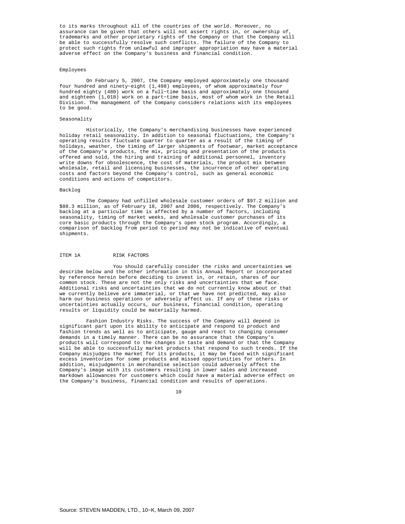to its marks throughout all of the countries of the world. Moreover, no assurance can be given that others will not assert rights in, or ownership of, trademarks and other proprietary rights of the Company or that the Company will be able to successfully resolve such conflicts. The failure of the Company to protect such rights from unlawful and improper appropriation may have a material adverse effect on the Company's business and financial condition.

#### Employees

 On February 5, 2007, the Company employed approximately one thousand four hundred and ninety−eight (1,498) employees, of whom approximately four hundred eighty (480) work on a full−time basis and approximately one thousand and eighteen (1,018) work on a part−time basis, most of whom work in the Retail Division. The management of the Company considers relations with its employees to be good.

# Seasonality

 Historically, the Company's merchandising businesses have experienced holiday retail seasonality. In addition to seasonal fluctuations, the Company's operating results fluctuate quarter to quarter as a result of the timing of holidays, weather, the timing of larger shipments of footwear, market acceptance of the Company's products, the mix, pricing and presentation of the products offered and sold, the hiring and training of additional personnel, inventory write downs for obsolescence, the cost of materials, the product mix between wholesale, retail and licensing businesses, the incurrence of other operating costs and factors beyond the Company's control, such as general economic conditions and actions of competitors.

#### Backlog

 The Company had unfilled wholesale customer orders of \$97.2 million and \$88.3 million, as of February 18, 2007 and 2006, respectively. The Company's backlog at a particular time is affected by a number of factors, including seasonality, timing of market weeks, and wholesale customer purchases of its core basic products through the Company's open stock program. Accordingly, a comparison of backlog from period to period may not be indicative of eventual shipments.

#### <span id="page-15-0"></span>ITEM 1A RISK FACTORS

 You should carefully consider the risks and uncertainties we describe below and the other information in this Annual Report or incorporated by reference herein before deciding to invest in, or retain, shares of our common stock. These are not the only risks and uncertainties that we face. Additional risks and uncertainties that we do not currently know about or that we currently believe are immaterial, or that we have not predicted, may also harm our business operations or adversely affect us. If any of these risks or uncertainties actually occurs, our business, financial condition, operating results or liquidity could be materially harmed.

 Fashion Industry Risks. The success of the Company will depend in significant part upon its ability to anticipate and respond to product and fashion trends as well as to anticipate, gauge and react to changing consumer demands in a timely manner. There can be no assurance that the Company's products will correspond to the changes in taste and demand or that the Company will be able to successfully market products that respond to such trends. If the Company misjudges the market for its products, it may be faced with significant excess inventories for some products and missed opportunities for others. In addition, misjudgments in merchandise selection could adversely affect the Company's image with its customers resulting in lower sales and increased markdown allowances for customers which could have a material adverse effect on the Company's business, financial condition and results of operations.

 <sup>10</sup>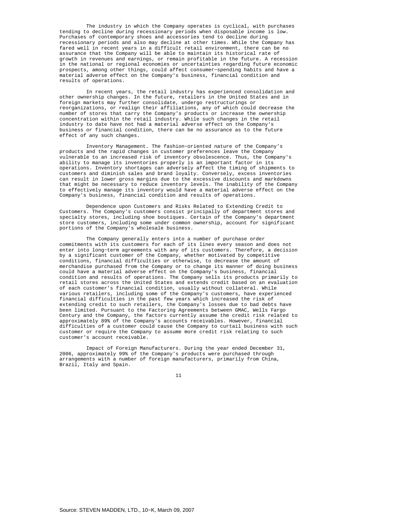The industry in which the Company operates is cyclical, with purchases tending to decline during recessionary periods when disposable income is low. Purchases of contemporary shoes and accessories tend to decline during recessionary periods and also may decline at other times. While the Company has fared well in recent years in a difficult retail environment, there can be no assurance that the Company will be able to maintain its historical rate of growth in revenues and earnings, or remain profitable in the future. A recession in the national or regional economies or uncertainties regarding future economic prospects, among other things, could affect consumer−spending habits and have a material adverse effect on the Company's business, financial condition and results of operations.

 In recent years, the retail industry has experienced consolidation and other ownership changes. In the future, retailers in the United States and in foreign markets may further consolidate, undergo restructurings or reorganizations, or realign their affiliations, any of which could decrease the number of stores that carry the Company's products or increase the ownership concentration within the retail industry. While such changes in the retail industry to date have not had a material adverse effect on the Company's business or financial condition, there can be no assurance as to the future effect of any such changes.

 Inventory Management. The fashion−oriented nature of the Company's products and the rapid changes in customer preferences leave the Company vulnerable to an increased risk of inventory obsolescence. Thus, the Company's ability to manage its inventories properly is an important factor in its operations. Inventory shortages can adversely affect the timing of shipments to customers and diminish sales and brand loyalty. Conversely, excess inventories can result in lower gross margins due to the excessive discounts and markdowns that might be necessary to reduce inventory levels. The inability of the Company to effectively manage its inventory would have a material adverse effect on the Company's business, financial condition and results of operations.

 Dependence upon Customers and Risks Related to Extending Credit to Customers. The Company's customers consist principally of department stores and specialty stores, including shoe boutiques. Certain of the Company's department store customers, including some under common ownership, account for significant portions of the Company's wholesale business.

 The Company generally enters into a number of purchase order commitments with its customers for each of its lines every season and does not enter into long−term agreements with any of its customers. Therefore, a decision by a significant customer of the Company, whether motivated by competitive conditions, financial difficulties or otherwise, to decrease the amount of merchandise purchased from the Company or to change its manner of doing business could have a material adverse effect on the Company's business, financial condition and results of operations. The Company sells its products primarily to retail stores across the United States and extends credit based on an evaluation of each customer's financial condition, usually without collateral. While various retailers, including some of the Company's customers, have experienced financial difficulties in the past few years which increased the risk of extending credit to such retailers, the Company's losses due to bad debts have been limited. Pursuant to the Factoring Agreements between GMAC, Wells Fargo Century and the Company, the factors currently assume the credit risk related to approximately 89% of the Company's accounts receivables. However, financial difficulties of a customer could cause the Company to curtail business with such customer or require the Company to assume more credit risk relating to such customer's account receivable.

 Impact of Foreign Manufacturers. During the year ended December 31, 2006, approximately 99% of the Company's products were purchased through arrangements with a number of foreign manufacturers, primarily from China, Brazil, Italy and Spain.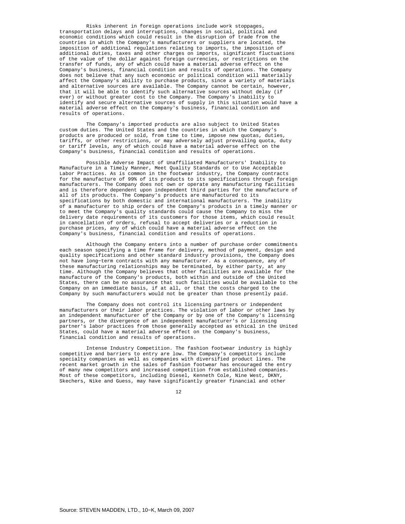Risks inherent in foreign operations include work stoppages, transportation delays and interruptions, changes in social, political and economic conditions which could result in the disruption of trade from the countries in which the Company's manufacturers or suppliers are located, the imposition of additional regulations relating to imports, the imposition of additional duties, taxes and other charges on imports, significant fluctuations of the value of the dollar against foreign currencies, or restrictions on the transfer of funds, any of which could have a material adverse effect on the Company's business, financial condition and results of operations. The Company does not believe that any such economic or political condition will materially affect the Company's ability to purchase products, since a variety of materials and alternative sources are available. The Company cannot be certain, however, that it will be able to identify such alternative sources without delay (if ever) or without greater cost to the Company. The Company's inability to identify and secure alternative sources of supply in this situation would have a material adverse effect on the Company's business, financial condition and results of operations.

 The Company's imported products are also subject to United States custom duties. The United States and the countries in which the Company's products are produced or sold, from time to time, impose new quotas, duties, tariffs, or other restrictions, or may adversely adjust prevailing quota, duty or tariff levels, any of which could have a material adverse effect on the Company's business, financial condition and results of operations.

 Possible Adverse Impact of Unaffiliated Manufacturers' Inability to Manufacture in a Timely Manner, Meet Quality Standards or to Use Acceptable Labor Practices. As is common in the footwear industry, the Company contracts for the manufacture of 99% of its products to its specifications through foreign manufacturers. The Company does not own or operate any manufacturing facilities and is therefore dependent upon independent third parties for the manufacture of all of its products. The Company's products are manufactured to its specifications by both domestic and international manufacturers. The inability of a manufacturer to ship orders of the Company's products in a timely manner or to meet the Company's quality standards could cause the Company to miss the delivery date requirements of its customers for those items, which could result in cancellation of orders, refusal to accept deliveries or a reduction in purchase prices, any of which could have a material adverse effect on the Company's business, financial condition and results of operations.

 Although the Company enters into a number of purchase order commitments each season specifying a time frame for delivery, method of payment, design and quality specifications and other standard industry provisions, the Company does not have long−term contracts with any manufacturer. As a consequence, any of these manufacturing relationships may be terminated, by either party, at any time. Although the Company believes that other facilities are available for the manufacture of the Company's products, both within and outside of the United States, there can be no assurance that such facilities would be available to the Company on an immediate basis, if at all, or that the costs charged to the Company by such manufacturers would not be greater than those presently paid.

 The Company does not control its licensing partners or independent manufacturers or their labor practices. The violation of labor or other laws by an independent manufacturer of the Company or by one of the Company's licensing partners, or the divergence of an independent manufacturer's or licensing partner's labor practices from those generally accepted as ethical in the United States, could have a material adverse effect on the Company's business, financial condition and results of operations.

 Intense Industry Competition. The fashion footwear industry is highly competitive and barriers to entry are low. The Company's competitors include specialty companies as well as companies with diversified product lines. The recent market growth in the sales of fashion footwear has encouraged the entry of many new competitors and increased competition from established companies. Most of these competitors, including Diesel, Kenneth Cole, Nine West, DKNY, Skechers, Nike and Guess, may have significantly greater financial and other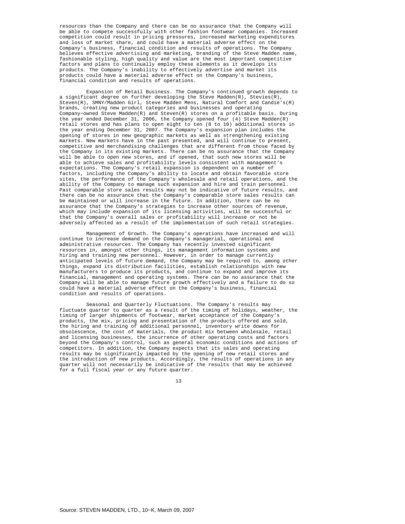resources than the Company and there can be no assurance that the Company will be able to compete successfully with other fashion footwear companies. Increased competition could result in pricing pressures, increased marketing expenditures and loss of market share, and could have a material adverse effect on the Company's business, financial condition and results of operations. The Company believes effective advertising and marketing, branding of the Steve Madden name, fashionable styling, high quality and value are the most important competitive factors and plans to continually employ these elements as it develops its products. The Company's inability to effectively advertise and market its products could have a material adverse effect on the Company's business, financial condition and results of operations.

 Expansion of Retail Business. The Company's continued growth depends to a significant degree on further developing the Steve Madden(R), Stevies(R), Steven(R), SMNY/Madden Girl, Steve Madden Mens, Natural Comfort and Candie's(R) brands, creating new product categories and businesses and operating Company−owned Steve Madden(R) and Steven(R) stores on a profitable basis. During the year ended December 31, 2006, the Company opened four (4) Steve Madden(R) retail stores and has plans to open eight to ten (8 to 10) additional stores in the year ending December 31, 2007. The Company's expansion plan includes the opening of stores in new geographic markets as well as strengthening existing markets. New markets have in the past presented, and will continue to present, competitive and merchandising challenges that are different from those faced by the Company in its existing markets. There can be no assurance that the Company will be able to open new stores, and if opened, that such new stores will be able to achieve sales and profitability levels consistent with management's expectations. The Company's retail expansion is dependent on a number of factors, including the Company's ability to locate and obtain favorable store sites, the performance of the Company's wholesale and retail operations, and the ability of the Company to manage such expansion and hire and train personnel. Past comparable store sales results may not be indicative of future results, and there can be no assurance that the Company's comparable store sales results can be maintained or will increase in the future. In addition, there can be no assurance that the Company's strategies to increase other sources of revenue, which may include expansion of its licensing activities, will be successful or that the Company's overall sales or profitability will increase or not be adversely affected as a result of the implementation of such retail strategies.

 Management of Growth. The Company's operations have increased and will continue to increase demand on the Company's managerial, operational and administrative resources. The Company has recently invested significant resources in, amongst other things, its management information systems and hiring and training new personnel. However, in order to manage currently anticipated levels of future demand, the Company may be required to, among other things, expand its distribution facilities, establish relationships with new manufacturers to produce its products, and continue to expand and improve its financial, management and operating systems. There can be no assurance that the Company will be able to manage future growth effectively and a failure to do so could have a material adverse effect on the Company's business, financial condition and results of operations.

 Seasonal and Quarterly Fluctuations. The Company's results may fluctuate quarter to quarter as a result of the timing of holidays, weather, the timing of larger shipments of footwear, market acceptance of the Company's products, the mix, pricing and presentation of the products offered and sold, the hiring and training of additional personnel, inventory write downs for obsolescence, the cost of materials, the product mix between wholesale, retail and licensing businesses, the incurrence of other operating costs and factors beyond the Company's control, such as general economic conditions and actions of competitors. In addition, the Company expects that its sales and operating results may be significantly impacted by the opening of new retail stores and the introduction of new products. Accordingly, the results of operations in any quarter will not necessarily be indicative of the results that may be achieved for a full fiscal year or any future quarter.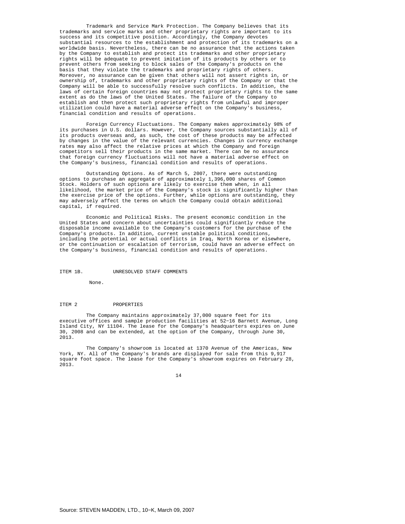Trademark and Service Mark Protection. The Company believes that its trademarks and service marks and other proprietary rights are important to its success and its competitive position. Accordingly, the Company devotes substantial resources to the establishment and protection of its trademarks on a worldwide basis. Nevertheless, there can be no assurance that the actions taken by the Company to establish and protect its trademarks and other proprietary rights will be adequate to prevent imitation of its products by others or to prevent others from seeking to block sales of the Company's products on the basis that they violate the trademarks and proprietary rights of others. Moreover, no assurance can be given that others will not assert rights in, or ownership of, trademarks and other proprietary rights of the Company or that the Company will be able to successfully resolve such conflicts. In addition, the laws of certain foreign countries may not protect proprietary rights to the same extent as do the laws of the United States. The failure of the Company to establish and then protect such proprietary rights from unlawful and improper utilization could have a material adverse effect on the Company's business, financial condition and results of operations.

 Foreign Currency Fluctuations. The Company makes approximately 98% of its purchases in U.S. dollars. However, the Company sources substantially all of its products overseas and, as such, the cost of these products may be affected by changes in the value of the relevant currencies. Changes in currency exchange rates may also affect the relative prices at which the Company and foreign competitors sell their products in the same market. There can be no assurance that foreign currency fluctuations will not have a material adverse effect on the Company's business, financial condition and results of operations.

 Outstanding Options. As of March 5, 2007, there were outstanding options to purchase an aggregate of approximately 1,396,000 shares of Common Stock. Holders of such options are likely to exercise them when, in all likelihood, the market price of the Company's stock is significantly higher than the exercise price of the options. Further, while options are outstanding, they may adversely affect the terms on which the Company could obtain additional capital, if required.

 Economic and Political Risks. The present economic condition in the United States and concern about uncertainties could significantly reduce the disposable income available to the Company's customers for the purchase of the Company's products. In addition, current unstable political conditions, including the potential or actual conflicts in Iraq, North Korea or elsewhere, or the continuation or escalation of terrorism, could have an adverse effect on the Company's business, financial condition and results of operations.

#### <span id="page-19-0"></span>ITEM 1B. UNRESOLVED STAFF COMMENTS

None.

#### <span id="page-19-1"></span>ITEM 2 PROPERTIES

 The Company maintains approximately 37,000 square feet for its executive offices and sample production facilities at 52−16 Barnett Avenue, Long Island City, NY 11104. The lease for the Company's headquarters expires on June 30, 2008 and can be extended, at the option of the Company, through June 30, 2013.

 The Company's showroom is located at 1370 Avenue of the Americas, New York, NY. All of the Company's brands are displayed for sale from this 9,917 square foot space. The lease for the Company's showroom expires on February 28, 2013.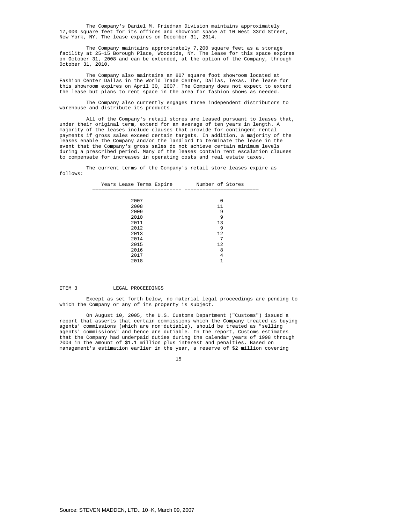The Company's Daniel M. Friedman Division maintains approximately 17,000 square feet for its offices and showroom space at 10 West 33rd Street, New York, NY. The lease expires on December 31, 2014.

 The Company maintains approximately 7,200 square feet as a storage facility at 25−15 Borough Place, Woodside, NY. The lease for this space expires on October 31, 2008 and can be extended, at the option of the Company, through October 31, 2010.

 The Company also maintains an 807 square foot showroom located at Fashion Center Dallas in the World Trade Center, Dallas, Texas. The lease for this showroom expires on April 30, 2007. The Company does not expect to extend the lease but plans to rent space in the area for fashion shows as needed.

 The Company also currently engages three independent distributors to warehouse and distribute its products.

 All of the Company's retail stores are leased pursuant to leases that, under their original term, extend for an average of ten years in length. A majority of the leases include clauses that provide for contingent rental payments if gross sales exceed certain targets. In addition, a majority of the leases enable the Company and/or the landlord to terminate the lease in the event that the Company's gross sales do not achieve certain minimum levels during a prescribed period. Many of the leases contain rent escalation clauses to compensate for increases in operating costs and real estate taxes.

 The current terms of the Company's retail store leases expire as follows:

| Years Lease Terms Expire | Number of Stores |
|--------------------------|------------------|
|                          |                  |
| 2007                     | $\Omega$         |
| 2008                     | 11               |
| 2009                     | 9                |
| 2010                     | 9                |
| 2011                     | 13               |
| 2012                     | 9                |
| 2013                     | 12               |
| 2014                     | 7                |
| 2015                     | 12               |
| 2016                     | 8                |
| 2017                     | 4                |
| 2018                     |                  |

#### <span id="page-20-0"></span>ITEM 3 LEGAL PROCEEDINGS

 Except as set forth below, no material legal proceedings are pending to which the Company or any of its property is subject.

 On August 10, 2005, the U.S. Customs Department ("Customs") issued a report that asserts that certain commissions which the Company treated as buying agents' commissions (which are non−dutiable), should be treated as "selling agents' commissions" and hence are dutiable. In the report, Customs estimates that the Company had underpaid duties during the calendar years of 1998 through 2004 in the amount of \$1.1 million plus interest and penalties. Based on management's estimation earlier in the year, a reserve of \$2 million covering

#### <u>15</u>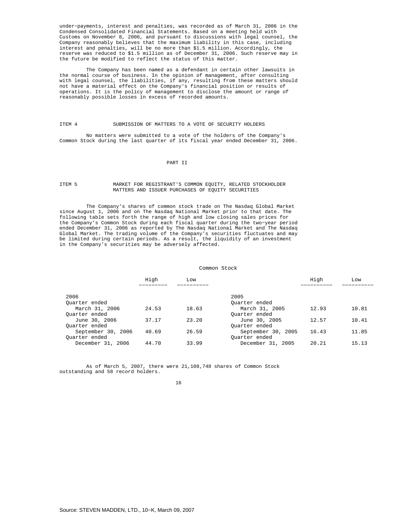under−payments, interest and penalties, was recorded as of March 31, 2006 in the Condensed Consolidated Financial Statements. Based on a meeting held with Customs on November 8, 2006, and pursuant to discussions with legal counsel, the Company reasonably believes that the maximum liability in this case, including interest and penalties, will be no more than \$1.5 million. Accordingly, the reserve was reduced to \$1.5 million as of December 31, 2006. Such reserve may in the future be modified to reflect the status of this matter.

 The Company has been named as a defendant in certain other lawsuits in the normal course of business. In the opinion of management, after consulting with legal counsel, the liabilities, if any, resulting from these matters should not have a material effect on the Company's financial position or results of operations. It is the policy of management to disclose the amount or range of reasonably possible losses in excess of recorded amounts.

<span id="page-21-0"></span>ITEM 4 SUBMISSION OF MATTERS TO A VOTE OF SECURITY HOLDERS

<span id="page-21-1"></span> No matters were submitted to a vote of the holders of the Company's Common Stock during the last quarter of its fiscal year ended December 31, 2006.

# PART II

#### <span id="page-21-2"></span>ITEM 5 MARKET FOR REGISTRANT'S COMMON EQUITY, RELATED STOCKHOLDER MATTERS AND ISSUER PURCHASES OF EQUITY SECURITIES

 The Company's shares of common stock trade on The Nasdaq Global Market since August 1, 2006 and on The Nasdaq National Market prior to that date. The following table sets forth the range of high and low closing sales prices for the Company's Common Stock during each fiscal quarter during the two−year period ended December 31, 2006 as reported by The Nasdaq National Market and The Nasdaq Global Market. The trading volume of the Company's securities fluctuates and may be limited during certain periods. As a result, the liquidity of an investment in the Company's securities may be adversely affected.

#### Common Stock

|                    | High  | Low   |                    | High  | Low   |
|--------------------|-------|-------|--------------------|-------|-------|
|                    |       |       |                    |       |       |
| 2006               |       |       | 2005               |       |       |
| Ouarter ended      |       |       | Ouarter ended      |       |       |
| March 31, 2006     | 24.53 | 18.63 | March 31, 2005     | 12.93 | 10.81 |
| Ouarter ended      |       |       | Ouarter ended      |       |       |
| June 30, 2006      | 37.17 | 23.20 | June 30, 2005      | 12.57 | 10.41 |
| Ouarter ended      |       |       | Ouarter ended      |       |       |
| September 30, 2006 | 40.69 | 26.59 | September 30, 2005 | 16.43 | 11.85 |
| Ouarter ended      |       |       | Ouarter ended      |       |       |
| December 31, 2006  | 44.70 | 33.99 | December 31, 2005  | 20.21 | 15.13 |

 As of March 5, 2007, there were 21,108,748 shares of Common Stock outstanding and 58 record holders.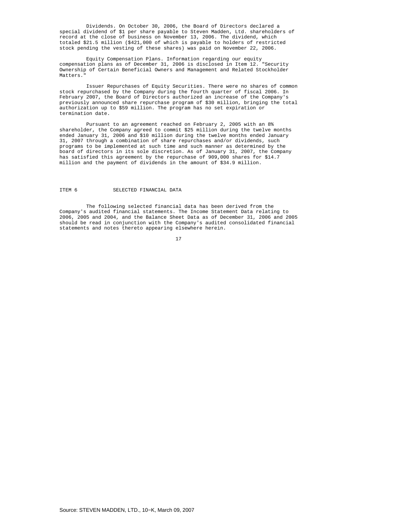Dividends. On October 30, 2006, the Board of Directors declared a special dividend of \$1 per share payable to Steven Madden, Ltd. shareholders of record at the close of business on November 13, 2006. The dividend, which totaled \$21.5 million (\$421,000 of which is payable to holders of restricted stock pending the vesting of these shares) was paid on November 22, 2006.

 Equity Compensation Plans. Information regarding our equity compensation plans as of December 31, 2006 is disclosed in Item 12. "Security Ownership of Certain Beneficial Owners and Management and Related Stockholder Matters."

 Issuer Repurchases of Equity Securities. There were no shares of common stock repurchased by the Company during the fourth quarter of fiscal 2006. In February 2007, the Board of Directors authorized an increase of the Company's previously announced share repurchase program of \$30 million, bringing the total authorization up to \$59 million. The program has no set expiration or termination date.

 Pursuant to an agreement reached on February 2, 2005 with an 8% shareholder, the Company agreed to commit \$25 million during the twelve months ended January 31, 2006 and \$10 million during the twelve months ended January 31, 2007 through a combination of share repurchases and/or dividends, such programs to be implemented at such time and such manner as determined by the board of directors in its sole discretion. As of January 31, 2007, the Company has satisfied this agreement by the repurchase of 909,000 shares for \$14.7 million and the payment of dividends in the amount of \$34.9 million.

#### <span id="page-22-0"></span>ITEM 6 SELECTED FINANCIAL DATA

 The following selected financial data has been derived from the Company's audited financial statements. The Income Statement Data relating to 2006, 2005 and 2004, and the Balance Sheet Data as of December 31, 2006 and 2005 should be read in conjunction with the Company's audited consolidated financial statements and notes thereto appearing elsewhere herein.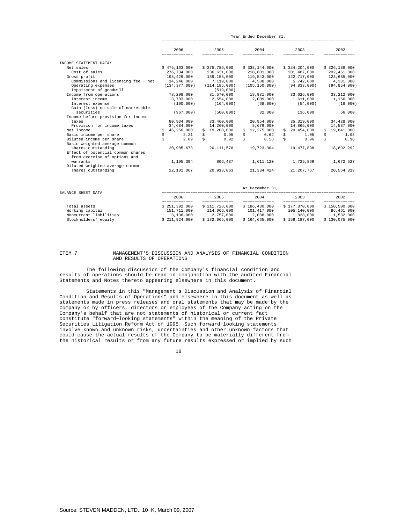|                                                                                                  | Year Ended December 31, |               |  |                                                                                         |  |                                                                                                                                                                                                                                                                                                                                                                                                                                                                            |  |                                           |  |                 |
|--------------------------------------------------------------------------------------------------|-------------------------|---------------|--|-----------------------------------------------------------------------------------------|--|----------------------------------------------------------------------------------------------------------------------------------------------------------------------------------------------------------------------------------------------------------------------------------------------------------------------------------------------------------------------------------------------------------------------------------------------------------------------------|--|-------------------------------------------|--|-----------------|
|                                                                                                  |                         | 2006          |  | 2005 2004 2003                                                                          |  |                                                                                                                                                                                                                                                                                                                                                                                                                                                                            |  |                                           |  | 2002            |
| INCOME STATEMENT DATA:                                                                           |                         |               |  |                                                                                         |  |                                                                                                                                                                                                                                                                                                                                                                                                                                                                            |  |                                           |  |                 |
| Net sales                                                                                        |                         | \$475,163,000 |  | \$375,786,000                                                                           |  | \$338,144,000                                                                                                                                                                                                                                                                                                                                                                                                                                                              |  | \$324,204,000                             |  | \$326, 136, 000 |
| Cost of sales                                                                                    |                         | 276,734,000   |  | 236,631,000 218,601,000 201,487,000                                                     |  |                                                                                                                                                                                                                                                                                                                                                                                                                                                                            |  |                                           |  | 202, 451, 000   |
| Gross profit                                                                                     |                         |               |  | 198,429,000 139,155,000 119,543,000 122,717,000 123,685,000                             |  |                                                                                                                                                                                                                                                                                                                                                                                                                                                                            |  |                                           |  |                 |
| Commissions and licensing fee - net 14, 246, 000 7, 119, 000 4, 588, 000 5, 742, 000 4, 381, 000 |                         |               |  |                                                                                         |  |                                                                                                                                                                                                                                                                                                                                                                                                                                                                            |  |                                           |  |                 |
| Operating expenses                                                                               |                         |               |  | $(134, 377, 000)$ $(114, 185, 000)$ $(105, 150, 000)$ $(94, 833, 000)$ $(94, 854, 000)$ |  |                                                                                                                                                                                                                                                                                                                                                                                                                                                                            |  |                                           |  |                 |
| Impairment of goodwill                                                                           |                         |               |  | $--$ (519,000)                                                                          |  | $\frac{1}{2} \left( \frac{1}{2} \right) \left( \frac{1}{2} \right) \left( \frac{1}{2} \right) \left( \frac{1}{2} \right) \left( \frac{1}{2} \right) \left( \frac{1}{2} \right) \left( \frac{1}{2} \right) \left( \frac{1}{2} \right) \left( \frac{1}{2} \right) \left( \frac{1}{2} \right) \left( \frac{1}{2} \right) \left( \frac{1}{2} \right) \left( \frac{1}{2} \right) \left( \frac{1}{2} \right) \left( \frac{1}{2} \right) \left( \frac{1}{2} \right) \left( \frac$ |  |                                           |  |                 |
| Income from operations                                                                           |                         |               |  | $78,298,000$ $31,570,000$ $18,981,000$ $33,626,000$ $33,212,000$                        |  |                                                                                                                                                                                                                                                                                                                                                                                                                                                                            |  |                                           |  |                 |
| Interest income                                                                                  |                         |               |  | $3,703,000$ $2,554,000$ $2,009,000$ $1,611,000$ $1,166,000$                             |  |                                                                                                                                                                                                                                                                                                                                                                                                                                                                            |  |                                           |  |                 |
| Interest expense                                                                                 |                         |               |  | $(100,000)$ $(164,000)$ $(68,000)$ $(54,000)$ $(16,000)$                                |  |                                                                                                                                                                                                                                                                                                                                                                                                                                                                            |  |                                           |  |                 |
| Gain (loss) on sale of marketable                                                                |                         |               |  |                                                                                         |  |                                                                                                                                                                                                                                                                                                                                                                                                                                                                            |  |                                           |  |                 |
| securities                                                                                       |                         |               |  | $(967,000)$ $(500,000)$ $32,000$ $136,000$ 66,000                                       |  |                                                                                                                                                                                                                                                                                                                                                                                                                                                                            |  |                                           |  |                 |
| Income before provision for income                                                               |                         |               |  |                                                                                         |  |                                                                                                                                                                                                                                                                                                                                                                                                                                                                            |  |                                           |  |                 |
| taxes                                                                                            |                         |               |  | 80,934,000 33,460,000 20,954,000 35,319,000                                             |  |                                                                                                                                                                                                                                                                                                                                                                                                                                                                            |  |                                           |  | 34,428,000      |
| Provision for income taxes                                                                       |                         |               |  | $34,684,000$ $14,260,000$ $8,679,000$ $14,865,000$                                      |  |                                                                                                                                                                                                                                                                                                                                                                                                                                                                            |  |                                           |  | 14,587,000      |
| Net Income                                                                                       |                         | \$46,250,000  |  | \$19,200,000                                                                            |  |                                                                                                                                                                                                                                                                                                                                                                                                                                                                            |  | $$12,275,000 \t$20,454,000 \t$19,841,000$ |  |                 |
| Basic income per share                                                                           | \$                      | 2.21          |  | $\sin \theta = 0.95$                                                                    |  | \$0.62                                                                                                                                                                                                                                                                                                                                                                                                                                                                     |  | $$1.05$ \$ 1.05                           |  |                 |
| Diluted income per share                                                                         |                         | 2.09          |  | $\sin \theta = 0.92$                                                                    |  | $\texttt{S}$ 0.58                                                                                                                                                                                                                                                                                                                                                                                                                                                          |  | $\sin \theta = 0.96$                      |  | \$0.96          |
| Basic weighted average common                                                                    |                         |               |  |                                                                                         |  |                                                                                                                                                                                                                                                                                                                                                                                                                                                                            |  |                                           |  |                 |
| shares outstanding                                                                               |                         |               |  |                                                                                         |  |                                                                                                                                                                                                                                                                                                                                                                                                                                                                            |  |                                           |  | 18,892,292      |
| Effect of potential common shares                                                                |                         |               |  |                                                                                         |  |                                                                                                                                                                                                                                                                                                                                                                                                                                                                            |  |                                           |  |                 |
| from exercise of options and                                                                     |                         |               |  |                                                                                         |  |                                                                                                                                                                                                                                                                                                                                                                                                                                                                            |  |                                           |  |                 |
| warrants                                                                                         |                         |               |  | 1, 195, 394 806, 487 1, 611, 120 1, 729, 869 1, 672, 527                                |  |                                                                                                                                                                                                                                                                                                                                                                                                                                                                            |  |                                           |  |                 |
| Diluted weighted average common                                                                  |                         |               |  |                                                                                         |  |                                                                                                                                                                                                                                                                                                                                                                                                                                                                            |  |                                           |  |                 |
| shares outstanding                                                                               |                         |               |  | 22, 101, 067 20, 918, 063 21, 334, 424 21, 207, 767                                     |  |                                                                                                                                                                                                                                                                                                                                                                                                                                                                            |  |                                           |  | 20,564,819      |
|                                                                                                  |                         |               |  |                                                                                         |  |                                                                                                                                                                                                                                                                                                                                                                                                                                                                            |  |                                           |  |                 |

| BALANCE SHEET DATA                                                                |                                                            |                                                            | At December 31,                                            |                                                            |                                                           |
|-----------------------------------------------------------------------------------|------------------------------------------------------------|------------------------------------------------------------|------------------------------------------------------------|------------------------------------------------------------|-----------------------------------------------------------|
|                                                                                   | 2006                                                       | 2005                                                       | 2004                                                       | 2003                                                       | 2002                                                      |
| Total assets<br>Working capital<br>Noncurrent liabilities<br>Stockholders' equity | \$251.392.000<br>151,711,000<br>3.136.000<br>\$211.924.000 | \$211.728.000<br>114,066,000<br>2,757,000<br>\$182.065.000 | \$186.430.000<br>101,417,000<br>2,088,000<br>\$164.665.000 | \$177.870.000<br>105,140,000<br>1,828,000<br>\$159.187.000 | \$150.500.000<br>86,461,000<br>1,532,000<br>\$130.075.000 |

#### <span id="page-23-0"></span>ITEM 7 MANAGEMENT'S DISCUSSION AND ANALYSIS OF FINANCIAL CONDITION AND RESULTS OF OPERATIONS

 The following discussion of the Company's financial condition and results of operations should be read in conjunction with the audited Financial Statements and Notes thereto appearing elsewhere in this document.

 Statements in this "Management's Discussion and Analysis of Financial Condition and Results of Operations" and elsewhere in this document as well as statements made in press releases and oral statements that may be made by the Company or by officers, directors or employees of the Company acting on the Company's behalf that are not statements of historical or current fact constitute "forward−looking statements" within the meaning of the Private Securities Litigation Reform Act of 1995. Such forward−looking statements involve known and unknown risks, uncertainties and other unknown factors that could cause the actual results of the Company to be materially different from the historical results or from any future results expressed or implied by such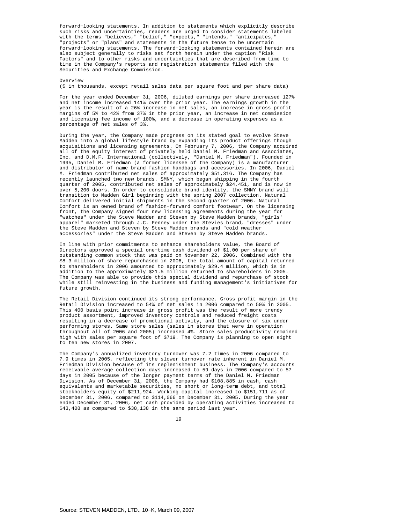forward−looking statements. In addition to statements which explicitly describe such risks and uncertainties, readers are urged to consider statements labeled with the terms "believes," "belief," "expects," "intends," "anticipates," "projects" or "plans" and statements in the future tense to be uncertain forward−looking statements. The forward−looking statements contained herein are also subject generally to risks set forth herein under the caption "Risk Factors" and to other risks and uncertainties that are described from time to time in the Company's reports and registration statements filed with the Securities and Exchange Commission.

Overview

(\$ in thousands, except retail sales data per square foot and per share data)

For the year ended December 31, 2006, diluted earnings per share increased 127% and net income increased 141% over the prior year. The earnings growth in the year is the result of a 26% increase in net sales, an increase in gross profit margins of 5% to 42% from 37% in the prior year, an increase in net commission and licensing fee income of 100%, and a decrease in operating expenses as a percentage of net sales of 3%.

During the year, the Company made progress on its stated goal to evolve Steve Madden into a global lifestyle brand by expanding its product offerings though acquisitions and licensing agreements. On February 7, 2006, the Company acquired all of the equity interest of privately held Daniel M. Friedman and Associates, Inc. and D.M.F. International (collectively, "Daniel M. Friedman"). Founded in 1995, Daniel M. Friedman (a former licensee of the Company) is a manufacturer and distributor of name brand fashion handbags and accessories. In 2006, Daniel M. Friedman contributed net sales of approximately \$51,316. The Company has recently launched two new brands. SMNY, which began shipping in the fourth quarter of 2005, contributed net sales of approximately \$24,451, and is now in over 5,200 doors. In order to consolidate brand identity, the SMNY brand will transition to Madden Girl beginning with the spring 2007 collection. Natural Comfort delivered initial shipments in the second quarter of 2006. Natural Comfort is an owned brand of fashion−forward comfort footwear. On the licensing front, the Company signed four new licensing agreements during the year for "watches" under the Steve Madden and Steven by Steve Madden brands, "girls' apparel" marketed through J.C. Penney under the Stevies brand, "dresses" under the Steve Madden and Steven by Steve Madden brands and "cold weather accessories" under the Steve Madden and Steven by Steve Madden brands.

In line with prior commitments to enhance shareholders value, the Board of Directors approved a special one−time cash dividend of \$1.00 per share of outstanding common stock that was paid on November 22, 2006. Combined with the \$8.3 million of share repurchased in 2006, the total amount of capital returned to shareholders in 2006 amounted to approximately \$29.4 million, which is in addition to the approximately \$21.5 million returned to shareholders in 2005. The Company was able to provide this special dividend and repurchase of stock while still reinvesting in the business and funding management's initiatives for future growth.

The Retail Division continued its strong performance. Gross profit margin in the Retail Division increased to 54% of net sales in 2006 compared to 50% in 2005. This 400 basis point increase in gross profit was the result of more trendy product assortment, improved inventory controls and reduced freight costs resulting in a decrease of promotional activity, and the closure of six under performing stores. Same store sales (sales in stores that were in operation throughout all of 2006 and 2005) increased 4%. Store sales productivity remained high with sales per square foot of \$719. The Company is planning to open eight to ten new stores in 2007.

The Company's annualized inventory turnover was 7.2 times in 2006 compared to 7.9 times in 2005, reflecting the slower turnover rate inherent in Daniel M. Friedman Division because of its replenishment business. The Company's accounts receivable average collection days increased to 59 days in 2006 compared to 57 days in 2005 because of the longer payment terms of the Daniel M. Friedman Division. As of December 31, 2006, the Company had \$108,885 in cash, cash equivalents and marketable securities, no short or long−term debt, and total stockholders equity of \$211,924. Working capital increased to \$151,711 as of December 31, 2006, compared to \$114,066 on December 31, 2005. During the year ended December 31, 2006, net cash provided by operating activities increased to \$43,408 as compared to \$38,138 in the same period last year.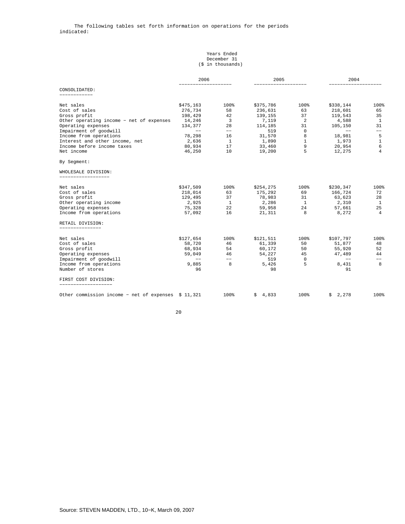# Years Ended December 31 (\$ in thousands)

|                                                    | 2006                 |                         | 2005      |                | 2004      |                |  |
|----------------------------------------------------|----------------------|-------------------------|-----------|----------------|-----------|----------------|--|
| CONSOLIDATED:<br>____________                      | -------------------- |                         |           |                |           |                |  |
|                                                    |                      |                         |           |                |           |                |  |
| Net sales                                          | \$475,163            | 100%                    | \$375,786 | 100%           | \$338,144 | 100%           |  |
| Cost of sales                                      | 276,734              | 58                      | 236,631   | 63             | 218,601   | 65             |  |
| Gross profit                                       | 198,429              | 42                      | 139,155   | 37             | 119,543   | 35             |  |
| Other operating income - net of expenses           | 14,246               | $\overline{\mathbf{3}}$ | 7,119     | $\overline{2}$ | 4,588     | <sup>1</sup>   |  |
| Operating expenses                                 | 134,377              | 28                      | 114,185   | 31             | 105,150   | 31             |  |
| Impairment of goodwill                             | $\sim$ $-$           | $--$                    | 519       | $\Omega$       | $---$     | $---$          |  |
| Income from operations                             | 78,298               | 16                      | 31,570    | 8              | 18,981    | - 5            |  |
| Interest and other income, net                     | 2,636                | $\mathbf{1}$            | 1,890     | $\mathbf{1}$   | 1,973     | <sup>1</sup>   |  |
| Income before income taxes                         | 80,934               | 17                      | 33,460    | 9              | 20,954    | 6              |  |
| Net income                                         | 46,250               | 10                      | 19,200    | 5              | 12,275    | $\overline{4}$ |  |
| By Segment:                                        |                      |                         |           |                |           |                |  |
| WHOLESALE DIVISION:<br>------------------          |                      |                         |           |                |           |                |  |
|                                                    |                      |                         |           |                |           |                |  |
| Net sales                                          | \$347,509            | 100%                    | \$254,275 | $100\%$        | \$230,347 | 100%           |  |
| Cost of sales                                      | 218,014              | 63                      | 175,292   | 69             | 166,724   | 72             |  |
| Gross profit                                       | 129,495              | 37                      | 78,983    | 31             | 63,623    | 28             |  |
| Other operating income                             | 2,925                | $\overline{1}$          | 2,286     | $\mathbf{1}$   | 2,310     | $\overline{1}$ |  |
| Operating expenses                                 | 75,328               | 22                      | 59,958    | 24             | 57,661    | 25             |  |
| Income from operations                             | 57,092               | 16                      | 21,311    | 8              | 8,272     | $\overline{4}$ |  |
| RETAIL DIVISION:<br>--------------                 |                      |                         |           |                |           |                |  |
| Net sales                                          | \$127,654            | 100%                    | \$121,511 | 100%           | \$107,797 | 100%           |  |
| Cost of sales                                      | 58,720               | 46                      | 61,339    | 50             | 51,877    | 48             |  |
| Gross profit                                       | 68,934               | 54                      | 60,172    | 50             | 55,920    | 52             |  |
| Operating expenses                                 | 59,049               | 46                      | 54,227    | 45             | 47,489    | 44             |  |
| Impairment of goodwill                             | $--$                 | $--$                    | 519       | $^{\circ}$     | $---$     | $--$           |  |
| Income from operations                             | 9,885                | 8                       | 5,426     | 5              | 8,431     | -8             |  |
| Number of stores                                   | 96                   |                         | 98        |                | 91        |                |  |
| FIRST COST DIVISION:<br>-------------------        |                      |                         |           |                |           |                |  |
| Other commission income - net of expenses \$11,321 |                      | 100%                    | \$4,833   | 100%           | \$2,278   | 100%           |  |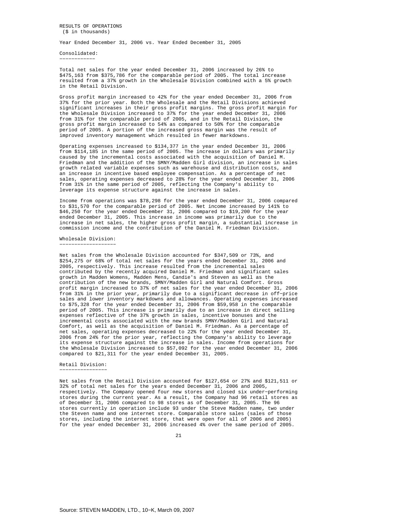RESULTS OF OPERATIONS (\$ in thousands)

Year Ended December 31, 2006 vs. Year Ended December 31, 2005

Consolidated: −−−−−−−−−−−−

Total net sales for the year ended December 31, 2006 increased by 26% to \$475,163 from \$375,786 for the comparable period of 2005. The total increase resulted from a 37% growth in the Wholesale Division combined with a 5% growth in the Retail Division.

Gross profit margin increased to 42% for the year ended December 31, 2006 from 37% for the prior year. Both the Wholesale and the Retail Divisions achieved significant increases in their gross profit margins. The gross profit margin for the Wholesale Division increased to 37% for the year ended December 31, 2006 from 31% for the comparable period of 2005, and in the Retail Division, the gross profit margin increased to 54% as compared to 50% for the comparable period of 2005. A portion of the increased gross margin was the result of improved inventory management which resulted in fewer markdowns.

Operating expenses increased to \$134,377 in the year ended December 31, 2006 from \$114,185 in the same period of 2005. The increase in dollars was primarily caused by the incremental costs associated with the acquisition of Daniel M. Friedman and the addition of the SMNY/Madden Girl division, an increase in sales growth related variable expenses such as warehouse and distribution costs, and an increase in incentive based employee compensation. As a percentage of net sales, operating expenses decreased to 28% for the year ended December 31, 2006 from 31% in the same period of 2005, reflecting the Company's ability to leverage its expense structure against the increase in sales.

Income from operations was \$78,298 for the year ended December 31, 2006 compared to \$31,570 for the comparable period of 2005. Net income increased by 141% to \$46,250 for the year ended December 31, 2006 compared to \$19,200 for the year ended December 31, 2005. This increase in income was primarily due to the increase in net sales, the higher gross profit margin, a substantial increase in commission income and the contribution of the Daniel M. Friedman Division.

Wholesale Division: −−−−−−−−−−−−−−−−−−−

Net sales from the Wholesale Division accounted for \$347,509 or 73%, and \$254,275 or 68% of total net sales for the years ended December 31, 2006 and 2005, respectively. This increase resulted from the incremental sales contributed by the recently acquired Daniel M. Friedman and significant sales growth in Madden Womens, Madden Mens, Candie's and Steven as well as the contribution of the new brands, SMNY/Madden Girl and Natural Comfort. Gross profit margin increased to 37% of net sales for the year ended December 31, 2006 from 31% in the prior year, primarily due to a significant decrease in off−price sales and lower inventory markdowns and allowances. Operating expenses increased to \$75,328 for the year ended December 31, 2006 from \$59,958 in the comparable period of 2005. This increase is primarily due to an increase in direct selling expenses reflective of the 37% growth in sales, incentive bonuses and the incremental costs associated with the new brands SMNY/Madden Girl and Natural Comfort, as well as the acquisition of Daniel M. Friedman. As a percentage of net sales, operating expenses decreased to 22% for the year ended December 31, 2006 from 24% for the prior year, reflecting the Company's ability to leverage its expense structure against the increase in sales. Income from operations for the Wholesale Division increased to \$57,092 for the year ended December 31, 2006 compared to \$21,311 for the year ended December 31, 2005.

#### Retail Division: −−−−−−−−−−−−−−−−

Net sales from the Retail Division accounted for \$127,654 or 27% and \$121,511 or 32% of total net sales for the years ended December 31, 2006 and 2005, respectively. The Company opened four new stores and closed six under−performing stores during the current year. As a result, the Company had 96 retail stores as of December 31, 2006 compared to 98 stores as of December 31, 2005. The 96 stores currently in operation include 93 under the Steve Madden name, two under the Steven name and one internet store. Comparable store sales (sales of those stores, including the internet store, that were open for all of 2006 and 2005) for the year ended December 31, 2006 increased 4% over the same period of 2005.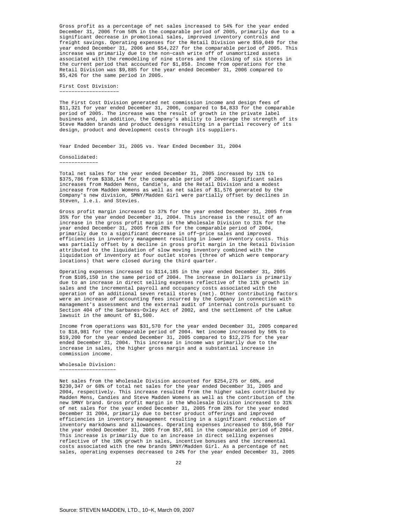Gross profit as a percentage of net sales increased to 54% for the year ended December 31, 2006 from 50% in the comparable period of 2005, primarily due to a significant decrease in promotional sales, improved inventory controls and freight savings. Operating expenses for the Retail Division were \$59,049 for the year ended December 31, 2006 and \$54,227 for the comparable period of 2005. This increase was primarily due to the non−cash write off of unamortized assets associated with the remodeling of nine stores and the closing of six stores in the current period that accounted for \$1,858. Income from operations for the Retail Division was \$9,885 for the year ended December 31, 2006 compared to \$5,426 for the same period in 2005.

First Cost Division: −−−−−−−−−−−−−−−−−−−−

The First Cost Division generated net commission income and design fees of \$11,321 for year ended December 31, 2006, compared to \$4,833 for the comparable period of 2005. The increase was the result of growth in the private label business and, in addition, the Company's ability to leverage the strength of its Steve Madden brands and product designs resulting in a partial recovery of its design, product and development costs through its suppliers.

Year Ended December 31, 2005 vs. Year Ended December 31, 2004

#### Consolidated: −−−−−−−−−−−−−

Total net sales for the year ended December 31, 2005 increased by 11% to \$375,786 from \$338,144 for the comparable period of 2004. Significant sales increases from Madden Mens, Candie's, and the Retail Division and a modest increase from Madden Womens as well as net sales of \$1,576 generated by the Company's new division, SMNY/Madden Girl were partially offset by declines in Steven, l.e.i. and Stevies.

Gross profit margin increased to 37% for the year ended December 31, 2005 from 35% for the year ended December 31, 2004. This increase is the result of an increase in the gross profit margin in the Wholesale Division to 31% for the year ended December 31, 2005 from 28% for the comparable period of 2004, primarily due to a significant decrease in off−price sales and improved efficiencies in inventory management resulting in lower inventory costs. This was partially offset by a decline in gross profit margin in the Retail Division attributed to the liquidation of slow moving inventory combined with the liquidation of inventory at four outlet stores (three of which were temporary locations) that were closed during the third quarter.

Operating expenses increased to \$114,185 in the year ended December 31, 2005 from \$105,150 in the same period of 2004. The increase in dollars is primarily due to an increase in direct selling expenses reflective of the 11% growth in sales and the incremental payroll and occupancy costs associated with the operation of an additional seven retail stores (net). Other contributing factors were an increase of accounting fees incurred by the Company in connection with management's assessment and the external audit of internal controls pursuant to Section 404 of the Sarbanes−Oxley Act of 2002, and the settlement of the LaRue lawsuit in the amount of \$1,500.

Income from operations was \$31,570 for the year ended December 31, 2005 compared to \$18,981 for the comparable period of 2004. Net income increased by 56% to \$19,200 for the year ended December 31, 2005 compared to \$12,275 for the year ended December 31, 2004. This increase in income was primarily due to the increase in sales, the higher gross margin and a substantial increase in commission income.

#### Wholesale Division: −−−−−−−−−−−−−−−−−−−

Net sales from the Wholesale Division accounted for \$254,275 or 68%, and \$230,347 or 68% of total net sales for the year ended December 31, 2005 and 2004, respectively. This increase resulted from the higher sales contributed by Madden Mens, Candies and Steve Madden Womens as well as the contribution of the new SMNY brand. Gross profit margin in the Wholesale Division increased to 31% of net sales for the year ended December 31, 2005 from 28% for the year ended December 31 2004, primarily due to better product offerings and improved efficiencies in inventory management resulting in a significant reduction of inventory markdowns and allowances. Operating expenses increased to \$59,958 for the year ended December 31, 2005 from \$57,661 in the comparable period of 2004. This increase is primarily due to an increase in direct selling expenses reflective of the 10% growth in sales, incentive bonuses and the incremental costs associated with the new brands SMNY/Madden Girl. As a percentage of net sales, operating expenses decreased to 24% for the year ended December 31, 2005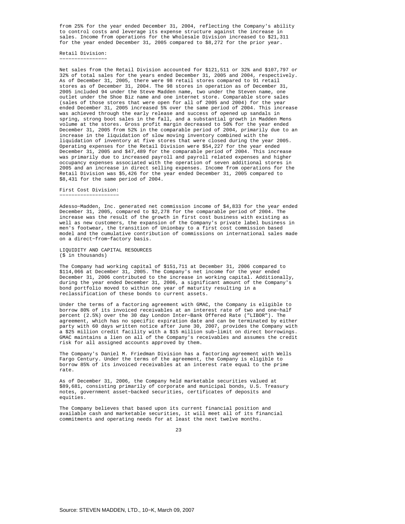from 25% for the year ended December 31, 2004, reflecting the Company's ability to control costs and leverage its expense structure against the increase in sales. Income from operations for the Wholesale Division increased to \$21,311 for the year ended December 31, 2005 compared to \$8,272 for the prior year.

Retail Division: −−−−−−−−−−−−−−−−

Net sales from the Retail Division accounted for \$121,511 or 32% and \$107,797 or 32% of total sales for the years ended December 31, 2005 and 2004, respectively. As of December 31, 2005, there were 98 retail stores compared to 91 retail stores as of December 31, 2004. The 98 stores in operation as of December 31, 2005 included 94 under the Steve Madden name, two under the Steven name, one outlet under the Shoe Biz name and one internet store. Comparable store sales (sales of those stores that were open for all of 2005 and 2004) for the year ended December 31, 2005 increased 5% over the same period of 2004. This increase was achieved through the early release and success of opened up sandals in spring, strong boot sales in the fall, and a substantial growth in Madden Mens volume at the stores. Gross profit margin decreased to 50% for the year ended December 31, 2005 from 52% in the comparable period of 2004, primarily due to an increase in the liquidation of slow moving inventory combined with the liquidation of inventory at five stores that were closed during the year 2005. Operating expenses for the Retail Division were \$54,227 for the year ended December 31, 2005 and \$47,489 for the comparable period of 2004. This increase was primarily due to increased payroll and payroll related expenses and higher occupancy expenses associated with the operation of seven additional stores in 2005 and an increase in direct selling expenses. Income from operations for the Retail Division was \$5,426 for the year ended December 31, 2005 compared to \$8,431 for the same period of 2004.

First Cost Division: −−−−−−−−−−−−−−−−−−−−

Adesso−Madden, Inc. generated net commission income of \$4,833 for the year ended December 31, 2005, compared to \$2,278 for the comparable period of 2004. The increase was the result of the growth in first cost business with existing as well as new customers, the expansion of the Company's private label business in men's footwear, the transition of Unionbay to a first cost commission based model and the cumulative contribution of commissions on international sales made on a direct−from−factory basis.

LIQUIDITY AND CAPITAL RESOURCES (\$ in thousands)

The Company had working capital of \$151,711 at December 31, 2006 compared to \$114,066 at December 31, 2005. The Company's net income for the year ended December 31, 2006 contributed to the increase in working capital. Additionally, during the year ended December 31, 2006, a significant amount of the Company's bond portfolio moved to within one year of maturity resulting in a reclassification of these bonds to current assets.

Under the terms of a factoring agreement with GMAC, the Company is eligible to borrow 80% of its invoiced receivables at an interest rate of two and one−half percent (2.5%) over the 30 day London Inter−Bank Offered Rate ("LIBOR"). The agreement, which has no specific expiration date and can be terminated by either party with 60 days written notice after June 30, 2007, provides the Company with a \$25 million credit facility with a \$15 million sub−limit on direct borrowings. GMAC maintains a lien on all of the Company's receivables and assumes the credit risk for all assigned accounts approved by them.

The Company's Daniel M. Friedman Division has a factoring agreement with Wells Fargo Century. Under the terms of the agreement, the Company is eligible to borrow 85% of its invoiced receivables at an interest rate equal to the prime rate.

As of December 31, 2006, the Company held marketable securities valued at \$89,681, consisting primarily of corporate and municipal bonds, U.S. Treasury notes, government asset−backed securities, certificates of deposits and equities.

The Company believes that based upon its current financial position and available cash and marketable securities, it will meet all of its financial commitments and operating needs for at least the next twelve months.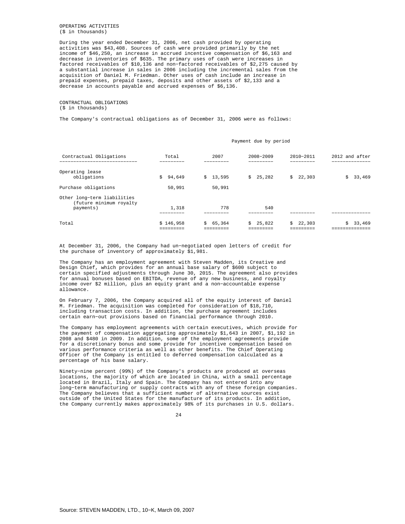OPERATING ACTIVITIES (\$ in thousands)

During the year ended December 31, 2006, net cash provided by operating activities was \$43,408. Sources of cash were provided primarily by the net income of \$46,250, an increase in accrued incentive compensation of \$6,163 and decrease in inventories of \$635. The primary uses of cash were increases in factored receivables of \$10,136 and non−factored receivables of \$2,275 caused by a substantial increase in sales in 2006 including the incremental sales from the acquisition of Daniel M. Friedman. Other uses of cash include an increase in prepaid expenses, prepaid taxes, deposits and other assets of \$2,133 and a decrease in accounts payable and accrued expenses of \$6,136.

CONTRACTUAL OBLIGATIONS (\$ in thousands)

The Company's contractual obligations as of December 31, 2006 were as follows:

|                                                                     | Payment due by perfou |          |              |              |                |  |  |  |  |  |
|---------------------------------------------------------------------|-----------------------|----------|--------------|--------------|----------------|--|--|--|--|--|
| Contractual Obligations                                             | Total                 | 2007     | 2008-2009    | 2010-2011    | 2012 and after |  |  |  |  |  |
| Operating lease<br>obligations                                      | \$94,649              | \$13,595 | \$25,282     | \$22.303     | \$33,469       |  |  |  |  |  |
| Purchase obligations                                                | 50,991                | 50,991   |              |              |                |  |  |  |  |  |
| Other long-term liabilities<br>(future minimum royalty<br>payments) | 1,318                 | 778      | 540          |              |                |  |  |  |  |  |
|                                                                     |                       |          |              |              |                |  |  |  |  |  |
| Total                                                               | \$146,958<br>======   | \$65,364 | Ŝ.<br>25,822 | Ŝ.<br>22,303 | 33,469<br>Ŝ.   |  |  |  |  |  |

Payment due by period

At December 31, 2006, the Company had un−negotiated open letters of credit for the purchase of inventory of approximately \$1,981.

The Company has an employment agreement with Steven Madden, its Creative and Design Chief, which provides for an annual base salary of \$600 subject to certain specified adjustments through June 30, 2015. The agreement also provides for annual bonuses based on EBITDA, revenue of any new business, and royalty income over \$2 million, plus an equity grant and a non−accountable expense allowance.

On February 7, 2006, the Company acquired all of the equity interest of Daniel M. Friedman. The acquisition was completed for consideration of \$18,710, including transaction costs. In addition, the purchase agreement includes certain earn−out provisions based on financial performance through 2010.

The Company has employment agreements with certain executives, which provide for the payment of compensation aggregating approximately \$1,643 in 2007, \$1,192 in 2008 and \$480 in 2009. In addition, some of the employment agreements provide for a discretionary bonus and some provide for incentive compensation based on various performance criteria as well as other benefits. The Chief Operating Officer of the Company is entitled to deferred compensation calculated as a percentage of his base salary.

Ninety−nine percent (99%) of the Company's products are produced at overseas locations, the majority of which are located in China, with a small percentage located in Brazil, Italy and Spain. The Company has not entered into any long−term manufacturing or supply contracts with any of these foreign companies. The Company believes that a sufficient number of alternative sources exist outside of the United States for the manufacture of its products. In addition, the Company currently makes approximately 98% of its purchases in U.S. dollars.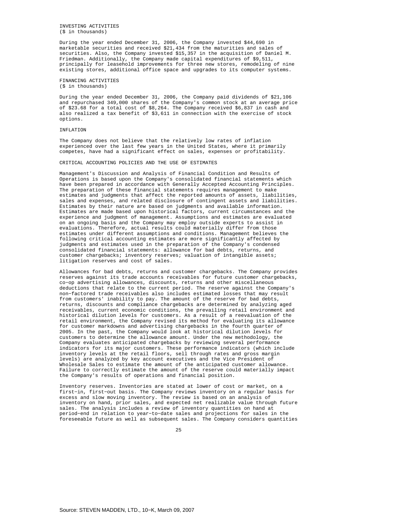INVESTING ACTIVITIES (\$ in thousands)

During the year ended December 31, 2006, the Company invested \$44,690 in marketable securities and received \$21,434 from the maturities and sales of securities. Also, the Company invested \$15,357 in the acquisition of Daniel M. Friedman. Additionally, the Company made capital expenditures of \$9,511, principally for leasehold improvements for three new stores, remodeling of nine existing stores, additional office space and upgrades to its computer systems.

FINANCING ACTIVITIES (\$ in thousands)

During the year ended December 31, 2006, the Company paid dividends of \$21,106 and repurchased 349,000 shares of the Company's common stock at an average price of \$23.68 for a total cost of \$8,264. The Company received \$6,837 in cash and also realized a tax benefit of \$3,611 in connection with the exercise of stock options.

# INFLATION

The Company does not believe that the relatively low rates of inflation experienced over the last few years in the United States, where it primarily competes, have had a significant effect on sales, expenses or profitability.

CRITICAL ACCOUNTING POLICIES AND THE USE OF ESTIMATES

Management's Discussion and Analysis of Financial Condition and Results of Operations is based upon the Company's consolidated financial statements which have been prepared in accordance with Generally Accepted Accounting Principles. The preparation of these financial statements requires management to make estimates and judgments that affect the reported amounts of assets, liabilities, sales and expenses, and related disclosure of contingent assets and liabilities. Estimates by their nature are based on judgments and available information. Estimates are made based upon historical factors, current circumstances and the experience and judgment of management. Assumptions and estimates are evaluated on an ongoing basis and the Company may employ outside experts to assist in evaluations. Therefore, actual results could materially differ from those estimates under different assumptions and conditions. Management believes the following critical accounting estimates are more significantly affected by judgments and estimates used in the preparation of the Company's condensed consolidated financial statements: allowance for bad debts, returns, and customer chargebacks; inventory reserves; valuation of intangible assets; litigation reserves and cost of sales.

Allowances for bad debts, returns and customer chargebacks. The Company provides reserves against its trade accounts receivables for future customer chargebacks, co−op advertising allowances, discounts, returns and other miscellaneous deductions that relate to the current period. The reserve against the Company's non−factored trade receivables also includes estimated losses that may result from customers' inability to pay. The amount of the reserve for bad debts, returns, discounts and compliance chargebacks are determined by analyzing aged receivables, current economic conditions, the prevailing retail environment and historical dilution levels for customers. As a result of a reevaluation of the retail environment, the Company revised its method for evaluating its allowance for customer markdowns and advertising chargebacks in the fourth quarter of 2005. In the past, the Company would look at historical dilution levels for customers to determine the allowance amount. Under the new methodology, the Company evaluates anticipated chargebacks by reviewing several performance indicators for its major customers. These performance indicators (which include inventory levels at the retail floors, sell through rates and gross margin levels) are analyzed by key account executives and the Vice President of Wholesale Sales to estimate the amount of the anticipated customer allowance. Failure to correctly estimate the amount of the reserve could materially impact the Company's results of operations and financial position.

Inventory reserves. Inventories are stated at lower of cost or market, on a first−in, first−out basis. The Company reviews inventory on a regular basis for excess and slow moving inventory. The review is based on an analysis of inventory on hand, prior sales, and expected net realizable value through future sales. The analysis includes a review of inventory quantities on hand at period−end in relation to year−to−date sales and projections for sales in the foreseeable future as well as subsequent sales. The Company considers quantities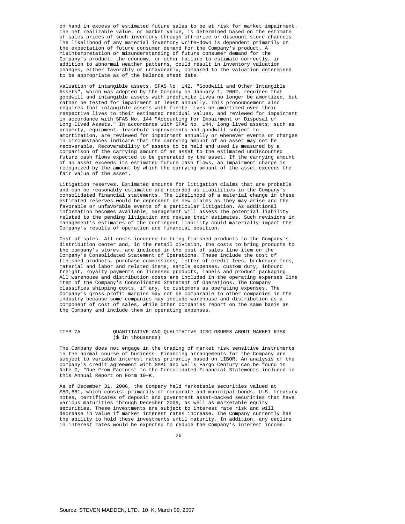on hand in excess of estimated future sales to be at risk for market impairment. The net realizable value, or market value, is determined based on the estimate of sales prices of such inventory through off−price or discount store channels. The likelihood of any material inventory write−down is dependent primarily on the expectation of future consumer demand for the Company's product. A misinterpretation or misunderstanding of future consumer demand for the Company's product, the economy, or other failure to estimate correctly, in addition to abnormal weather patterns, could result in inventory valuation changes, either favorably or unfavorably, compared to the valuation determined to be appropriate as of the balance sheet date.

Valuation of intangible assets. SFAS No. 142, "Goodwill and Other Intangible Assets", which was adopted by the Company on January 1, 2002, requires that goodwill and intangible assets with indefinite lives no longer be amortized, but rather be tested for impairment at least annually. This pronouncement also requires that intangible assets with finite lives be amortized over their respective lives to their estimated residual values, and reviewed for impairment in accordance with SFAS No. 144 "Accounting for Impairment or Disposal of Long−lived Assets." In accordance with SFAS No. 144, long−lived assets, such as property, equipment, leasehold improvements and goodwill subject to amortization, are reviewed for impairment annually or whenever events or changes in circumstances indicate that the carrying amount of an asset may not be recoverable. Recoverability of assets to be held and used is measured by a comparison of the carrying amount of an asset to the estimated undiscounted future cash flows expected to be generated by the asset. If the carrying amount of an asset exceeds its estimated future cash flows, an impairment charge is recognized by the amount by which the carrying amount of the asset exceeds the fair value of the asset.

Litigation reserves. Estimated amounts for litigation claims that are probable and can be reasonably estimated are recorded as liabilities in the Company's consolidated financial statements. The likelihood of a material change in these estimated reserves would be dependent on new claims as they may arise and the favorable or unfavorable events of a particular litigation. As additional information becomes available, management will assess the potential liability related to the pending litigation and revise their estimates. Such revisions in management's estimates of the contingent liability could materially impact the Company's results of operation and financial position.

Cost of sales. All costs incurred to bring finished products to the Company's distribution center and, in the retail division, the costs to bring products to the company's stores, are included in the cost of sales line item on the Company's Consolidated Statement of Operations. These include the cost of finished products, purchase commissions, letter of credit fees, brokerage fees, material and labor and related items, sample expenses, custom duty, inbound freight, royalty payments on licensed products, labels and product packaging. All warehouse and distribution costs are included in the operating expenses line item of the Company's Consolidated Statement of Operations. The Company classifies shipping costs, if any, to customers as operating expenses. The Company's gross profit margins may not be comparable to other companies in the industry because some companies may include warehouse and distribution as a component of cost of sales, while other companies report on the same basis as the Company and include them in operating expenses.

#### <span id="page-31-0"></span>ITEM 7A QUANTITATIVE AND QUALITATIVE DISCLOSURES ABOUT MARKET RISK (\$ in thousands)

The Company does not engage in the trading of market risk sensitive instruments in the normal course of business. Financing arrangements for the Company are subject to variable interest rates primarily based on LIBOR. An analysis of the Company's credit agreement with GMAC and Wells Fargo Century can be found in Note C, "Due From Factors" to the Consolidated Financial Statements included in this Annual Report on Form 10−K.

As of December 31, 2006, the Company held marketable securities valued at \$89,681, which consist primarily of corporate and municipal bonds, U.S. treasury notes, certificates of deposit and government asset−backed securities that have various maturities through December 2009, as well as marketable equity securities. These investments are subject to interest rate risk and will decrease in value if market interest rates increase. The Company currently has the ability to hold these investments until maturity. In addition, any decline in interest rates would be expected to reduce the Company's interest income.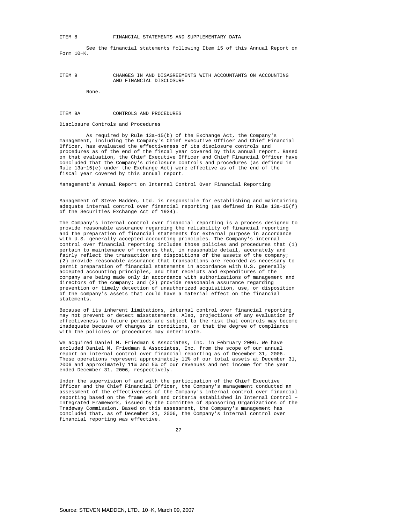### <span id="page-32-0"></span>ITEM 8 FINANCIAL STATEMENTS AND SUPPLEMENTARY DATA

 See the financial statements following Item 15 of this Annual Report on Form 10−K.

#### <span id="page-32-1"></span>ITEM 9 CHANGES IN AND DISAGREEMENTS WITH ACCOUNTANTS ON ACCOUNTING AND FINANCIAL DISCLOSURE

None.

#### <span id="page-32-2"></span>ITEM 9A CONTROLS AND PROCEDURES

Disclosure Controls and Procedures

 As required by Rule 13a−15(b) of the Exchange Act, the Company's management, including the Company's Chief Executive Officer and Chief Financial Officer, has evaluated the effectiveness of its disclosure controls and procedures as of the end of the fiscal year covered by this annual report. Based on that evaluation, the Chief Executive Officer and Chief Financial Officer have concluded that the Company's disclosure controls and procedures (as defined in Rule 13a−15(e) under the Exchange Act) were effective as of the end of the fiscal year covered by this annual report.

Management's Annual Report on Internal Control Over Financial Reporting

Management of Steve Madden, Ltd. is responsible for establishing and maintaining adequate internal control over financial reporting (as defined in Rule 13a−15(f) of the Securities Exchange Act of 1934).

The Company's internal control over financial reporting is a process designed to provide reasonable assurance regarding the reliability of financial reporting and the preparation of financial statements for external purpose in accordance with U.S. generally accepted accounting principles. The Company's internal control over financial reporting includes those policies and procedures that (1) pertain to maintenance of records that, in reasonable detail, accurately and fairly reflect the transaction and dispositions of the assets of the company; (2) provide reasonable assurance that transactions are recorded as necessary to permit preparation of financial statements in accordance with U.S. generally accepted accounting principles, and that receipts and expenditures of the company are being made only in accordance with authorizations of management and directors of the company; and (3) provide reasonable assurance regarding prevention or timely detection of unauthorized acquisition, use, or disposition of the company's assets that could have a material effect on the financial statements.

Because of its inherent limitations, internal control over financial reporting may not prevent or detect misstatements. Also, projections of any evaluation of effectiveness to future periods are subject to the risk that controls may become inadequate because of changes in conditions, or that the degree of compliance with the policies or procedures may deteriorate.

We acquired Daniel M. Friedman & Associates, Inc. in February 2006. We have excluded Daniel M. Friedman & Associates, Inc. from the scope of our annual report on internal control over financial reporting as of December 31, 2006. These operations represent approximately 11% of our total assets at December 31, 2006 and approximately 11% and 5% of our revenues and net income for the year ended December 31, 2006, respectively.

Under the supervision of and with the participation of the Chief Executive Officer and the Chief Financial Officer, the Company's management conducted an assessment of the effectiveness of the Company's internal control over financial reporting based on the frame work and criteria established in Internal Control − Integrated Framework, issued by the Committee of Sponsoring Organizations of the Tradeway Commission. Based on this assessment, the Company's management has concluded that, as of December 31, 2006, the Company's internal control over financial reporting was effective.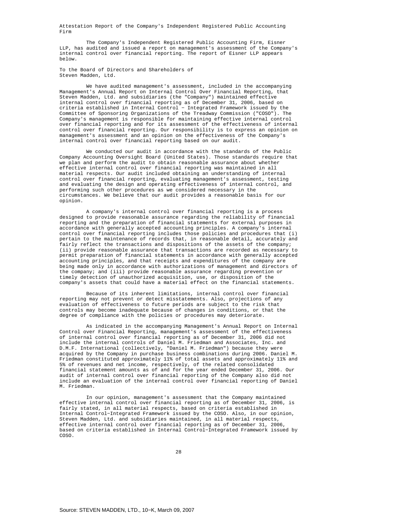Attestation Report of the Company's Independent Registered Public Accounting Firm

 The Company's Independent Registered Public Accounting Firm, Eisner LLP, has audited and issued a report on management's assessment of the Company's internal control over financial reporting. The report of Eisner LLP appears below.

To the Board of Directors and Shareholders of Steven Madden, Ltd.

 We have audited management's assessment, included in the accompanying Management's Annual Report on Internal Control Over Financial Reporting, that Steven Madden, Ltd. and subsidiaries (the "Company") maintained effective internal control over financial reporting as of December 31, 2006, based on criteria established in Internal Control − Integrated Framework issued by the Committee of Sponsoring Organizations of the Treadway Commission ("COSO"). The Company's management is responsible for maintaining effective internal control over financial reporting and for its assessment of the effectiveness of internal control over financial reporting. Our responsibility is to express an opinion on management's assessment and an opinion on the effectiveness of the Company's internal control over financial reporting based on our audit.

 We conducted our audit in accordance with the standards of the Public Company Accounting Oversight Board (United States). Those standards require that we plan and perform the audit to obtain reasonable assurance about whether effective internal control over financial reporting was maintained in all material respects. Our audit included obtaining an understanding of internal control over financial reporting, evaluating management's assessment, testing and evaluating the design and operating effectiveness of internal control, and performing such other procedures as we considered necessary in the circumstances. We believe that our audit provides a reasonable basis for our opinion.

 A company's internal control over financial reporting is a process designed to provide reasonable assurance regarding the reliability of financial reporting and the preparation of financial statements for external purposes in accordance with generally accepted accounting principles. A company's internal control over financial reporting includes those policies and procedures that (i) pertain to the maintenance of records that, in reasonable detail, accurately and fairly reflect the transactions and dispositions of the assets of the company; (ii) provide reasonable assurance that transactions are recorded as necessary to permit preparation of financial statements in accordance with generally accepted accounting principles, and that receipts and expenditures of the company are being made only in accordance with authorizations of management and directors of the company; and (iii) provide reasonable assurance regarding prevention or timely detection of unauthorized acquisition, use, or disposition of the company's assets that could have a material effect on the financial statements.

 Because of its inherent limitations, internal control over financial reporting may not prevent or detect misstatements. Also, projections of any evaluation of effectiveness to future periods are subject to the risk that controls may become inadequate because of changes in conditions, or that the degree of compliance with the policies or procedures may deteriorate.

 As indicated in the accompanying Management's Annual Report on Internal Control over Financial Reporting, management's assessment of the effectiveness of internal control over financial reporting as of December 31, 2006 did not include the internal controls of Daniel M. Friedman and Associates, Inc. and D.M.F. International (collectively, "Daniel M. Friedman") because they were acquired by the Company in purchase business combinations during 2006. Daniel M. Friedman constituted approximately 11% of total assets and approximately 11% and 5% of revenues and net income, respectively, of the related consolidated financial statement amounts as of and for the year ended December 31, 2006. Our audit of internal control over financial reporting of the Company also did not include an evaluation of the internal control over financial reporting of Daniel M. Friedman.

 In our opinion, management's assessment that the Company maintained effective internal control over financial reporting as of December 31, 2006, is fairly stated, in all material respects, based on criteria established in Internal Control−Integrated Framework issued by the COSO. Also, in our opinion, Steven Madden, Ltd. and subsidiaries maintained, in all material respects, effective internal control over financial reporting as of December 31, 2006, based on criteria established in Internal Control−Integrated Framework issued by COSO.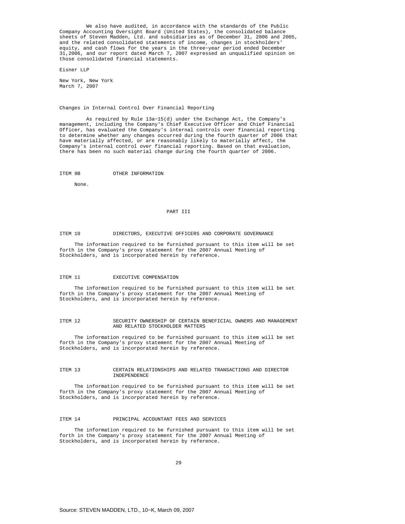We also have audited, in accordance with the standards of the Public Company Accounting Oversight Board (United States), the consolidated balance sheets of Steven Madden, Ltd. and subsidiaries as of December 31, 2006 and 2005, and the related consolidated statements of income, changes in stockholders' equity, and cash flows for the years in the three−year period ended December 31,2006, and our report dated March 7, 2007 expressed an unqualified opinion on those consolidated financial statements.

Eisner LLP

New York, New York March 7, 2007

Changes in Internal Control Over Financial Reporting

 As required by Rule 13a−15(d) under the Exchange Act, the Company's management, including the Company's Chief Executive Officer and Chief Financial Officer, has evaluated the Company's internal controls over financial reporting to determine whether any changes occurred during the fourth quarter of 2006 that have materially affected, or are reasonably likely to materially affect, the Company's internal control over financial reporting. Based on that evaluation, there has been no such material change during the fourth quarter of 2006.

<span id="page-34-0"></span>ITEM 9B OTHER INFORMATION

None.

# PART III

<span id="page-34-2"></span><span id="page-34-1"></span>ITEM 10 DIRECTORS, EXECUTIVE OFFICERS AND CORPORATE GOVERNANCE

 The information required to be furnished pursuant to this item will be set forth in the Company's proxy statement for the 2007 Annual Meeting of Stockholders, and is incorporated herein by reference.

#### <span id="page-34-3"></span>ITEM 11 EXECUTIVE COMPENSATION

 The information required to be furnished pursuant to this item will be set forth in the Company's proxy statement for the 2007 Annual Meeting of Stockholders, and is incorporated herein by reference.

#### <span id="page-34-4"></span>ITEM 12 SECURITY OWNERSHIP OF CERTAIN BENEFICIAL OWNERS AND MANAGEMENT AND RELATED STOCKHOLDER MATTERS

 The information required to be furnished pursuant to this item will be set forth in the Company's proxy statement for the 2007 Annual Meeting of Stockholders, and is incorporated herein by reference.

#### <span id="page-34-5"></span>ITEM 13 CERTAIN RELATIONSHIPS AND RELATED TRANSACTIONS AND DIRECTOR INDEPENDENCE

 The information required to be furnished pursuant to this item will be set forth in the Company's proxy statement for the 2007 Annual Meeting of Stockholders, and is incorporated herein by reference.

#### <span id="page-34-6"></span>ITEM 14 PRINCIPAL ACCOUNTANT FEES AND SERVICES

 The information required to be furnished pursuant to this item will be set forth in the Company's proxy statement for the 2007 Annual Meeting of Stockholders, and is incorporated herein by reference.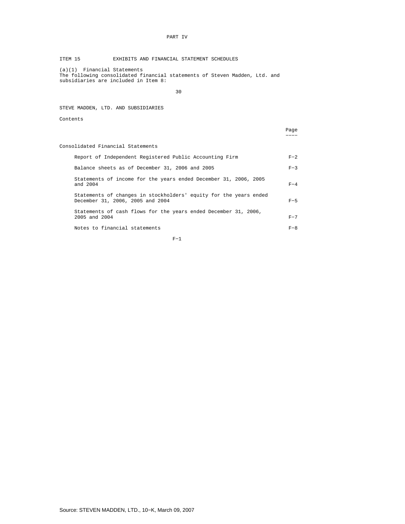# PART IV

<span id="page-35-1"></span><span id="page-35-0"></span>ITEM 15 EXHIBITS AND FINANCIAL STATEMENT SCHEDULES

(a)(1) Financial Statements The following consolidated financial statements of Steven Madden, Ltd. and subsidiaries are included in Item 8:

30

STEVE MADDEN, LTD. AND SUBSIDIARIES

Contents

 Page −−−−

Consolidated Financial Statements

| Report of Independent Registered Public Accounting Firm                                               | $F - 2$ |
|-------------------------------------------------------------------------------------------------------|---------|
| Balance sheets as of December 31, 2006 and 2005                                                       | $F-3$   |
| Statements of income for the years ended December 31, 2006, 2005<br>and $2004$                        | $F - 4$ |
| Statements of changes in stockholders' equity for the years ended<br>December 31, 2006, 2005 and 2004 | $F - 5$ |
| Statements of cash flows for the years ended December 31, 2006,<br>2005 and 2004                      | $F - 7$ |
| Notes to financial statements                                                                         | $F - 8$ |
| $F-1$                                                                                                 |         |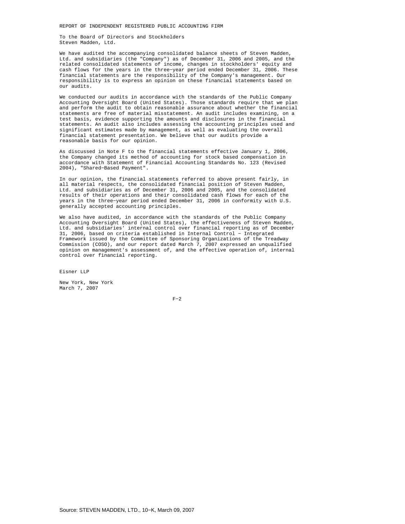To the Board of Directors and Stockholders Steven Madden, Ltd.

We have audited the accompanying consolidated balance sheets of Steven Madden, Ltd. and subsidiaries (the "Company") as of December 31, 2006 and 2005, and the related consolidated statements of income, changes in stockholders' equity and cash flows for the years in the three−year period ended December 31, 2006. These financial statements are the responsibility of the Company's management. Our responsibility is to express an opinion on these financial statements based on our audits.

We conducted our audits in accordance with the standards of the Public Company Accounting Oversight Board (United States). Those standards require that we plan and perform the audit to obtain reasonable assurance about whether the financial statements are free of material misstatement. An audit includes examining, on a test basis, evidence supporting the amounts and disclosures in the financial statements. An audit also includes assessing the accounting principles used and significant estimates made by management, as well as evaluating the overall financial statement presentation. We believe that our audits provide a reasonable basis for our opinion.

As discussed in Note F to the financial statements effective January 1, 2006, the Company changed its method of accounting for stock based compensation in accordance with Statement of Financial Accounting Standards No. 123 (Revised 2004), "Shared−Based Payment".

In our opinion, the financial statements referred to above present fairly, in all material respects, the consolidated financial position of Steven Madden, Ltd. and subsidiaries as of December 31, 2006 and 2005, and the consolidated results of their operations and their consolidated cash flows for each of the years in the three−year period ended December 31, 2006 in conformity with U.S. generally accepted accounting principles.

We also have audited, in accordance with the standards of the Public Company Accounting Oversight Board (United States), the effectiveness of Steven Madden, Ltd. and subsidiaries' internal control over financial reporting as of December 31, 2006, based on criteria established in Internal Control − Integrated Framework issued by the Committee of Sponsoring Organizations of the Treadway Commission (COSO), and our report dated March 7, 2007 expressed an unqualified opinion on management's assessment of, and the effective operation of, internal control over financial reporting.

Eisner LLP

New York, New York March 7, 2007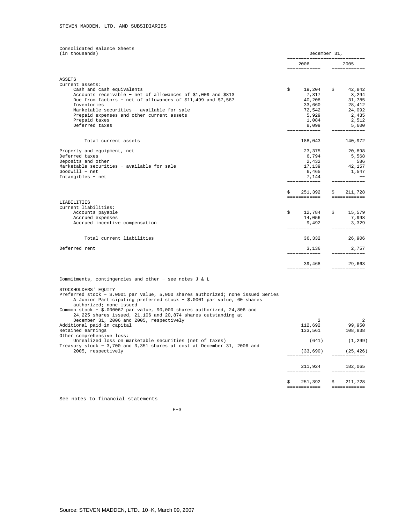Consolidated Balance Sheets (in thousands) December 31,

|                                                                                                                                                                                                                | ----------------------------- |                          |  |                                                                                                           |  |
|----------------------------------------------------------------------------------------------------------------------------------------------------------------------------------------------------------------|-------------------------------|--------------------------|--|-----------------------------------------------------------------------------------------------------------|--|
|                                                                                                                                                                                                                |                               | 2006                     |  | 2005                                                                                                      |  |
| ASSETS                                                                                                                                                                                                         |                               |                          |  |                                                                                                           |  |
| Current assets:                                                                                                                                                                                                |                               |                          |  |                                                                                                           |  |
| Cash and cash equivalents                                                                                                                                                                                      | \$                            | 19,204                   |  | \$ 42,842                                                                                                 |  |
|                                                                                                                                                                                                                |                               |                          |  |                                                                                                           |  |
| Accounts receivable - net of allowances of \$1,009 and \$813                                                                                                                                                   |                               |                          |  | $\begin{array}{ccc}\n 19,204 & \rightarrow & \\ 7,317 & & 3,294 \\ \hline\n 200 & & 31,785\n \end{array}$ |  |
| Due from factors - net of allowances of \$11,499 and \$7,587                                                                                                                                                   |                               | 40,208                   |  |                                                                                                           |  |
| Inventories                                                                                                                                                                                                    |                               | 33,660                   |  | 28,412                                                                                                    |  |
| Marketable securities - available for sale                                                                                                                                                                     |                               | 72,542                   |  | 24,092                                                                                                    |  |
| Prepaid expenses and other current assets                                                                                                                                                                      |                               | 5,929                    |  | 2,435                                                                                                     |  |
| Prepaid taxes                                                                                                                                                                                                  |                               | 1,084                    |  | 2,512                                                                                                     |  |
| Deferred taxes                                                                                                                                                                                                 |                               | 8,099<br>------------    |  | 5,600<br>------------                                                                                     |  |
| Total current assets                                                                                                                                                                                           |                               |                          |  | 188,043 140,972                                                                                           |  |
| Property and equipment, net                                                                                                                                                                                    |                               | 23,375                   |  | 20,898                                                                                                    |  |
| Deferred taxes                                                                                                                                                                                                 |                               | 6,794                    |  |                                                                                                           |  |
|                                                                                                                                                                                                                |                               |                          |  | 5,568                                                                                                     |  |
| Deposits and other                                                                                                                                                                                             |                               | 2,432                    |  | 586                                                                                                       |  |
| Marketable securities - available for sale                                                                                                                                                                     |                               | 17,139                   |  | 42,157                                                                                                    |  |
| Goodwill $-$ net                                                                                                                                                                                               |                               | 6,465                    |  | 1,547                                                                                                     |  |
| Intangibles - net                                                                                                                                                                                              |                               | 7,144<br>-----------     |  | $\sim$ $-$<br>------------                                                                                |  |
|                                                                                                                                                                                                                |                               | $$251,392$ $$211,728$    |  |                                                                                                           |  |
|                                                                                                                                                                                                                |                               | ============             |  | ------------                                                                                              |  |
| LIABILITIES                                                                                                                                                                                                    |                               |                          |  |                                                                                                           |  |
| Current liabilities:                                                                                                                                                                                           |                               |                          |  |                                                                                                           |  |
| Accounts payable                                                                                                                                                                                               |                               | \$12,784                 |  | \$15,579                                                                                                  |  |
| Accrued expenses                                                                                                                                                                                               |                               |                          |  | $14,056$ 7,998                                                                                            |  |
| Accrued incentive compensation                                                                                                                                                                                 |                               | 9,492                    |  | 3,329                                                                                                     |  |
|                                                                                                                                                                                                                |                               |                          |  | ____________                                                                                              |  |
| Total current liabilities                                                                                                                                                                                      |                               | 36,332                   |  | 26,906                                                                                                    |  |
| Deferred rent                                                                                                                                                                                                  |                               | 3,136                    |  | 2,757                                                                                                     |  |
|                                                                                                                                                                                                                |                               | -------------            |  | ----------                                                                                                |  |
|                                                                                                                                                                                                                |                               | 39,468<br>-------------  |  | 29,663<br>-----------                                                                                     |  |
|                                                                                                                                                                                                                |                               |                          |  |                                                                                                           |  |
| Commitments, contingencies and other - see notes $J &L$                                                                                                                                                        |                               |                          |  |                                                                                                           |  |
| STOCKHOLDERS' EQUITY<br>Preferred stock - \$.0001 par value, $5,000$ shares authorized; none issued Series<br>A Junior Participating preferred stock - \$.0001 par value, 60 shares<br>authorized; none issued |                               |                          |  |                                                                                                           |  |
| Common stock - \$.000067 par value, 90,000 shares authorized, 24,806 and                                                                                                                                       |                               |                          |  |                                                                                                           |  |
| 24,225 shares issued, 21,106 and 20,874 shares outstanding at                                                                                                                                                  |                               |                          |  |                                                                                                           |  |
| December 31, 2006 and 2005, respectively                                                                                                                                                                       |                               | $\overline{a}$           |  | -2                                                                                                        |  |
| Additional paid-in capital                                                                                                                                                                                     |                               | 112,692                  |  | 99,950                                                                                                    |  |
| Retained earnings                                                                                                                                                                                              |                               | 133,561                  |  | 108,838                                                                                                   |  |
| Other comprehensive loss:                                                                                                                                                                                      |                               |                          |  |                                                                                                           |  |
| Unrealized loss on marketable securities (net of taxes)<br>Treasury stock - 3,700 and 3,351 shares at cost at December 31, 2006 and                                                                            |                               | (641)                    |  | (1, 299)                                                                                                  |  |
| 2005, respectively                                                                                                                                                                                             |                               | (33, 690)                |  | (25, 426)                                                                                                 |  |
|                                                                                                                                                                                                                |                               |                          |  | -------------                                                                                             |  |
|                                                                                                                                                                                                                |                               | 211,924<br>------------- |  | 182,065<br>------------                                                                                   |  |
|                                                                                                                                                                                                                |                               | \$251,392                |  | \$211,728                                                                                                 |  |
|                                                                                                                                                                                                                |                               | ============             |  | ============                                                                                              |  |

See notes to financial statements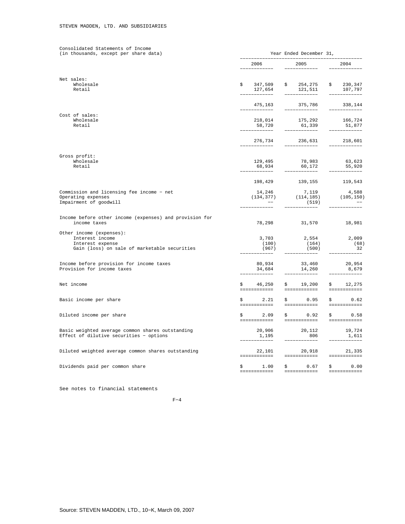| Consolidated Statements of Income<br>(in thousands, except per share data)                                      |                                   | Year Ended December 31,                                                                                                           |                                     |  |  |  |  |
|-----------------------------------------------------------------------------------------------------------------|-----------------------------------|-----------------------------------------------------------------------------------------------------------------------------------|-------------------------------------|--|--|--|--|
|                                                                                                                 | 2006                              | 2005 2004                                                                                                                         |                                     |  |  |  |  |
| Net sales:<br>Wholesale<br>Retail                                                                               | \$<br>-------------               | 347,509 \$ 254,275 \$ 230,347<br>$127,654$ $121,511$ $107,797$<br>____________                                                    | ------------                        |  |  |  |  |
|                                                                                                                 | ------------                      | 475,163 375,786<br>____________                                                                                                   | 338,144<br>------------             |  |  |  |  |
| Cost of sales:<br>Wholesale<br>Retail                                                                           | 218,014<br>58,720<br>------------ | 175,292<br>61,339<br>____________                                                                                                 | 166,724<br>51,877<br>------------   |  |  |  |  |
|                                                                                                                 | ------------                      | 276,734 236,631<br>-------------                                                                                                  | 218,601<br>-------------            |  |  |  |  |
| Gross profit:<br>Wholesale<br>Retail                                                                            | 129,495<br>--------------         | 129,495 78,983<br>68,934 60,172<br>_____________                                                                                  | 63,623<br>55,920<br>------------    |  |  |  |  |
| Commission and licensing fee income - net<br>Operating expenses<br>Impairment of goodwill                       | 198,429                           | 139,155<br>7,119<br>$(134,377) \qquad \qquad (114,185) \qquad \qquad (105,150)$ $\qquad \qquad (114,185) \qquad \qquad (105,150)$ | 119,543                             |  |  |  |  |
| Income before other income (expenses) and provision for<br>income taxes                                         |                                   | 78,298 31,570 18,981                                                                                                              |                                     |  |  |  |  |
| Other income (expenses):<br>Interest income<br>Interest expense<br>Gain (loss) on sale of marketable securities | 3,703<br>(100)<br>(967)           | 2,554<br>$(164)$<br>(500)<br>-------------                                                                                        | 2,009<br>(68)<br>32<br>------------ |  |  |  |  |
| Income before provision for income taxes<br>Provision for income taxes                                          | 34,684                            | 80,934<br>34,684<br>14,260<br>------------                                                                                        | 20,954<br>8,679<br>------------     |  |  |  |  |
| Net income                                                                                                      |                                   |                                                                                                                                   |                                     |  |  |  |  |
| Basic income per share                                                                                          |                                   | $$2.21$ \$ 0.95                                                                                                                   | \$0.62                              |  |  |  |  |
| Diluted income per share                                                                                        |                                   | $$2.09$ \$ 0.92 \$ 0.58                                                                                                           |                                     |  |  |  |  |
| Basic weighted average common shares outstanding<br>Effect of dilutive securities - options                     | 20,906<br>1,195<br>____________   | 20,112<br>806                                                                                                                     | 19,724<br>1,611<br>------------     |  |  |  |  |
| Diluted weighted average common shares outstanding                                                              |                                   | 22,101 20,918 21,335                                                                                                              |                                     |  |  |  |  |
| Dividends paid per common share                                                                                 |                                   | $$1.00 \t$ 0.67 \t$ 0.00$                                                                                                         |                                     |  |  |  |  |

See notes to financial statements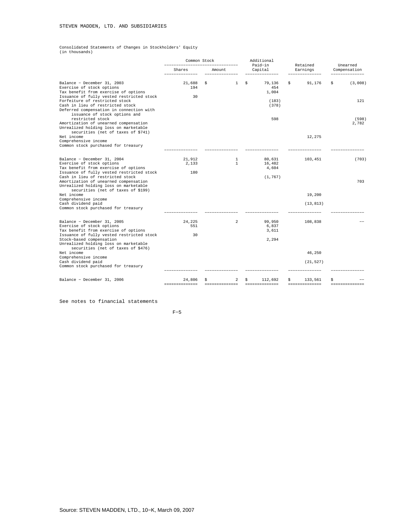# Consolidated Statements of Changes in Stockholders' Equity (in thousands)

|                                                                                                                                                                                | Common Stock             |                | Additional<br>Paid-in        |    |                                   |    |                     | Retained |                | Unearned |
|--------------------------------------------------------------------------------------------------------------------------------------------------------------------------------|--------------------------|----------------|------------------------------|----|-----------------------------------|----|---------------------|----------|----------------|----------|
|                                                                                                                                                                                | Shares<br>-------------- | Amount         |                              |    | Capital                           |    | Earnings            | .        | Compensation   |          |
| Balance - December 31, 2003<br>Exercise of stock options<br>Tax benefit from exercise of options<br>Issuance of fully vested restricted stock                                  | 21,688<br>194<br>30      | Ŝ              | $\mathbf{1}$                 | Ŝ. | 79.136<br>454<br>1,004            | Ŝ. | 91,176              | Ŝ.       | (3,008)        |          |
| Forfeiture of restricted stock<br>Cash in lieu of restricted stock<br>Deferred compensation in connection with<br>issuance of stock options and                                |                          |                |                              |    | (183)<br>(378)                    |    |                     |          | 121            |          |
| restricted stock<br>Amortization of unearned compensation<br>Unrealized holding loss on marketable<br>securities (net of taxes of \$741)                                       |                          |                |                              |    | 598                               |    |                     |          | (598)<br>2,782 |          |
| Net income<br>Comprehensive income<br>Common stock purchased for treasury                                                                                                      |                          |                |                              |    |                                   |    | 12,275              |          |                |          |
| Balance - December 31, 2004<br>Exercise of stock options<br>Tax benefit from exercise of options<br>Issuance of fully vested restricted stock                                  | 21,912<br>2,133<br>180   |                | $\mathbf{1}$<br>$\mathbf{1}$ |    | 80,631<br>16,482<br>4,604         |    | 103,451             |          | (703)          |          |
| Cash in lieu of restricted stock<br>Amortization of unearned compensation<br>Unrealized holding loss on marketable<br>securities (net of taxes of \$199)                       |                          |                |                              |    | (1, 767)                          |    |                     |          | 703            |          |
| Net income<br>Comprehensive income<br>Cash dividend paid<br>Common stock purchased for treasury                                                                                |                          |                |                              |    |                                   |    | 19,200<br>(13, 813) |          |                |          |
| Balance - December 31, 2005<br>Exercise of stock options<br>Tax benefit from exercise of options<br>Issuance of fully vested restricted stock<br>Stock-based compensation      | 24,225<br>551<br>30      |                | 2                            |    | 99,950<br>6,837<br>3,611<br>2,294 |    | 108,838             |          |                |          |
| Unrealized holding loss on marketable<br>securities (net of taxes of \$476)<br>Net income<br>Comprehensive income<br>Cash dividend paid<br>Common stock purchased for treasury |                          |                |                              |    |                                   |    | 46,250<br>(21, 527) |          |                |          |
| Balance - December 31, 2006                                                                                                                                                    | 24,806                   |                | 2                            | Ŝ  | 112,692                           | Ŝ  | 133,561             | Ŝ        |                |          |
|                                                                                                                                                                                | ==============           | ============== |                              |    | ==============                    |    | ==============      |          |                |          |

See notes to financial statements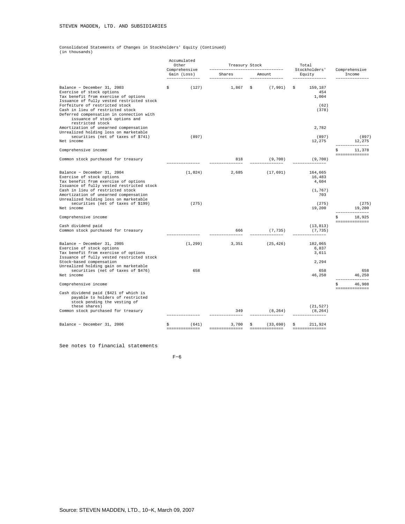Consolidated Statements of Changes in Stockholders' Equity (Continued) (in thousands)

|                                                                                                                                                                                 |                      | Accumulated<br>Other<br>Treasury Stock<br>Comprehensive |                         | --------------------------------<br>Shares<br>Amount<br>-------------- |                             | Total                                   |                                |
|---------------------------------------------------------------------------------------------------------------------------------------------------------------------------------|----------------------|---------------------------------------------------------|-------------------------|------------------------------------------------------------------------|-----------------------------|-----------------------------------------|--------------------------------|
|                                                                                                                                                                                 | Gain (Loss)          |                                                         |                         |                                                                        |                             | Stockholders'<br>Equity                 | Comprehensive<br>Income        |
| Balance - December 31, 2003<br>Exercise of stock options<br>Tax benefit from exercise of options<br>Issuance of fully vested restricted stock<br>Forfeiture of restricted stock | \$                   | (127)                                                   | 1,867 \$                |                                                                        | $(7,991)$ \$                | 159,187<br>454<br>1,004<br>(62)         |                                |
| Cash in lieu of restricted stock<br>Deferred compensation in connection with<br>issuance of stock options and<br>restricted stock                                               |                      |                                                         |                         |                                                                        |                             | (378)                                   |                                |
| Amortization of unearned compensation<br>Unrealized holding loss on marketable<br>securities (net of taxes of \$741)<br>Net income                                              |                      | (897)                                                   |                         |                                                                        |                             | 2,782<br>(897)<br>12,275                | (897)<br>12,275<br>----------  |
| Comprehensive income                                                                                                                                                            |                      |                                                         |                         |                                                                        |                             |                                         | 11,378<br>Ŝ.                   |
| Common stock purchased for treasury                                                                                                                                             |                      |                                                         | 818<br>--------------   |                                                                        | (9, 700)<br>--------------- | (9, 700)<br>--------------              | ==============                 |
| Balance - December 31, 2004<br>Exercise of stock options<br>Tax benefit from exercise of options<br>Issuance of fully vested restricted stock                                   |                      | (1,024)                                                 | 2,685                   |                                                                        | (17, 691)                   | 164,665<br>16,483<br>4,604              |                                |
| Cash in lieu of restricted stock<br>Amortization of unearned compensation<br>Unrealized holding loss on marketable                                                              |                      |                                                         |                         |                                                                        |                             | (1, 767)<br>703                         |                                |
| securities (net of taxes of \$199)<br>Net income                                                                                                                                |                      | (275)                                                   |                         |                                                                        |                             | (275)<br>19,200                         | (275)<br>19,200<br>----------  |
| Comprehensive income                                                                                                                                                            |                      |                                                         |                         |                                                                        |                             |                                         | 18,925<br>Ŝ.<br>-------------- |
| Cash dividend paid<br>Common stock purchased for treasury                                                                                                                       |                      |                                                         | 666<br>--------------   |                                                                        | (7, 735)<br>-------------   | (13, 813)<br>(7, 735)<br>-------------- |                                |
| Balance - December 31, 2005<br>Exercise of stock options<br>Tax benefit from exercise of options<br>Issuance of fully vested restricted stock                                   |                      | (1, 299)                                                | 3,351                   |                                                                        | (25, 426)                   | 182,065<br>6,837<br>3,611               |                                |
| Stock-based compensation<br>Unrealized holding gain on marketable                                                                                                               |                      |                                                         |                         |                                                                        |                             | 2,294                                   |                                |
| securities (net of taxes of \$476)<br>Net income                                                                                                                                |                      | 658                                                     |                         |                                                                        |                             | 658<br>46,250                           | 658<br>46,250<br>-----------   |
| Comprehensive income                                                                                                                                                            |                      |                                                         |                         |                                                                        |                             |                                         | 46.908                         |
| Cash dividend paid (\$421 of which is<br>payable to holders of restricted<br>stock pending the vesting of                                                                       |                      |                                                         |                         |                                                                        |                             |                                         | --------------                 |
| these shares)<br>Common stock purchased for treasury                                                                                                                            |                      |                                                         | 349                     |                                                                        | (8, 264)                    | (21, 527)<br>(8, 264)                   |                                |
| Balance - December 31, 2006                                                                                                                                                     | \$<br>============== | (641)                                                   | 3,700<br>============== | \$                                                                     | (33, 690)<br>-------------- | \$<br>211,924<br>--------------         |                                |

See notes to financial statements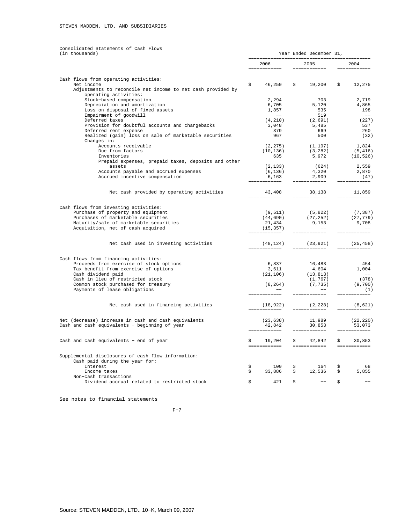Consolidated Statements of Cash Flows (in thousands) Year Ended December 31,

|                                                                         | 2006                      | 2005                                     | 2004                                         |
|-------------------------------------------------------------------------|---------------------------|------------------------------------------|----------------------------------------------|
| Cash flows from operating activities:                                   |                           |                                          |                                              |
| Net income                                                              | \$<br>46,250              | \$19,200                                 | $\ddot{s}$<br>12,275                         |
| Adjustments to reconcile net income to net cash provided by             |                           |                                          |                                              |
| operating activities:                                                   |                           |                                          |                                              |
| Stock-based compensation                                                | 2,294                     | 703                                      | 2,719                                        |
| Depreciation and amortization                                           | 6,705                     | 5,120                                    | 4,865                                        |
| Loss on disposal of fixed assets                                        | 1,857                     | 535                                      | 198                                          |
| Impairment of goodwill                                                  | $- - -$                   | 519                                      | $- - -$                                      |
| Deferred taxes                                                          | (4, 210)                  | (2,691)                                  | (227)                                        |
| Provision for doubtful accounts and chargebacks                         | 3,048                     | 5,485                                    | 537<br>260                                   |
| Deferred rent expense                                                   | 379<br>967                | 669<br>500                               |                                              |
| Realized (gain) loss on sale of marketable securities                   |                           |                                          | (32)                                         |
| Changes in:<br>Accounts receivable                                      |                           |                                          | 1,824                                        |
| Due from factors                                                        | (2, 275)<br>(10, 136)     | (1,197)<br>(3,282)                       |                                              |
| Inventories                                                             |                           |                                          | (5, 416)<br>(10, 526)                        |
| Prepaid expenses, prepaid taxes, deposits and other                     | 635                       | 5,972                                    |                                              |
| assets                                                                  |                           |                                          | 2,559                                        |
|                                                                         | (2, 133)                  | (624)<br>4,320                           |                                              |
| Accounts payable and accrued expenses<br>Accrued incentive compensation | (6, 136)<br>6,163         | 2,909                                    | 2,870<br>(47)                                |
|                                                                         | -------------             | -------------                            |                                              |
| Net cash provided by operating activities                               |                           | 43,408 38,138                            | 11,859                                       |
|                                                                         | ___________               |                                          |                                              |
| Cash flows from investing activities:                                   |                           |                                          |                                              |
| Purchase of property and equipment                                      | (9, 511)                  |                                          |                                              |
| Purchases of marketable securities                                      | (44,690)                  |                                          | $(5,822)$ $(7,387)$<br>$(27,252)$ $(27,779)$ |
| Maturity/sale of marketable securities                                  | 21,434                    | 9,153                                    | 9,708                                        |
| Acquisition, net of cash acquired                                       | (15, 357)<br>------------ | $\sim 100$ km s $^{-1}$<br>------------- | $\sim$ $-$                                   |
| Net cash used in investing activities                                   |                           | $(48, 124)$ $(23, 921)$ $(25, 458)$      |                                              |
|                                                                         | ------------              |                                          | -------------                                |
| Cash flows from financing activities:                                   |                           |                                          |                                              |
| Proceeds from exercise of stock options                                 | 6,837<br>3,611            | 16,483                                   | 454<br>1,004                                 |
| Tax benefit from exercise of options                                    |                           | 4,604<br>(13, 813)                       |                                              |
| Cash dividend paid                                                      | (21, 106)                 |                                          | $\sim$ $-$                                   |
| Cash in lieu of restricted stock                                        | $-$<br>(8,264)            | $(1, 767)$<br>$(7, 735)$                 | (378)<br>$(378)$<br>(9,700)                  |
| Common stock purchased for treasury                                     |                           |                                          |                                              |
| Payments of lease obligations                                           | $ -$<br>____________      | $\sim$ $\sim$ $  -$<br>-------------     | (1)<br>-------------                         |
| Net cash used in financing activities                                   |                           | $(18,922)$ $(2,228)$ $(8,621)$           |                                              |
|                                                                         |                           |                                          |                                              |
| Net (decrease) increase in cash and cash equivalents                    |                           | $(23, 638)$ 11,989                       | (22, 220)                                    |
| Cash and cash equivalents - beginning of year                           | 42,842                    | 30,853<br>-------------                  | 53,073<br>------------                       |
| Cash and cash equivalents - end of year                                 |                           | $$19,204$ $$42,842$ $$30,853$            |                                              |
|                                                                         |                           |                                          |                                              |
| Supplemental disclosures of cash flow information:                      |                           |                                          |                                              |
| Cash paid during the year for:<br>Interest                              | \$                        | 164                                      | \$<br>68                                     |
| Income taxes                                                            | 100<br>\$33,886           | \$                                       | $$12,536$ \$5,855                            |
| Non-cash transactions                                                   |                           |                                          |                                              |
| Dividend accrual related to restricted stock                            | \$<br>421                 | \$<br>$---$                              | \$<br>$\qquad \qquad -$                      |
|                                                                         |                           |                                          |                                              |

See notes to financial statements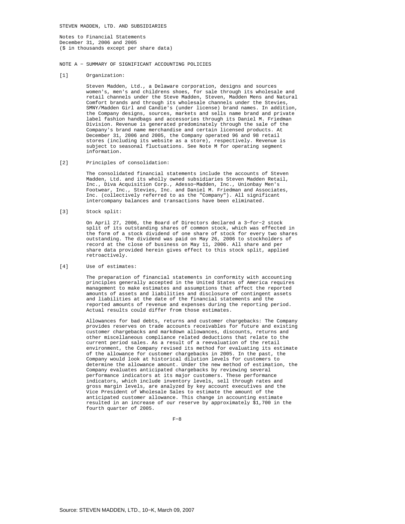# NOTE A − SUMMARY OF SIGNIFICANT ACCOUNTING POLICIES

[1] Organization:

 Steven Madden, Ltd., a Delaware corporation, designs and sources women's, men's and childrens shoes, for sale through its wholesale and retail channels under the Steve Madden, Steven, Madden Mens and Natural Comfort brands and through its wholesale channels under the Stevies, SMNY/Madden Girl and Candie's (under license) brand names. In addition, the Company designs, sources, markets and sells name brand and private label fashion handbags and accessories through its Daniel M. Friedman Division. Revenue is generated predominately through the sale of the Company's brand name merchandise and certain licensed products. At December 31, 2006 and 2005, the Company operated 96 and 98 retail stores (including its website as a store), respectively. Revenue is subject to seasonal fluctuations. See Note M for operating segment information.

[2] Principles of consolidation:

 The consolidated financial statements include the accounts of Steven Madden, Ltd. and its wholly owned subsidiaries Steven Madden Retail, Inc., Diva Acquisition Corp., Adesso−Madden, Inc., Unionbay Men's Footwear, Inc., Stevies, Inc. and Daniel M. Friedman and Associates, Inc. (collectively referred to as the "Company"). All significant intercompany balances and transactions have been eliminated.

[3] Stock split:

 On April 27, 2006, the Board of Directors declared a 3−for−2 stock split of its outstanding shares of common stock, which was effected in the form of a stock dividend of one share of stock for every two shares outstanding. The dividend was paid on May 26, 2006 to stockholders of record at the close of business on May 11, 2006. All share and per share data provided herein gives effect to this stock split, applied retroactively.

[4] Use of estimates:

 The preparation of financial statements in conformity with accounting principles generally accepted in the United States of America requires management to make estimates and assumptions that affect the reported amounts of assets and liabilities and disclosure of contingent assets and liabilities at the date of the financial statements and the reported amounts of revenue and expenses during the reporting period. Actual results could differ from those estimates.

 Allowances for bad debts, returns and customer chargebacks: The Company provides reserves on trade accounts receivables for future and existing customer chargebacks and markdown allowances, discounts, returns and other miscellaneous compliance related deductions that relate to the current period sales. As a result of a reevaluation of the retail environment, the Company revised its method for evaluating its estimate of the allowance for customer chargebacks in 2005. In the past, the Company would look at historical dilution levels for customers to determine the allowance amount. Under the new method of estimation, the Company evaluates anticipated chargebacks by reviewing several performance indicators at its major customers. These performance indicators, which include inventory levels, sell through rates and gross margin levels, are analyzed by key account executives and the Vice President of Wholesale Sales to estimate the amount of the anticipated customer allowance. This change in accounting estimate resulted in an increase of our reserve by approximately \$1,700 in the fourth quarter of 2005.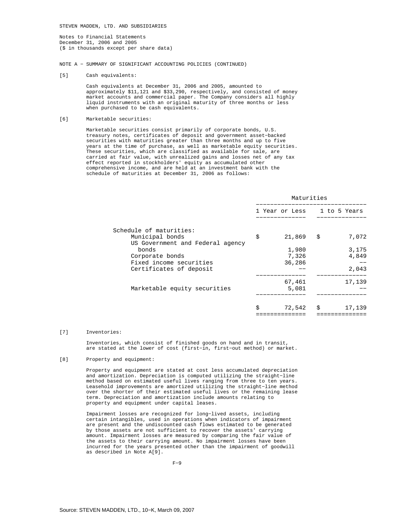# NOTE A − SUMMARY OF SIGNIFICANT ACCOUNTING POLICIES (CONTINUED)

# [5] Cash equivalents:

 Cash equivalents at December 31, 2006 and 2005, amounted to approximately \$11,121 and \$33,290, respectively, and consisted of money market accounts and commercial paper. The Company considers all highly liquid instruments with an original maturity of three months or less when purchased to be cash equivalents.

# [6] Marketable securities:

 Marketable securities consist primarily of corporate bonds, U.S. treasury notes, certificates of deposit and government asset−backed securities with maturities greater than three months and up to five years at the time of purchase, as well as marketable equity securities. These securities, which are classified as available for sale, are carried at fair value, with unrealized gains and losses net of any tax effect reported in stockholders' equity as accumulated other comprehensive income, and are held at an investment bank with the schedule of maturities at December 31, 2006 as follows:

|                                                                                                                                                                  | Maturities |                                    |    |                                  |  |
|------------------------------------------------------------------------------------------------------------------------------------------------------------------|------------|------------------------------------|----|----------------------------------|--|
|                                                                                                                                                                  |            | 1 Year or Less 1 to 5 Years        |    |                                  |  |
| Schedule of maturities:<br>Municipal bonds<br>US Government and Federal agency<br>bonds<br>Corporate bonds<br>Fixed income securities<br>Certificates of deposit | \$         | 21,869<br>1,980<br>7,326<br>36,286 | \$ | 7,072<br>3,175<br>4,849<br>2,043 |  |
| Marketable equity securities                                                                                                                                     | \$         | 67,461<br>5,081<br>72,542          | Ŝ. | 17,139<br>17,139                 |  |

# [7] Inventories:

 Inventories, which consist of finished goods on hand and in transit, are stated at the lower of cost (first−in, first−out method) or market.

# [8] Property and equipment:

 Property and equipment are stated at cost less accumulated depreciation and amortization. Depreciation is computed utilizing the straight−line method based on estimated useful lives ranging from three to ten years. Leasehold improvements are amortized utilizing the straight−line method over the shorter of their estimated useful lives or the remaining lease term. Depreciation and amortization include amounts relating to property and equipment under capital leases.

 Impairment losses are recognized for long−lived assets, including certain intangibles, used in operations when indicators of impairment are present and the undiscounted cash flows estimated to be generated by those assets are not sufficient to recover the assets' carrying amount. Impairment losses are measured by comparing the fair value of the assets to their carrying amount. No impairment losses have been incurred for the years presented other than the impairment of goodwill as described in Note A[9].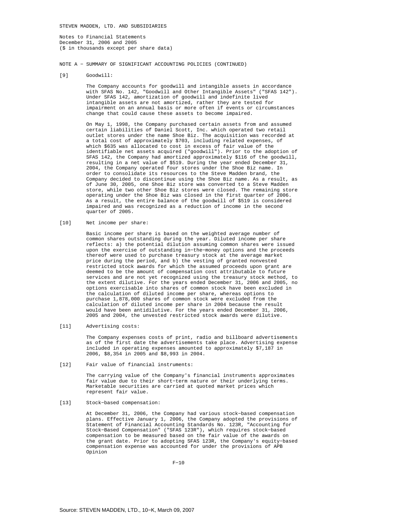# NOTE A − SUMMARY OF SIGNIFICANT ACCOUNTING POLICIES (CONTINUED)

[9] Goodwill:

 The Company accounts for goodwill and intangible assets in accordance with SFAS No. 142, "Goodwill and Other Intangible Assets" ("SFAS 142"). Under SFAS 142, amortization of goodwill and indefinite lived intangible assets are not amortized, rather they are tested for impairment on an annual basis or more often if events or circumstances change that could cause these assets to become impaired.

 On May 1, 1998, the Company purchased certain assets from and assumed certain liabilities of Daniel Scott, Inc. which operated two retail outlet stores under the name Shoe Biz. The acquisition was recorded at a total cost of approximately \$703, including related expenses, of which \$635 was allocated to cost in excess of fair value of the identifiable net assets acquired ("goodwill"). Prior to the adoption of SFAS 142, the Company had amortized approximately \$116 of the goodwill, resulting in a net value of \$519. During the year ended December 31, 2004, the Company operated four stores under the Shoe Biz name. In order to consolidate its resources to the Steve Madden brand, the Company decided to discontinue using the Shoe Biz name. As a result, as of June 30, 2005, one Shoe Biz store was converted to a Steve Madden store, while two other Shoe Biz stores were closed. The remaining store operating under the Shoe Biz was closed in the first quarter of 2006. As a result, the entire balance of the goodwill of \$519 is considered impaired and was recognized as a reduction of income in the second quarter of 2005.

[10] Net income per share:

 Basic income per share is based on the weighted average number of common shares outstanding during the year. Diluted income per share reflects: a) the potential dilution assuming common shares were issued upon the exercise of outstanding in−the−money options and the proceeds thereof were used to purchase treasury stock at the average market price during the period, and b) the vesting of granted nonvested restricted stock awards for which the assumed proceeds upon grant are deemed to be the amount of compensation cost attributable to future services and are not yet recognized using the treasury stock method, to the extent dilutive. For the years ended December 31, 2006 and 2005, no options exercisable into shares of common stock have been excluded in the calculation of diluted income per share, whereas options to purchase 1,878,000 shares of common stock were excluded from the calculation of diluted income per share in 2004 because the result would have been antidilutive. For the years ended December 31, 2006, 2005 and 2004, the unvested restricted stock awards were dilutive.

[11] Advertising costs:

 The Company expenses costs of print, radio and billboard advertisements as of the first date the advertisements take place. Advertising expense included in operating expenses amounted to approximately \$7,187 in 2006, \$8,354 in 2005 and \$8,993 in 2004.

[12] Fair value of financial instruments:

 The carrying value of the Company's financial instruments approximates fair value due to their short−term nature or their underlying terms. Marketable securities are carried at quoted market prices which represent fair value.

[13] Stock−based compensation:

 At December 31, 2006, the Company had various stock−based compensation plans. Effective January 1, 2006, the Company adopted the provisions of Statement of Financial Accounting Standards No. 123R, "Accounting for Stock−Based Compensation" ("SFAS 123R"), which requires stock−based compensation to be measured based on the fair value of the awards on the grant date. Prior to adopting SFAS 123R, the Company's equity−based compensation expense was accounted for under the provisions of APB Opinion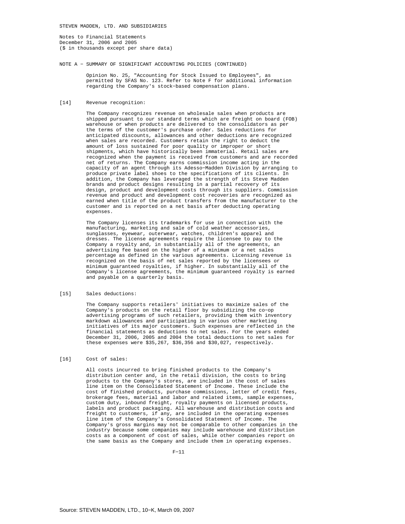# NOTE A − SUMMARY OF SIGNIFICANT ACCOUNTING POLICIES (CONTINUED)

 Opinion No. 25, "Accounting for Stock Issued to Employees", as permitted by SFAS No. 123. Refer to Note F for additional information regarding the Company's stock−based compensation plans.

### [14] Revenue recognition:

 The Company recognizes revenue on wholesale sales when products are shipped pursuant to our standard terms which are freight on board (FOB) warehouse or when products are delivered to the consolidators as per the terms of the customer's purchase order. Sales reductions for anticipated discounts, allowances and other deductions are recognized when sales are recorded. Customers retain the right to deduct the amount of loss sustained for poor quality or improper or short shipments, which have historically been immaterial. Retail sales are recognized when the payment is received from customers and are recorded net of returns. The Company earns commission income acting in the capacity of an agent through its Adesso−Madden Division by arranging to produce private label shoes to the specifications of its clients. In addition, the Company has leveraged the strength of its Steve Madden brands and product designs resulting in a partial recovery of its design, product and development costs through its suppliers. Commission revenue and product and development cost recoveries are recognized as earned when title of the product transfers from the manufacturer to the customer and is reported on a net basis after deducting operating expenses.

 The Company licenses its trademarks for use in connection with the manufacturing, marketing and sale of cold weather accessories, sunglasses, eyewear, outerwear, watches, children's apparel and dresses. The license agreements require the licensee to pay to the Company a royalty and, in substantially all of the agreements, an advertising fee based on the higher of a minimum or a net sales percentage as defined in the various agreements. Licensing revenue is recognized on the basis of net sales reported by the licensees or minimum guaranteed royalties, if higher. In substantially all of the Company's license agreements, the minimum guaranteed royalty is earned and payable on a quarterly basis.

# [15] Sales deductions:

 The Company supports retailers' initiatives to maximize sales of the Company's products on the retail floor by subsidizing the co−op advertising programs of such retailers, providing them with inventory markdown allowances and participating in various other marketing initiatives of its major customers. Such expenses are reflected in the financial statements as deductions to net sales. For the years ended December 31, 2006, 2005 and 2004 the total deductions to net sales for these expenses were \$35,267, \$36,356 and \$30,027, respectively.

# [16] Cost of sales:

 All costs incurred to bring finished products to the Company's distribution center and, in the retail division, the costs to bring products to the Company's stores, are included in the cost of sales line item on the Consolidated Statement of Income. These include the cost of finished products, purchase commissions, letter of credit fees, brokerage fees, material and labor and related items, sample expenses, custom duty, inbound freight, royalty payments on licensed products, labels and product packaging. All warehouse and distribution costs and freight to customers, if any, are included in the operating expenses line item of the Company's Consolidated Statement of Income. The Company's gross margins may not be comparable to other companies in the industry because some companies may include warehouse and distribution costs as a component of cost of sales, while other companies report on the same basis as the Company and include them in operating expenses.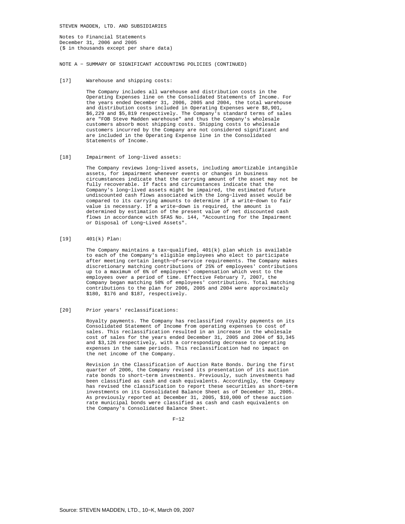NOTE A − SUMMARY OF SIGNIFICANT ACCOUNTING POLICIES (CONTINUED)

[17] Warehouse and shipping costs:

 The Company includes all warehouse and distribution costs in the Operating Expenses line on the Consolidated Statements of Income. For the years ended December 31, 2006, 2005 and 2004, the total warehouse and distribution costs included in Operating Expenses were \$8,901, \$6,229 and \$5,819 respectively. The Company's standard terms of sales are "FOB Steve Madden warehouse" and thus the Company's wholesale customers absorb most shipping costs. Shipping costs to wholesale customers incurred by the Company are not considered significant and are included in the Operating Expense line in the Consolidated Statements of Income.

[18] Impairment of long−lived assets:

 The Company reviews long−lived assets, including amortizable intangible assets, for impairment whenever events or changes in business circumstances indicate that the carrying amount of the asset may not be fully recoverable. If facts and circumstances indicate that the Company's long−lived assets might be impaired, the estimated future undiscounted cash flows associated with the long−lived asset would be compared to its carrying amounts to determine if a write−down to fair value is necessary. If a write−down is required, the amount is determined by estimation of the present value of net discounted cash flows in accordance with SFAS No. 144, "Accounting for the Impairment or Disposal of Long−Lived Assets".

[19]  $401(k)$  Plan:

 The Company maintains a tax−qualified, 401(k) plan which is available to each of the Company's eligible employees who elect to participate after meeting certain length−of−service requirements. The Company makes discretionary matching contributions of 25% of employees' contributions up to a maximum of 6% of employees' compensation which vest to the employees over a period of time. Effective February 7, 2007, the Company began matching 50% of employees' contributions. Total matching contributions to the plan for 2006, 2005 and 2004 were approximately \$180, \$176 and \$187, respectively.

[20] Prior years' reclassifications:

 Royalty payments. The Company has reclassified royalty payments on its Consolidated Statement of Income from operating expenses to cost of sales. This reclassification resulted in an increase in the wholesale cost of sales for the years ended December 31, 2005 and 2004 of \$3,345 and \$3,126 respectively, with a corresponding decrease to operating expenses in the same periods. This reclassification had no impact on the net income of the Company.

 Revision in the Classification of Auction Rate Bonds. During the first quarter of 2006, the Company revised its presentation of its auction rate bonds to short−term investments. Previously, such investments had been classified as cash and cash equivalents. Accordingly, the Company has revised the classification to report these securities as short−term investments on its Consolidated Balance Sheet as of December 31, 2005. As previously reported at December 31, 2005, \$10,000 of these auction rate municipal bonds were classified as cash and cash equivalents on the Company's Consolidated Balance Sheet.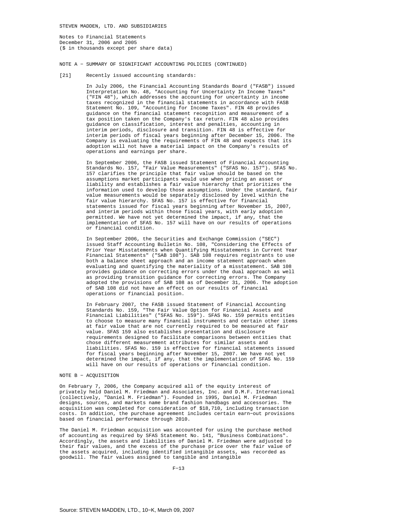# NOTE A − SUMMARY OF SIGNIFICANT ACCOUNTING POLICIES (CONTINUED)

[21] Recently issued accounting standards:

 In July 2006, the Financial Accounting Standards Board ("FASB") issued Interpretation No. 48, "Accounting for Uncertainty In Income Taxes" ("FIN 48"), which addresses the accounting for uncertainty in income taxes recognized in the financial statements in accordance with FASB Statement No. 109, "Accounting for Income Taxes". FIN 48 provides guidance on the financial statement recognition and measurement of a tax position taken on the Company's tax return. FIN 48 also provides guidance on classification, interest and penalties, accounting in interim periods, disclosure and transition. FIN 48 is effective for interim periods of fiscal years beginning after December 15, 2006. The Company is evaluating the requirements of FIN 48 and expects that its adoption will not have a material impact on the Company's results of operations and earnings per share.

 In September 2006, the FASB issued Statement of Financial Accounting Standards No. 157, "Fair Value Measurements" ("SFAS No. 157"). SFAS No. 157 clarifies the principle that fair value should be based on the assumptions market participants would use when pricing an asset or liability and establishes a fair value hierarchy that prioritizes the information used to develop those assumptions. Under the standard, fair value measurements would be separately disclosed by level within the fair value hierarchy. SFAS No. 157 is effective for financial statements issued for fiscal years beginning after November 15, 2007, and interim periods within those fiscal years, with early adoption permitted. We have not yet determined the impact, if any, that the implementation of SFAS No. 157 will have on our results of operations or financial condition.

 In September 2006, the Securities and Exchange Commission ("SEC") issued Staff Accounting Bulletin No. 108, "Considering the Effects of Prior Year Misstatements when Quantifying Misstatements in Current Year Financial Statements" ("SAB 108"). SAB 108 requires registrants to use both a balance sheet approach and an income statement approach when evaluating and quantifying the materiality of a misstatement. SAB 108 provides guidance on correcting errors under the dual approach as well as providing transition guidance for correcting errors. The Company adopted the provisions of SAB 108 as of December 31, 2006. The adoption of SAB 108 did not have an effect on our results of financial operations or financial position.

 In February 2007, the FASB issued Statement of Financial Accounting Standards No. 159, "The Fair Value Option for Financial Assets and Financial Liabilities" ("SFAS No. 159"). SFAS No. 159 permits entities to choose to measure many financial instruments and certain other items at fair value that are not currently required to be measured at fair value. SFAS 159 also establishes presentation and disclosure requirements designed to facilitate comparisons between entities that chose different measurement attributes for similar assets and liabilities. SFAS No. 159 is effective for financial statements issued for fiscal years beginning after November 15, 2007. We have not yet determined the impact, if any, that the implementation of SFAS No. 159 will have on our results of operations or financial condition.

#### NOTE B − ACQUISITION

On February 7, 2006, the Company acquired all of the equity interest of privately held Daniel M. Friedman and Associates, Inc. and D.M.F. International (collectively, "Daniel M. Friedman"). Founded in 1995, Daniel M. Friedman designs, sources, and markets name brand fashion handbags and accessories. The acquisition was completed for consideration of \$18,710, including transaction costs. In addition, the purchase agreement includes certain earn−out provisions based on financial performance through 2010.

The Daniel M. Friedman acquisition was accounted for using the purchase method of accounting as required by SFAS Statement No. 141, "Business Combinations". Accordingly, the assets and liabilities of Daniel M. Friedman were adjusted to their fair values, and the excess of the purchase price over the fair value of the assets acquired, including identified intangible assets, was recorded as goodwill. The fair values assigned to tangible and intangible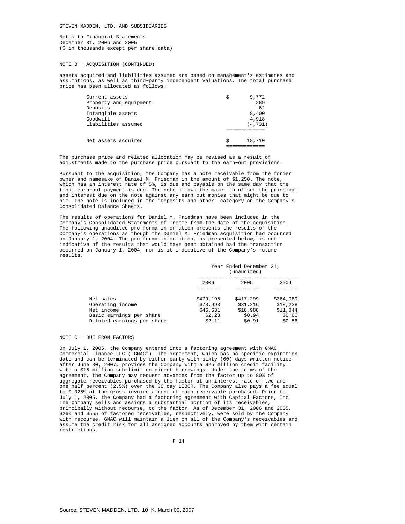#### NOTE B − ACQUISITION (CONTINUED)

assets acquired and liabilities assumed are based on management's estimates and assumptions, as well as third−party independent valuations. The total purchase price has been allocated as follows:

| Current assets<br>Property and equipment<br>Deposits<br>Intangible assets | 9,772<br>S<br>289<br>62<br>8,400 |
|---------------------------------------------------------------------------|----------------------------------|
| Goodwill<br>Liabilities assumed                                           | 4,918<br>(4, 731)                |
| Net assets acquired                                                       | 18,710<br>Ŝ                      |

The purchase price and related allocation may be revised as a result of adjustments made to the purchase price pursuant to the earn−out provisions.

Pursuant to the acquisition, the Company has a note receivable from the former owner and namesake of Daniel M. Friedman in the amount of \$1,250. The note, which has an interest rate of 5%, is due and payable on the same day that the final earn−out payment is due. The note allows the maker to offset the principal and interest due on the note against any earn−out monies that might be due to him. The note is included in the "Deposits and other" category on the Company's Consolidated Balance Sheets.

The results of operations for Daniel M. Friedman have been included in the Company's Consolidated Statements of Income from the date of the acquisition. The following unaudited pro forma information presents the results of the Company's operations as though the Daniel M. Friedman acquisition had occurred on January 1, 2004. The pro forma information, as presented below, is not indicative of the results that would have been obtained had the transaction occurred on January 1, 2004, nor is it indicative of the Company's future results.

|                            | Year Ended December 31,<br>(unaudited) |           |           |  |  |
|----------------------------|----------------------------------------|-----------|-----------|--|--|
|                            | 2006                                   | 2005      | 2004      |  |  |
|                            |                                        |           |           |  |  |
| Net sales                  | \$479,195                              | \$417,299 | \$364,089 |  |  |
| Operating income           | \$78,993                               | \$31,216  | \$18,238  |  |  |
| Net income                 | \$46,631                               | \$18,988  | \$11,844  |  |  |
| Basic earnings per share   | \$2.23                                 | \$0.94    | \$0.60    |  |  |
| Diluted earnings per share | \$2.11                                 | \$0.91    | \$0.56    |  |  |

NOTE C − DUE FROM FACTORS

On July 1, 2005, the Company entered into a factoring agreement with GMAC Commercial Finance LLC ("GMAC"). The agreement, which has no specific expiration date and can be terminated by either party with sixty (60) days written notice after June 30, 2007, provides the Company with a \$25 million credit facility with a \$15 million sub−limit on direct borrowings. Under the terms of the agreement, the Company may request advances from the factor up to 80% of aggregate receivables purchased by the factor at an interest rate of two and one−half percent (2.5%) over the 30 day LIBOR. The Company also pays a fee equal to 0.325% of the gross invoice amount of each receivable purchased. Prior to July 1, 2005, the Company had a factoring agreement with Capital Factors, Inc. The Company sells and assigns a substantial portion of its receivables, principally without recourse, to the factor. As of December 31, 2006 and 2005, \$260 and \$555 of factored receivables, respectively, were sold by the Company with recourse. GMAC will maintain a lien on all of the Company's receivables and assume the credit risk for all assigned accounts approved by them with certain restrictions.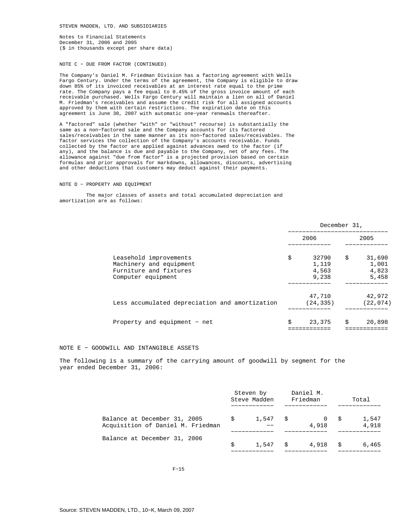NOTE C − DUE FROM FACTOR (CONTINUED)

The Company's Daniel M. Friedman Division has a factoring agreement with Wells Fargo Century. Under the terms of the agreement, the Company is eligible to draw down 85% of its invoiced receivables at an interest rate equal to the prime rate. The Company pays a fee equal to 0.45% of the gross invoice amount of each receivable purchased. Wells Fargo Century will maintain a lien on all of Daniel M. Friedman's receivables and assume the credit risk for all assigned accounts approved by them with certain restrictions. The expiration date on this agreement is June 30, 2007 with automatic one−year renewals thereafter.

A "factored" sale (whether "with" or "without" recourse) is substantially the same as a non−factored sale and the Company accounts for its factored sales/receivables in the same manner as its non−factored sales/receivables. The factor services the collection of the Company's accounts receivable. Funds collected by the factor are applied against advances owed to the factor (if any), and the balance is due and payable to the Company, net of any fees. The allowance against "due from factor" is a projected provision based on certain formulas and prior approvals for markdowns, allowances, discounts, advertising and other deductions that customers may deduct against their payments.

#### NOTE D − PROPERTY AND EQUIPMENT

 The major classes of assets and total accumulated depreciation and amortization are as follows:

|                                                                                                   | December 31, |                                  |    |                                   |
|---------------------------------------------------------------------------------------------------|--------------|----------------------------------|----|-----------------------------------|
|                                                                                                   |              | 2006                             |    | 2005                              |
| Leasehold improvements<br>Machinery and equipment<br>Furniture and fixtures<br>Computer equipment | \$           | 32790<br>1,119<br>4,563<br>9,238 | \$ | 31,690<br>1,001<br>4,823<br>5,458 |
| Less accumulated depreciation and amortization                                                    |              | 47,710<br>(24, 335)              |    | 42,972<br>(22, 074)               |
| Property and equipment - net                                                                      | \$           | 23,375                           | \$ | 20,898                            |

#### NOTE E − GOODWILL AND INTANGIBLE ASSETS

The following is a summary of the carrying amount of goodwill by segment for the year ended December 31, 2006:

|                                                                   | Steven by<br>Steve Madden |          | Daniel M.<br>Friedman  | Total          |
|-------------------------------------------------------------------|---------------------------|----------|------------------------|----------------|
| Balance at December 31, 2005<br>Acquisition of Daniel M. Friedman |                           |          | 1,547 \$ 0 \$<br>4,918 | 1,547<br>4,918 |
| Balance at December 31, 2006                                      |                           | 1,547 \$ | 4,918 \$               | 6,465          |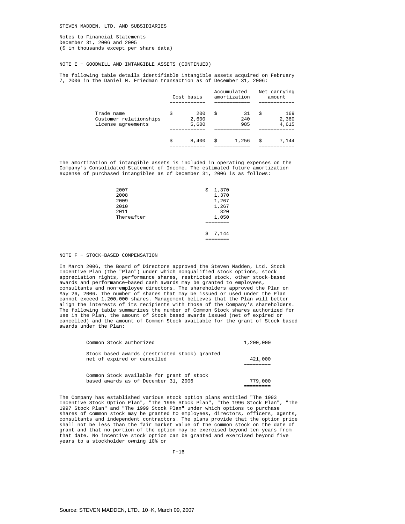# NOTE E − GOODWILL AND INTANGIBLE ASSETS (CONTINUED)

The following table details identifiable intangible assets acquired on February 7, 2006 in the Daniel M. Friedman transaction as of December 31, 2006:

|                                                            |   | Cost basis            |   | Accumulated<br>amortization |   | Net carrying<br>amount |
|------------------------------------------------------------|---|-----------------------|---|-----------------------------|---|------------------------|
| Trade name<br>Customer relationships<br>License agreements | Ŝ | 200<br>2,600<br>5,600 | s | 31<br>240<br>985            | S | 169<br>2,360<br>4,615  |
|                                                            | Ŝ | 8,400                 | s | 1,256                       | s | 7,144                  |

The amortization of intangible assets is included in operating expenses on the Company's Consolidated Statement of Income. The estimated future amortization expense of purchased intangibles as of December 31, 2006 is as follows:

| 2007<br>2008<br>2009<br>2010<br>2011<br>Thereafter | 1,370<br>\$<br>1,370<br>1,267<br>1,267<br>820<br>1,050<br>____ |
|----------------------------------------------------|----------------------------------------------------------------|
|                                                    | 7,144<br>\$                                                    |

#### NOTE F − STOCK−BASED COMPENSATION

In March 2006, the Board of Directors approved the Steven Madden, Ltd. Stock Incentive Plan (the "Plan") under which nonqualified stock options, stock appreciation rights, performance shares, restricted stock, other stock−based awards and performance−based cash awards may be granted to employees, consultants and non−employee directors. The shareholders approved the Plan on May 26, 2006. The number of shares that may be issued or used under the Plan cannot exceed 1,200,000 shares. Management believes that the Plan will better align the interests of its recipients with those of the Company's shareholders. The following table summarizes the number of Common Stock shares authorized for use in the Plan, the amount of Stock based awards issued (net of expired or cancelled) and the amount of Common Stock available for the grant of Stock based awards under the Plan:

| Common Stock authorized                                                           | 1,200,000 |
|-----------------------------------------------------------------------------------|-----------|
| Stock based awards (restricted stock) granted<br>net of expired or cancelled      | 421,000   |
| Common Stock available for grant of stock<br>based awards as of December 31, 2006 | 779,000   |

The Company has established various stock option plans entitled "The 1993 Incentive Stock Option Plan", "The 1995 Stock Plan", "The 1996 Stock Plan", "The 1997 Stock Plan" and "The 1999 Stock Plan" under which options to purchase shares of common stock may be granted to employees, directors, officers, agents, consultants and independent contractors. The plans provide that the option price shall not be less than the fair market value of the common stock on the date of grant and that no portion of the option may be exercised beyond ten years from that date. No incentive stock option can be granted and exercised beyond five years to a stockholder owning 10% or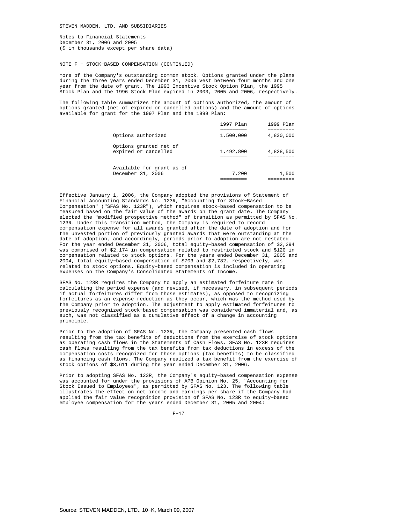# NOTE F − STOCK−BASED COMPENSATION (CONTINUED)

more of the Company's outstanding common stock. Options granted under the plans during the three years ended December 31, 2006 vest between four months and one year from the date of grant. The 1993 Incentive Stock Option Plan, the 1995 Stock Plan and the 1996 Stock Plan expired in 2003, 2005 and 2006, respectively.

The following table summarizes the amount of options authorized, the amount of options granted (net of expired or cancelled options) and the amount of options available for grant for the 1997 Plan and the 1999 Plan:

|                                                | 1997 Plan | 1999 Plan |
|------------------------------------------------|-----------|-----------|
| Options authorized                             | 1,500,000 | 4,830,000 |
| Options granted net of<br>expired or cancelled | 1,492,800 | 4,828,500 |
| Available for grant as of<br>December 31, 2006 | 7,200     | 1,500     |

Effective January 1, 2006, the Company adopted the provisions of Statement of Financial Accounting Standards No. 123R, "Accounting for Stock−Based Compensation" ("SFAS No. 123R"), which requires stock−based compensation to be measured based on the fair value of the awards on the grant date. The Company elected the "modified prospective method" of transition as permitted by SFAS No. 123R. Under this transition method, the Company is required to record compensation expense for all awards granted after the date of adoption and for the unvested portion of previously granted awards that were outstanding at the date of adoption, and accordingly, periods prior to adoption are not restated. For the year ended December 31, 2006, total equity−based compensation of \$2,294 was comprised of \$2,174 in compensation related to restricted stock and \$120 in compensation related to stock options. For the years ended December 31, 2005 and 2004, total equity−based compensation of \$703 and \$2,782, respectively, was related to stock options. Equity−based compensation is included in operating expenses on the Company's Consolidated Statements of Income.

SFAS No. 123R requires the Company to apply an estimated forfeiture rate in calculating the period expense (and revised, if necessary, in subsequent periods if actual forfeitures differ from those estimates), as opposed to recognizing forfeitures as an expense reduction as they occur, which was the method used by the Company prior to adoption. The adjustment to apply estimated forfeitures to previously recognized stock−based compensation was considered immaterial and, as such, was not classified as a cumulative effect of a change in accounting principle.

Prior to the adoption of SFAS No. 123R, the Company presented cash flows resulting from the tax benefits of deductions from the exercise of stock options as operating cash flows in the Statements of Cash Flows. SFAS No. 123R requires cash flows resulting from the tax benefits from tax deductions in excess of the compensation costs recognized for those options (tax benefits) to be classified as financing cash flows. The Company realized a tax benefit from the exercise of stock options of \$3,611 during the year ended December 31, 2006.

Prior to adopting SFAS No. 123R, the Company's equity−based compensation expense was accounted for under the provisions of APB Opinion No. 25, "Accounting for Stock Issued to Employees", as permitted by SFAS No. 123. The following table illustrates the effect on net income and earnings per share if the Company had applied the fair value recognition provision of SFAS No. 123R to equity−based employee compensation for the years ended December 31, 2005 and 2004: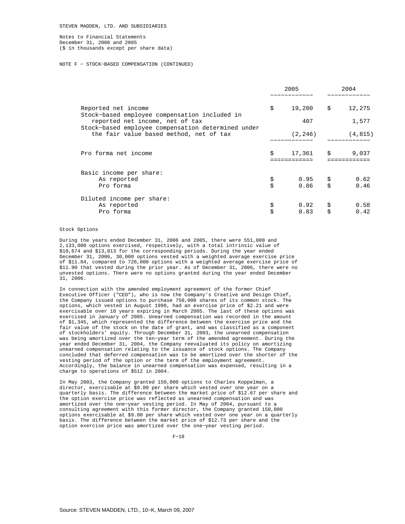STEVEN MADDEN, LTD. AND SUBSIDIARIES

### Notes to Financial Statements December 31, 2006 and 2005 (\$ in thousands except per share data)

NOTE F − STOCK−BASED COMPENSATION (CONTINUED)

|                                                                                               |    | 2005      |    | 2004     |  |
|-----------------------------------------------------------------------------------------------|----|-----------|----|----------|--|
| Reported net income                                                                           | \$ |           |    |          |  |
| Stock-based employee compensation included in<br>reported net income, net of tax              |    | 407       |    | 1,577    |  |
| Stock-based employee compensation determined under<br>the fair value based method, net of tax |    | (2, 246)  |    | (4, 815) |  |
| Pro forma net income                                                                          | \$ | 17,361 \$ |    | 9,037    |  |
| Basic income per share:                                                                       |    |           |    |          |  |
| As reported                                                                                   | \$ | $0.95$ \$ |    | 0.62     |  |
| Pro forma                                                                                     | Ś  | 0.86      | \$ | 0.46     |  |
| Diluted income per share:                                                                     |    |           |    |          |  |
| As reported                                                                                   |    | 0.92      | \$ | 0.58     |  |
| Pro forma                                                                                     | \$ | 0.83      | \$ | 0.42     |  |

Stock Options

During the years ended December 31, 2006 and 2005, there were 551,000 and 2,133,000 options exercised, respectively, with a total intrinsic value of \$10,674 and \$13,013 for the corresponding periods. During the year ended December 31, 2006, 30,000 options vested with a weighted average exercise price of \$11.84, compared to 726,000 options with a weighted average exercise price of \$11.90 that vested during the prior year. As of December 31, 2006, there were no unvested options. There were no options granted during the year ended December 31, 2006.

In connection with the amended employment agreement of the former Chief Executive Officer ("CEO"), who is now the Company's Creative and Design Chief, the Company issued options to purchase 750,000 shares of its common stock. The options, which vested in August 1998, had an exercise price of \$2.21 and were exercisable over 10 years expiring in March 2005. The last of these options was exercised in January of 2005. Unearned compensation was recorded in the amount of \$1,345, which represented the difference between the exercise price and the fair value of the stock on the date of grant, and was classified as a component of stockholders' equity. Through December 31, 2003, the unearned compensation was being amortized over the ten−year term of the amended agreement. During the year ended December 31, 2004, the Company reevaluated its policy on amortizing unearned compensation relating to the issuance of stock options. The Company concluded that deferred compensation was to be amortized over the shorter of the vesting period of the option or the term of the employment agreement. Accordingly, the balance in unearned compensation was expensed, resulting in a charge to operations of \$512 in 2004.

In May 2003, the Company granted 150,000 options to Charles Koppelman, a director, exercisable at \$9.00 per share which vested over one year on a quarterly basis. The difference between the market price of \$12.67 per share and the option exercise price was reflected as unearned compensation and was amortized over the one−year vesting period. In May of 2004, pursuant to a consulting agreement with this former director, the Company granted 150,000 options exercisable at \$9.00 per share which vested over one year on a quarterly basis. The difference between the market price of \$12.73 per share and the option exercise price was amortized over the one−year vesting period.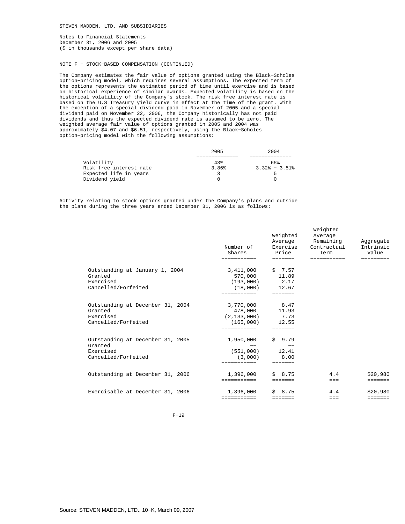### NOTE F − STOCK−BASED COMPENSATION (CONTINUED)

The Company estimates the fair value of options granted using the Black−Scholes option−pricing model, which requires several assumptions. The expected term of the options represents the estimated period of time until exercise and is based on historical experience of similar awards. Expected volatility is based on the historical volatility of the Company's stock. The risk free interest rate is based on the U.S Treasury yield curve in effect at the time of the grant. With the exception of a special dividend paid in November of 2005 and a special dividend paid on November 22, 2006, the Company historically has not paid dividends and thus the expected dividend rate is assumed to be zero. The weighted average fair value of options granted in 2005 and 2004 was approximately \$4.07 and \$6.51, respectively, using the Black−Scholes option−pricing model with the following assumptions:

|                         | 2005  | 2004              |
|-------------------------|-------|-------------------|
|                         |       |                   |
| Volatility              | 43%   | 65%               |
| Risk free interest rate | 3.86% | $3.32\% - 3.51\%$ |
| Expected life in years  |       |                   |
| Dividend yield          |       |                   |
|                         |       |                   |

Activity relating to stock options granted under the Company's plans and outside the plans during the three years ended December 31, 2006 is as follows:

|                                                                                 | Number of<br>-----------                                                                  | Weighted<br>Exercise<br>Shares Price<br>$- - - - - - -$ | Weighted<br>Average<br>Average Remaining<br>Contractual<br>Term<br>----------- | Aggregate<br>Intrinsic<br>Value<br>--------- |
|---------------------------------------------------------------------------------|-------------------------------------------------------------------------------------------|---------------------------------------------------------|--------------------------------------------------------------------------------|----------------------------------------------|
| Outstanding at January 1, 2004<br>Granted<br>Exercised<br>Cancelled/Forfeited   | 3,411,000 \$ 7.57<br>570,000 11.89<br>$(193,000)$ 2.17<br>$(18,000)$ 12.67<br>----------- |                                                         |                                                                                |                                              |
| Outstanding at December 31, 2004<br>Granted<br>Exercised<br>Cancelled/Forfeited | 3,770,000 8.47<br>478,000 11.93<br>$(2, 133, 000)$ 7.73<br>$(165,000)$ 12.55              |                                                         |                                                                                |                                              |
| Outstanding at December 31, 2005<br>Granted<br>Exercised<br>Cancelled/Forfeited | 1,950,000<br>$ -$<br>$(551,000)$ 12.41<br>(3,000)                                         | \$9.79<br>8.00                                          |                                                                                |                                              |
| Outstanding at December 31, 2006                                                | 1,396,000<br>===========                                                                  | \$8.75<br>$=$ = = = = = =                               | 4.4<br>$=$ $=$ $=$                                                             | \$20,980<br>$=$ = = = = = =                  |
| Exercisable at December 31, 2006                                                | 1,396,000<br>===========                                                                  | \$8.75<br><b>EBBBBBB</b>                                | 4.4<br>$=$ $=$ $=$                                                             | \$20,980<br><b>EBBBBBB</b>                   |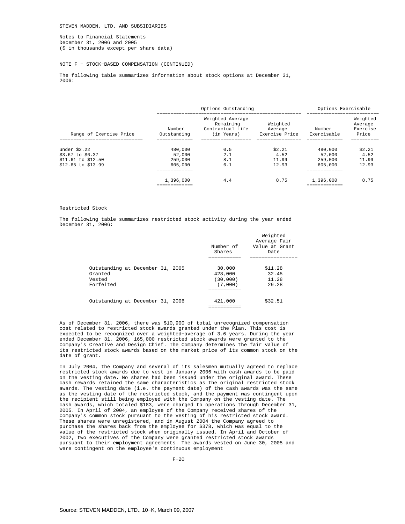#### NOTE F − STOCK−BASED COMPENSATION (CONTINUED)

The following table summarizes information about stock options at December 31, 2006:

|                         |                       | Options Outstanding                                             |                                       | Options Exercisable   |                                          |
|-------------------------|-----------------------|-----------------------------------------------------------------|---------------------------------------|-----------------------|------------------------------------------|
| Range of Exercise Price | Number<br>Outstanding | Weighted Average<br>Remaining<br>Contractual Life<br>(in Years) | Weighted<br>Average<br>Exercise Price | Number<br>Exercisable | Weighted<br>Average<br>Exercise<br>Price |
| under $$2.22$           | 480,000               | 0.5                                                             | \$2.21                                | 480,000               | \$2.21                                   |
| \$3.67 to \$6.37        | 52,000                | 2.1                                                             | 4.52                                  | 52,000                | 4.52                                     |
| $$11.61$ to $$12.50$    | 259,000               | 8.1                                                             | 11.99                                 | 259,000               | 11.99                                    |
| \$12.65 to \$13.99      | 605,000               | 6.1                                                             | 12.93                                 | 605,000               | 12.93                                    |
|                         |                       |                                                                 |                                       |                       |                                          |
|                         | 1,396,000             | 4.4                                                             | 8.75                                  | 1,396,000             | 8.75                                     |
|                         | ============          |                                                                 |                                       |                       |                                          |

### Restricted Stock

The following table summarizes restricted stock activity during the year ended December 31, 2006:

|                                                                    | Number of<br>Shares                                    | Weighted<br>Average Fair<br>Value at Grant<br>Date |
|--------------------------------------------------------------------|--------------------------------------------------------|----------------------------------------------------|
| Outstanding at December 31, 2005<br>Granted<br>Vested<br>Forfeited | 30,000<br>428,000<br>(30,000)<br>(7.000)<br>---------- | \$11.28<br>32.45<br>11.28<br>29.28                 |
| Outstanding at December 31, 2006                                   | 421,000                                                | \$32.51                                            |

As of December 31, 2006, there was \$10,900 of total unrecognized compensation cost related to restricted stock awards granted under the Plan. This cost is expected to be recognized over a weighted−average of 3.6 years. During the year ended December 31, 2006, 165,000 restricted stock awards were granted to the Company's Creative and Design Chief. The Company determines the fair value of its restricted stock awards based on the market price of its common stock on the date of grant.

In July 2004, the Company and several of its salesmen mutually agreed to replace restricted stock awards due to vest in January 2006 with cash awards to be paid on the vesting date. No shares had been issued under the original award. These cash rewards retained the same characteristics as the original restricted stock awards. The vesting date (i.e. the payment date) of the cash awards was the same as the vesting date of the restricted stock, and the payment was contingent upon the recipient still being employed with the Company on the vesting date. The cash awards, which totaled \$183, were charged to operations through December 31, 2005. In April of 2004, an employee of the Company received shares of the Company's common stock pursuant to the vesting of his restricted stock award. These shares were unregistered, and in August 2004 the Company agreed to purchase the shares back from the employee for \$378, which was equal to the value of the restricted stock when originally issued. In April and October of 2002, two executives of the Company were granted restricted stock awards pursuant to their employment agreements. The awards vested on June 30, 2005 and were contingent on the employee's continuous employment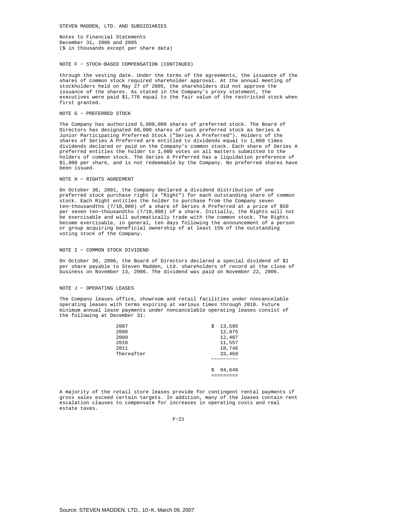NOTE F − STOCK−BASED COMPENSATION (CONTINUED)

through the vesting date. Under the terms of the agreements, the issuance of the shares of common stock required shareholder approval. At the annual meeting of stockholders held on May 27 of 2005, the shareholders did not approve the issuance of the shares. As stated in the Company's proxy statement, the executives were paid \$1,776 equal to the fair value of the restricted stock when first granted.

# NOTE G − PREFERRED STOCK

The Company has authorized 5,000,000 shares of preferred stock. The Board of Directors has designated 60,000 shares of such preferred stock as Series A Junior Participating Preferred Stock ("Series A Preferred"). Holders of the shares of Series A Preferred are entitled to dividends equal to 1,000 times dividends declared or paid on the Company's common stock. Each share of Series A preferred entitles the holder to 1,000 votes on all matters submitted to the holders of common stock. The Series A Preferred has a liquidation preference of \$1,000 per share, and is not redeemable by the Company. No preferred shares have been issued.

# NOTE H − RIGHTS AGREEMENT

On October 30, 2001, the Company declared a dividend distribution of one preferred stock purchase right (a "Right") for each outstanding share of common stock. Each Right entitles the holder to purchase from the Company seven ten−thousandths (7/10,000) of a share of Series A Preferred at a price of \$50 per seven ten−thousandths (7/10,000) of a share. Initially, the Rights will not be exercisable and will automatically trade with the common stock. The Rights become exercisable, in general, ten days following the announcement of a person or group acquiring beneficial ownership of at least 15% of the outstanding voting stock of the Company.

#### NOTE I − COMMON STOCK DIVIDEND

On October 30, 2006, the Board of Directors declared a special dividend of \$1 per share payable to Steven Madden, Ltd. shareholders of record at the close of business on November 13, 2006. The dividend was paid on November 22, 2006.

# NOTE J − OPERATING LEASES

The Company leases office, showroom and retail facilities under noncancelable operating leases with terms expiring at various times through 2018. Future minimum annual lease payments under noncancelable operating leases consist of the following at December 31:

| 2007       | \$ | 13,595 |
|------------|----|--------|
| 2008       |    | 12,875 |
| 2009       |    | 12,407 |
| 2010       |    | 11,557 |
| 2011       |    | 10,746 |
| Thereafter |    | 33,469 |
|            |    |        |
|            |    |        |
|            | Ŝ  | 94,649 |
|            |    |        |

A majority of the retail store leases provide for contingent rental payments if gross sales exceed certain targets. In addition, many of the leases contain rent escalation clauses to compensate for increases in operating costs and real estate taxes.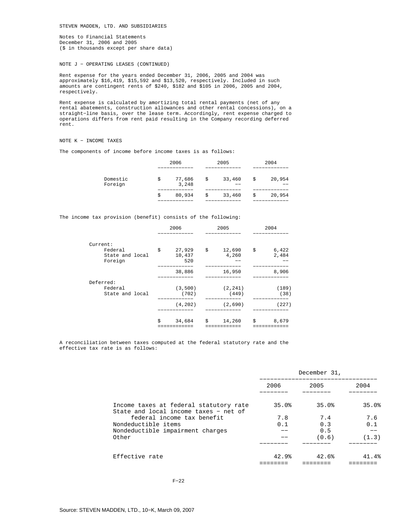STEVEN MADDEN, LTD. AND SUBSIDIARIES

Notes to Financial Statements December 31, 2006 and 2005 (\$ in thousands except per share data)

NOTE J − OPERATING LEASES (CONTINUED)

Rent expense for the years ended December 31, 2006, 2005 and 2004 was approximately \$16,419, \$15,592 and \$13,520, respectively. Included in such amounts are contingent rents of \$240, \$182 and \$105 in 2006, 2005 and 2004, respectively.

Rent expense is calculated by amortizing total rental payments (net of any rental abatements, construction allowances and other rental concessions), on a straight−line basis, over the lease term. Accordingly, rent expense charged to operations differs from rent paid resulting in the Company recording deferred rent.

# NOTE K − INCOME TAXES

The components of income before income taxes is as follows:

|                     |   | 2006            |    | 2005         |   | 2004         |
|---------------------|---|-----------------|----|--------------|---|--------------|
| Domestic<br>Foreign | Ŝ | 77,686<br>3,248 | -Ŝ | 33,460<br>-- | Ŝ | 20,954<br>-- |
|                     | Ŝ | 80,934          | Ŝ  | 33,460       | Ŝ | 20,954       |

The income tax provision (benefit) consists of the following:

|                 | ==========<br>---------- |      |          |      |       |
|-----------------|--------------------------|------|----------|------|-------|
|                 | \$<br>34,684             | \$   | 14,260   | \$   | 8,679 |
|                 |                          |      |          |      |       |
|                 | (4, 202)                 |      | (2,690)  |      | (227) |
| State and local | (702)                    |      | (449)    |      | (38)  |
| Federal         | (3,500)                  |      | (2, 241) |      | (189) |
| Deferred:       |                          |      |          |      |       |
|                 |                          |      |          |      |       |
|                 | 38,886                   |      | 16,950   |      | 8,906 |
| Foreign         | 520                      |      |          |      |       |
| State and local | 10,437                   |      | 4,260    |      | 2,484 |
| Federal         | \$<br>27,929             | \$   | 12,690   | \$   | 6,422 |
| Current:        |                          |      |          |      |       |
|                 |                          |      |          |      |       |
|                 | 2006                     | 2005 |          | 2004 |       |
|                 |                          |      |          |      |       |

A reconciliation between taxes computed at the federal statutory rate and the effective tax rate is as follows:

|                                                                                 | December 31, |       |       |  |
|---------------------------------------------------------------------------------|--------------|-------|-------|--|
|                                                                                 | 2006         | 2005  | 2004  |  |
| Income taxes at federal statutory rate<br>State and local income taxes - net of | 35.0%        | 35.0% | 35.0% |  |
| federal income tax benefit                                                      | 7.8          | 7.4   | 7.6   |  |
| Nondeductible items                                                             | 0.1          | 0.3   | 0.1   |  |
| Nondeductible impairment charges                                                | --           | 0.5   |       |  |
| Other                                                                           |              | (0.6) | (1.3) |  |
|                                                                                 |              |       |       |  |
| Effective rate                                                                  | 42.9%        | 42.6% | 41.4% |  |
|                                                                                 |              |       |       |  |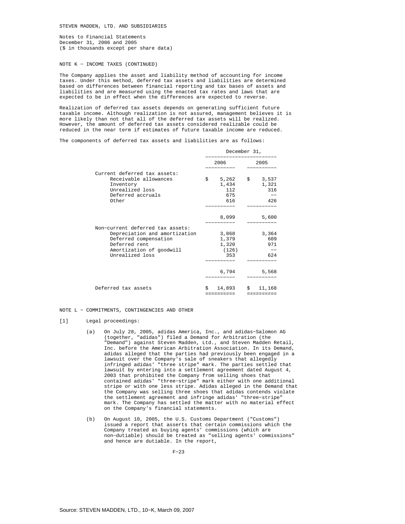NOTE K − INCOME TAXES (CONTINUED)

The Company applies the asset and liability method of accounting for income taxes. Under this method, deferred tax assets and liabilities are determined based on differences between financial reporting and tax bases of assets and liabilities and are measured using the enacted tax rates and laws that are expected to be in effect when the differences are expected to reverse.

Realization of deferred tax assets depends on generating sufficient future taxable income. Although realization is not assured, management believes it is more likely than not that all of the deferred tax assets will be realized. However, the amount of deferred tax assets considered realizable could be reduced in the near term if estimates of future taxable income are reduced.

The components of deferred tax assets and liabilities are as follows:

|                                                                                                                                                            | December 31, |                                                 |  |                            |
|------------------------------------------------------------------------------------------------------------------------------------------------------------|--------------|-------------------------------------------------|--|----------------------------|
|                                                                                                                                                            |              | 2006 2005                                       |  |                            |
| Current deferred tax assets:<br>Receivable allowances<br>Inventory<br>Unrealized loss<br>Deferred accruals<br>Other                                        |              | $$5,262$ $$3,537$<br>1,434<br>112<br>675<br>616 |  | 1,321<br>316<br>426        |
|                                                                                                                                                            |              | 8,099                                           |  | 5,600                      |
| Non-current deferred tax assets:<br>Depreciation and amortization<br>Deferred compensation<br>Deferred rent<br>Amortization of goodwill<br>Unrealized loss |              | 3,868<br>1,379<br>1,320<br>(126)<br>353         |  | 3,364<br>609<br>971<br>624 |
|                                                                                                                                                            |              | 6,794                                           |  | 5,568                      |
| Deferred tax assets                                                                                                                                        | Š.           | 14,893 \$ 11,168<br>==========                  |  | ==========                 |

#### NOTE L − COMMITMENTS, CONTINGENCIES AND OTHER

### [1] Legal proceedings:

- (a) On July 28, 2005, adidas America, Inc., and adidas−Salomon AG (together, "adidas") filed a Demand for Arbitration (the "Demand") against Steven Madden, Ltd., and Steven Madden Retail, Inc. before the American Arbitration Association. In its Demand, adidas alleged that the parties had previously been engaged in a lawsuit over the Company's sale of sneakers that allegedly infringed adidas' "three stripe" mark. The parties settled that lawsuit by entering into a settlement agreement dated August 4, 2003 that prohibited the Company from selling shoes that contained adidas' "three−stripe" mark either with one additional stripe or with one less stripe. Adidas alleged in the Demand that the Company was selling three shoes that adidas contends violate the settlement agreement and infringe adidas' "three−stripe" mark. The Company has settled the matter with no material effect on the Company's financial statements.
	- (b) On August 10, 2005, the U.S. Customs Department ("Customs") issued a report that asserts that certain commissions which the Company treated as buying agents' commissions (which are non−dutiable) should be treated as "selling agents' commissions" and hence are dutiable. In the report,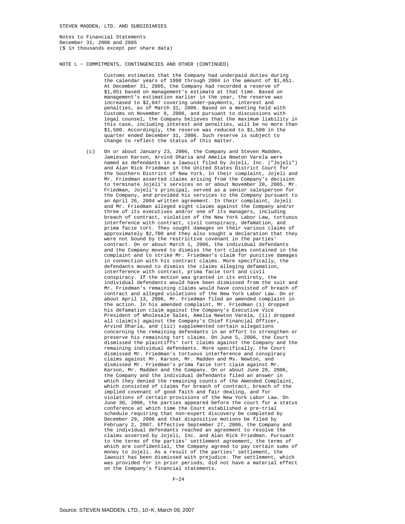# NOTE L − COMMITMENTS, CONTINGENCIES AND OTHER (CONTINUED)

 Customs estimates that the Company had underpaid duties during the calendar years of 1998 through 2004 in the amount of \$1,051. At December 31, 2005, the Company had recorded a reserve of \$1,051 based on management's estimate at that time. Based on management's estimation earlier in the year, the reserve was increased to \$2,047 covering under−payments, interest and penalties, as of March 31, 2006. Based on a meeting held with Customs on November 8, 2006, and pursuant to discussions with legal counsel, the Company believes that the maximum liability in this case, including interest and penalties, will be no more than \$1,500. Accordingly, the reserve was reduced to \$1,500 in the quarter ended December 31, 2006. Such reserve is subject to change to reflect the status of this matter.

 (c) On or about January 23, 2006, the Company and Steven Madden, Jamieson Karson, Arvind Dharia and Amelia Newton Varela were named as defendants in a lawsuit filed by Jojeli, Inc. ("Jojeli") and Alan Rick Friedman in the United States District Court for the Southern District of New York. In their complaint, Jojeli and Mr. Friedman asserted claims arising from the Company's decision to terminate Jojeli's services on or about November 28, 2005. Mr. Friedman, Jojeli's principal, served as a senior salesperson for the Company, and provided his services to the Company pursuant to an April 26, 2004 written agreement. In their complaint, Jojeli and Mr. Friedman alleged eight claims against the Company and/or three of its executives and/or one of its managers, including breach of contract, violation of the New York Labor Law, tortuous interference with contract, civil conspiracy, defamation, and prima facie tort. They sought damages on their various claims of approximately \$2,700 and they also sought a declaration that they were not bound by the restrictive covenant in the parties' contract. On or about March 1, 2006, the individual defendants and the Company moved to dismiss the tort claims contained in the complaint and to strike Mr. Friedman's claim for punitive damages in connection with his contract claims. More specifically, the defendants moved to dismiss the claims alleging defamation, interference with contract, prima facie tort and civil conspiracy. If the motion was granted in its entirety, the individual defendants would have been dismissed from the suit and Mr. Friedman's remaining claims would have consisted of breach of contract and alleged violations of the New York Labor Law. On or about April 13, 2006, Mr. Friedman filed an amended complaint in the action. In his amended complaint, Mr. Friedman (i) dropped his defamation claim against the Company's Executive Vice President of Wholesale Sales, Amelia Newton Varela, (ii) dropped all claim(s) against the Company's Chief Financial Officer, Arvind Dharia, and (iii) supplemented certain allegations concerning the remaining defendants in an effort to strengthen or preserve his remaining tort claims. On June 5, 2006, the Court dismissed the plaintiffs' tort claims against the Company and the remaining individual defendants. More specifically, the Court dismissed Mr. Friedman's tortuous interference and conspiracy claims against Mr. Karson, Mr. Madden and Ms. Newton, and dismissed Mr. Friedman's prima facie tort claim against Mr. Karson, Mr. Madden and the Company. On or about June 28, 2006, the Company and the individual defendants filed an answer in which they denied the remaining counts of the Amended Complaint, which consisted of claims for breach of contract, breach of the implied covenant of good faith and fair dealing, and for violations of certain provisions of the New York Labor Law. On June 30, 2006, the parties appeared before the court for a status conference at which time the Court established a pre−trial schedule requiring that non−expert discovery be completed by December 29, 2006 and that dispositive motions be filed by February 2, 2007. Effective September 27, 2006, the Company and the individual defendants reached an agreement to resolve the claims asserted by Jojeli, Inc. and Alan Rick Friedman. Pursuant to the terms of the parties' settlement agreement, the terms of which are confidential, the Company agreed to pay certain sums of money to Jojeli. As a result of the parties' settlement, the lawsuit has been dismissed with prejudice. The settlement, which was provided for in prior periods, did not have a material effect on the Company's financial statements.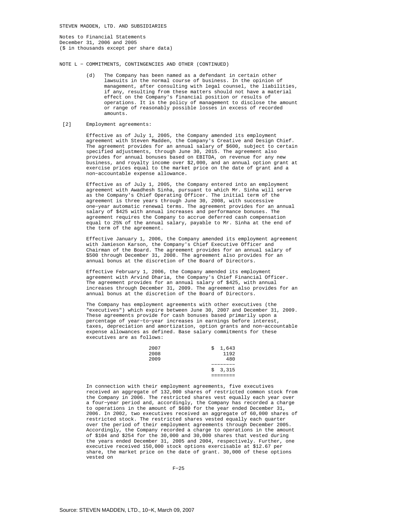# NOTE L − COMMITMENTS, CONTINGENCIES AND OTHER (CONTINUED)

 (d) The Company has been named as a defendant in certain other lawsuits in the normal course of business. In the opinion of management, after consulting with legal counsel, the liabilities, if any, resulting from these matters should not have a material effect on the Company's financial position or results of operations. It is the policy of management to disclose the amount or range of reasonably possible losses in excess of recorded amounts.

# [2] Employment agreements:

 Effective as of July 1, 2005, the Company amended its employment agreement with Steven Madden, the Company's Creative and Design Chief. The agreement provides for an annual salary of \$600, subject to certain specified adjustments, through June 30, 2015. The agreement also provides for annual bonuses based on EBITDA, on revenue for any new business, and royalty income over \$2,000, and an annual option grant at exercise prices equal to the market price on the date of grant and a non−accountable expense allowance.

 Effective as of July 1, 2005, the Company entered into an employment agreement with Awadhesh Sinha, pursuant to which Mr. Sinha will serve as the Company's Chief Operating Officer. The initial term of the agreement is three years through June 30, 2008, with successive one−year automatic renewal terms. The agreement provides for an annual salary of \$425 with annual increases and performance bonuses. The agreement requires the Company to accrue deferred cash compensation equal to 25% of the annual salary, payable to Mr. Sinha at the end of the term of the agreement.

 Effective January 1, 2006, the Company amended its employment agreement with Jamieson Karson, the Company's Chief Executive Officer and Chairman of the Board. The agreement provides for an annual salary of \$500 through December 31, 2008. The agreement also provides for an annual bonus at the discretion of the Board of Directors.

 Effective February 1, 2006, the Company amended its employment agreement with Arvind Dharia, the Company's Chief Financial Officer. The agreement provides for an annual salary of \$425, with annual increases through December 31, 2009. The agreement also provides for an annual bonus at the discretion of the Board of Directors.

 The Company has employment agreements with other executives (the "executives") which expire between June 30, 2007 and December 31, 2009. These agreements provide for cash bonuses based primarily upon a percentage of year−to−year increases in earnings before interest, taxes, depreciation and amortization, option grants and non−accountable expense allowances as defined. Base salary commitments for these executives are as follows:

| 2007<br>2008<br>2009 | 1,643<br>\$<br>1192<br>480 |
|----------------------|----------------------------|
|                      |                            |
|                      | \$3,315                    |
|                      |                            |

 In connection with their employment agreements, five executives received an aggregate of 132,000 shares of restricted common stock from the Company in 2006. The restricted shares vest equally each year over a four−year period and, accordingly, the Company has recorded a charge to operations in the amount of \$680 for the year ended December 31, 2006. In 2002, two executives received an aggregate of 60,000 shares of restricted stock. The restricted shares vested equally each quarter over the period of their employment agreements through December 2005. Accordingly, the Company recorded a charge to operations in the amount of \$104 and \$254 for the 30,000 and 30,000 shares that vested during the years ended December 31, 2005 and 2004, respectively. Further, one executive received 150,000 stock options exercisable at \$12.67 per share, the market price on the date of grant. 30,000 of these options vested on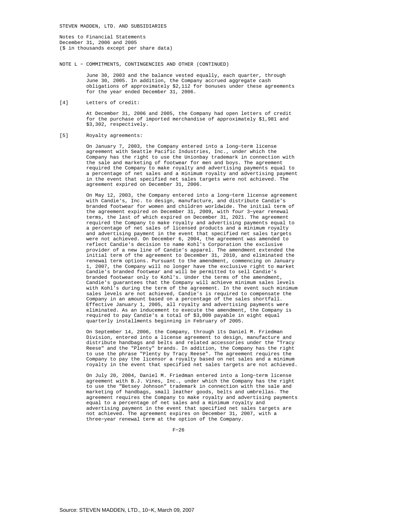### NOTE L − COMMITMENTS, CONTINGENCIES AND OTHER (CONTINUED)

 June 30, 2003 and the balance vested equally, each quarter, through June 30, 2005. In addition, the Company accrued aggregate cash obligations of approximately \$2,112 for bonuses under these agreements for the year ended December 31, 2006.

[4] Letters of credit:

 At December 31, 2006 and 2005, the Company had open letters of credit for the purchase of imported merchandise of approximately \$1,981 and \$3,302, respectively.

#### [5] Royalty agreements:

 On January 7, 2003, the Company entered into a long−term license agreement with Seattle Pacific Industries, Inc., under which the Company has the right to use the Unionbay trademark in connection with the sale and marketing of footwear for men and boys. The agreement required the Company to make royalty and advertising payments equal to a percentage of net sales and a minimum royalty and advertising payment in the event that specified net sales targets were not achieved. The agreement expired on December 31, 2006.

 On May 12, 2003, the Company entered into a long−term license agreement with Candie's, Inc. to design, manufacture, and distribute Candie's branded footwear for women and children worldwide. The initial term of the agreement expired on December 31, 2009, with four 3−year renewal terms, the last of which expired on December 31, 2021. The agreement required the Company to make royalty and advertising payments equal to a percentage of net sales of licensed products and a minimum royalty and advertising payment in the event that specified net sales targets were not achieved. On December 6, 2004, the agreement was amended to reflect Candie's decision to name Kohl's Corporation the exclusive provider of a new line of Candie's apparel. The amendment extended the initial term of the agreement to December 31, 2010, and eliminated the renewal term options. Pursuant to the amendment, commencing on January 1, 2007, the Company will no longer have the exclusive right to market Candie's branded footwear and will be permitted to sell Candie's branded footwear only to Kohl's. Under the terms of the amendment, Candie's guarantees that the Company will achieve minimum sales levels with Kohl's during the term of the agreement. In the event such minimum sales levels are not achieved, Candie's is required to compensate the Company in an amount based on a percentage of the sales shortfall. Effective January 1, 2005, all royalty and advertising payments were eliminated. As an inducement to execute the amendment, the Company is required to pay Candie's a total of \$3,000 payable in eight equal quarterly installments beginning in February of 2005.

 On September 14, 2006, the Company, through its Daniel M. Friedman Division, entered into a license agreement to design, manufacture and distribute handbags and belts and related accessories under the "Tracy Reese" and the "Plenty" brands. In addition, the Company has the right to use the phrase "Plenty by Tracy Reese". The agreement requires the Company to pay the licensor a royalty based on net sales and a minimum royalty in the event that specified net sales targets are not achieved.

 On July 20, 2004, Daniel M. Friedman entered into a long−term license agreement with B.J. Vines, Inc., under which the Company has the right to use the "Betsey Johnson" trademark in connection with the sale and marketing of handbags, small leather goods, belts and umbrellas. The agreement requires the Company to make royalty and advertising payments equal to a percentage of net sales and a minimum royalty and advertising payment in the event that specified net sales targets are not achieved. The agreement expires on December 31, 2007, with a three−year renewal term at the option of the Company.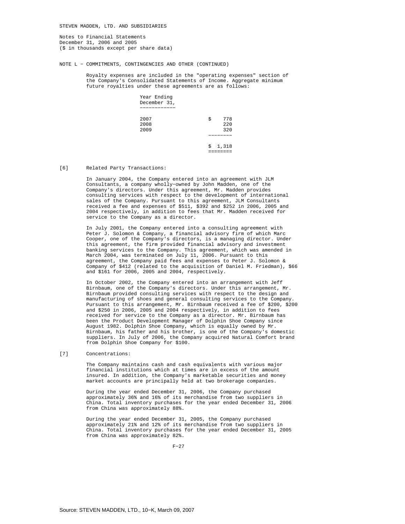# NOTE L − COMMITMENTS, CONTINGENCIES AND OTHER (CONTINUED)

 Royalty expenses are included in the "operating expenses" section of the Company's Consolidated Statements of Income. Aggregate minimum future royalties under these agreements are as follows:

| Year Ending<br>December 31, |    |       |
|-----------------------------|----|-------|
|                             |    |       |
| 2007                        | \$ | 778   |
| 2008                        |    | 220   |
| 2009                        |    | 320   |
|                             |    |       |
|                             | Ŝ  | 1,318 |
|                             |    |       |

# [6] Related Party Transactions:

 In January 2004, the Company entered into an agreement with JLM Consultants, a company wholly−owned by John Madden, one of the Company's directors. Under this agreement, Mr. Madden provides consulting services with respect to the development of international sales of the Company. Pursuant to this agreement, JLM Consultants received a fee and expenses of \$511, \$392 and \$252 in 2006, 2005 and 2004 respectively, in addition to fees that Mr. Madden received for service to the Company as a director.

 In July 2001, the Company entered into a consulting agreement with Peter J. Solomon & Company, a financial advisory firm of which Marc Cooper, one of the Company's directors, is a managing director. Under this agreement, the firm provided financial advisory and investment banking services to the Company. This agreement, which was amended in March 2004, was terminated on July 11, 2006. Pursuant to this agreement, the Company paid fees and expenses to Peter J. Solomon & Company of \$412 (related to the acquisition of Daniel M. Friedman), \$66 and \$161 for 2006, 2005 and 2004, respectively.

 In October 2002, the Company entered into an arrangement with Jeff Birnbaum, one of the Company's directors. Under this arrangement, Mr. Birnbaum provided consulting services with respect to the design and manufacturing of shoes and general consulting services to the Company. Pursuant to this arrangement, Mr. Birnbaum received a fee of \$200, \$200 and \$250 in 2006, 2005 and 2004 respectively, in addition to fees received for service to the Company as a director. Mr. Birnbaum has been the Product Development Manager of Dolphin Shoe Company since August 1982. Dolphin Shoe Company, which is equally owned by Mr. Birnbaum, his father and his brother, is one of the Company's domestic suppliers. In July of 2006, the Company acquired Natural Comfort brand from Dolphin Shoe Company for \$100.

# [7] Concentrations:

 The Company maintains cash and cash equivalents with various major financial institutions which at times are in excess of the amount insured. In addition, the Company's marketable securities and money market accounts are principally held at two brokerage companies.

 During the year ended December 31, 2006, the Company purchased approximately 36% and 16% of its merchandise from two suppliers in China. Total inventory purchases for the year ended December 31, 2006 from China was approximately 88%.

 During the year ended December 31, 2005, the Company purchased approximately 21% and 12% of its merchandise from two suppliers in China. Total inventory purchases for the year ended December 31, 2005 from China was approximately 82%.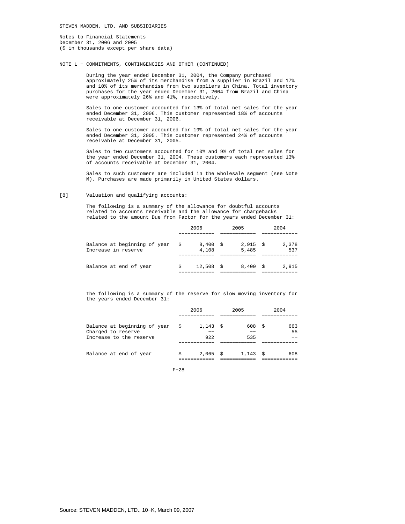# NOTE L − COMMITMENTS, CONTINGENCIES AND OTHER (CONTINUED)

 During the year ended December 31, 2004, the Company purchased approximately 25% of its merchandise from a supplier in Brazil and 17% and 10% of its merchandise from two suppliers in China. Total inventory purchases for the year ended December 31, 2004 from Brazil and China were approximately 26% and 41%, respectively.

 Sales to one customer accounted for 13% of total net sales for the year ended December 31, 2006. This customer represented 18% of accounts receivable at December 31, 2006.

 Sales to one customer accounted for 19% of total net sales for the year ended December 31, 2005. This customer represented 24% of accounts receivable at December 31, 2005.

 Sales to two customers accounted for 10% and 9% of total net sales for the year ended December 31, 2004. These customers each represented 13% of accounts receivable at December 31, 2004.

 Sales to such customers are included in the wholesale segment (see Note M). Purchases are made primarily in United States dollars.

# [8] Valuation and qualifying accounts:

 The following is a summary of the allowance for doubtful accounts related to accounts receivable and the allowance for chargebacks related to the amount Due from Factor for the years ended December 31:

|                                                     |      | 2006            |  | 2004                |              |
|-----------------------------------------------------|------|-----------------|--|---------------------|--------------|
|                                                     |      |                 |  |                     |              |
| Balance at beginning of year<br>Increase in reserve | - \$ | 8.400S<br>4,108 |  | $2,915$ \$<br>5,485 | 2,378<br>537 |
| Balance at end of year                              |      | $12,508$ \$     |  | 8,400S              | 2,915        |

 The following is a summary of the reserve for slow moving inventory for the years ended December 31:

|                                                                                  | 2006              | 2005        | 2004      |
|----------------------------------------------------------------------------------|-------------------|-------------|-----------|
| Balance at beginning of year \$<br>Charged to reserve<br>Increase to the reserve | $1,143$ \$<br>922 | 608S<br>535 | 663<br>55 |
| Balance at end of year                                                           | $2,065$ \$<br>Ŝ.  | 1,143 \$    | 608       |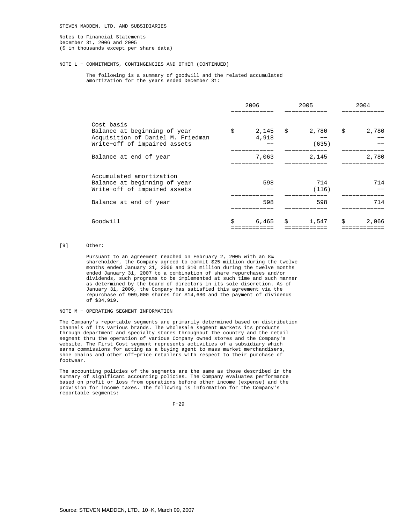### NOTE L − COMMITMENTS, CONTINGENCIES AND OTHER (CONTINUED)

 The following is a summary of goodwill and the related accumulated amortization for the years ended December 31:

|                                                                                                                 | 2006 |                     | 2005 |                |    | 2004  |  |
|-----------------------------------------------------------------------------------------------------------------|------|---------------------|------|----------------|----|-------|--|
| Cost basis<br>Balance at beginning of year<br>Acquisition of Daniel M. Friedman<br>Write-off of impaired assets | \$   | $2,145$ \$<br>4,918 |      | 2,780<br>(635) | \$ | 2,780 |  |
| Balance at end of year                                                                                          |      | 7,063               |      | 2,145          |    | 2,780 |  |
| Accumulated amortization<br>Balance at beginning of year<br>Write-off of impaired assets                        |      | 598                 |      | 714<br>(116)   |    | 714   |  |
| Balance at end of year                                                                                          |      | 598                 |      | 598            |    | 714   |  |
| Goodwill                                                                                                        | \$   | 6,465               | Ŝ.   | 1,547          | \$ | 2,066 |  |

# [9] Other:

 Pursuant to an agreement reached on February 2, 2005 with an 8% shareholder, the Company agreed to commit \$25 million during the twelve months ended January 31, 2006 and \$10 million during the twelve months ended January 31, 2007 to a combination of share repurchases and/or dividends, such programs to be implemented at such time and such manner as determined by the board of directors in its sole discretion. As of January 31, 2006, the Company has satisfied this agreement via the repurchase of 909,000 shares for \$14,680 and the payment of dividends of \$34,919.

# NOTE M − OPERATING SEGMENT INFORMATION

The Company's reportable segments are primarily determined based on distribution channels of its various brands. The wholesale segment markets its products through department and specialty stores throughout the country and the retail segment thru the operation of various Company owned stores and the Company's website. The First Cost segment represents activities of a subsidiary which earns commissions for acting as a buying agent to mass−market merchandisers, shoe chains and other off−price retailers with respect to their purchase of footwear.

The accounting policies of the segments are the same as those described in the summary of significant accounting policies. The Company evaluates performance based on profit or loss from operations before other income (expense) and the provision for income taxes. The following is information for the Company's reportable segments: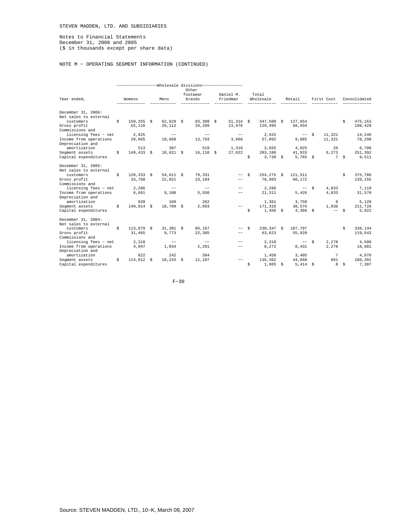#### Notes to Financial Statements December 31, 2006 and 2005

(\$ in thousands except per share data)

# NOTE M − OPERATING SEGMENT INFORMATION (CONTINUED)

|                                    |    | ------------------Wholesale divisions----------------- |             |      | Other<br>footwear |      | Daniel M.         |    | Total         |                   |            |                |              |
|------------------------------------|----|--------------------------------------------------------|-------------|------|-------------------|------|-------------------|----|---------------|-------------------|------------|----------------|--------------|
| Year ended,                        |    | Womens                                                 | Mens        |      | brands            |      | Friedman          |    | Wholesale     | Retail            | First Cost |                | Consolidated |
|                                    |    |                                                        |             |      |                   |      |                   |    |               |                   |            |                |              |
| December 31, 2006:                 |    |                                                        |             |      |                   |      |                   |    |               |                   |            |                |              |
| Net sales to external<br>customers | Ŝ  |                                                        | $62,629$ \$ |      | 83,309            |      | $51,316$ \$       |    | 347,509 \$    |                   |            |                | 475,163      |
| Gross profit                       |    | $150, 255$ \$<br>55,118                                | 26,112      |      | 34,289            | - \$ | 13,976            |    | 129,495       | 127,654<br>68,934 |            | Ŝ              | 198,429      |
| Commissions and                    |    |                                                        |             |      |                   |      |                   |    |               |                   |            |                |              |
| licensing fees - net               |    | 2,925                                                  | $- -$       |      | $\qquad \qquad -$ |      | $-\,-$            |    | 2,925         | -- \$             | 11,321     |                | 14,246       |
| Income from operations             |    | 28,665                                                 | 10,668      |      | 13,793            |      | 3,966             |    | 57,092        | 9,885             | 11,321     |                | 78,298       |
| Depreciation and                   |    |                                                        |             |      |                   |      |                   |    |               |                   |            |                |              |
| amortization                       |    | 513                                                    | 307         |      | 519               |      | 1,316             |    | 2,655         | 4,025             | 26         |                | 6,706        |
| Seqment assets                     | \$ | $149,433$ \$                                           | $10,621$ \$ |      | $16,110$ \$       |      | 27,022            |    | 203,186       | 41,933            | 6,273      |                | 251,392      |
| Capital expenditures               |    |                                                        |             |      |                   |      |                   | Ŝ  | $3,739$ \$    | $5,765$ \$        |            | 7 <sub>s</sub> | 9,511        |
|                                    |    |                                                        |             |      |                   |      |                   |    |               |                   |            |                |              |
| December 31, 2005:                 |    |                                                        |             |      |                   |      |                   |    |               |                   |            |                |              |
| Net sales to external              |    |                                                        |             |      |                   |      |                   |    |               |                   |            |                |              |
| customers                          | Ś  | $120,333$ \$                                           | $54,611$ \$ |      | 79,331            |      | $\qquad \qquad -$ | \$ | $254, 275$ \$ | 121,511           |            | \$             | 375,786      |
| Gross profit                       |    | 33,768                                                 | 22,021      |      | 23,194            |      | $\qquad \qquad -$ |    | 78,983        | 60,172            |            |                | 139,155      |
| Commissions and                    |    |                                                        |             |      |                   |      |                   |    |               |                   |            |                |              |
| licensing fees - net               |    | 2,286                                                  | $- -$       |      | $\qquad \qquad -$ |      |                   |    | 2,286         | -- \$             | 4,833      |                | 7,119        |
| Income from operations             |    | 6.661                                                  | 9,100       |      | 5,550             |      |                   |    | 21,311        | 5.426             | 4.833      |                | 31,570       |
| Depreciation and                   |    |                                                        |             |      |                   |      |                   |    |               |                   |            |                |              |
| amortization                       |    | 939                                                    | 160         |      | 262               |      |                   |    | 1,361         | 3,750             | 9          |                | 5,120        |
| Seqment assets                     | \$ | 149,914 \$                                             | $18,709$ \$ |      | 2,693             |      | $\qquad \qquad -$ |    | 171,316       | 38,576            | 1,836      |                | 211,728      |
| Capital expenditures               |    |                                                        |             |      |                   |      |                   | \$ | $1,456$ \$    | $4,366$ \$        | $--$       | -Ŝ             | 5,822        |
| December 31, 2004:                 |    |                                                        |             |      |                   |      |                   |    |               |                   |            |                |              |
| Net sales to external              |    |                                                        |             |      |                   |      |                   |    |               |                   |            |                |              |
| customers                          | Ŝ  | $113,879$ \$                                           | $31,301$ \$ |      | 85,167            |      | $\qquad \qquad -$ | Ŝ  | $230,347$ \$  | 107,797           |            | \$             | 338,144      |
| Gross profit                       |    | 31,465                                                 | 9,773       |      | 22,385            |      |                   |    | 63,623        | 55,920            |            |                | 119,543      |
| Commissions and                    |    |                                                        |             |      |                   |      |                   |    |               |                   |            |                |              |
| licensing fees - net               |    | 2,310                                                  | $- -$       |      | $\qquad \qquad -$ |      |                   |    | 2,310         | $- S$             | 2,278      |                | 4,588        |
| Income from operations             |    | 4,947                                                  | 1,034       |      | 2.291             |      | $\qquad \qquad -$ |    | 8,272         | 8,431             | 2,278      |                | 18,981       |
| Depreciation and                   |    |                                                        |             |      |                   |      |                   |    |               |                   |            |                |              |
| amortization                       |    | 822                                                    | 242         |      | 394               |      |                   |    | 1,458         | 3,405             | 7          |                | 4,870        |
| Seqment assets                     | \$ | $114,012 \quad$ \$                                     | 10,243      | - \$ | 11,107            |      | $\qquad \qquad -$ |    | 135,362       | 44,048            | 891        |                | 180,301      |
| Capital expenditures               |    |                                                        |             |      |                   |      |                   | \$ | $1,965$ \$    | $5,414$ \$        | 8          | - S            | 7,387        |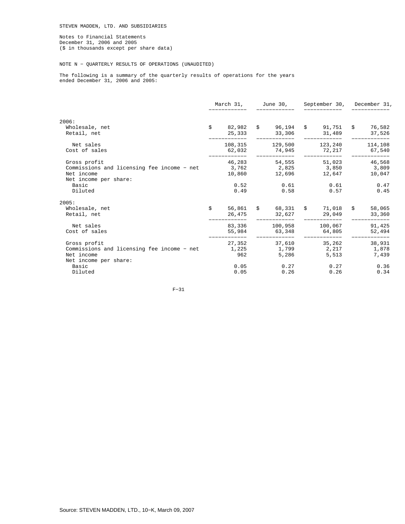STEVEN MADDEN, LTD. AND SUBSIDIARIES

Notes to Financial Statements December 31, 2006 and 2005 (\$ in thousands except per share data)

# NOTE N − QUARTERLY RESULTS OF OPERATIONS (UNAUDITED)

The following is a summary of the quarterly results of operations for the years ended December 31, 2006 and 2005:

|                                                                            |  |              |  |                      | March 31, June 30, September 30, December 31,<br>_____________ |  | <u>____________</u> __ |  |  |  |
|----------------------------------------------------------------------------|--|--------------|--|----------------------|----------------------------------------------------------------|--|------------------------|--|--|--|
| 2006:                                                                      |  |              |  |                      |                                                                |  |                        |  |  |  |
| Wholesale, net                                                             |  |              |  |                      | $$82,982 \quad $96,194 \quad $91,751$                          |  | \$76,582               |  |  |  |
| Retail, net                                                                |  |              |  |                      | 25,333 33,306 31,489 37,526                                    |  |                        |  |  |  |
| Net sales                                                                  |  | ----------   |  | ------------         | ------------<br>108,315 129,500 123,240 114,108                |  | ------------           |  |  |  |
| Cost of sales                                                              |  | ____________ |  | ____________         | 62,032 74,945 72,217 67,540<br>_____________                   |  | ____________           |  |  |  |
| Gross profit                                                               |  |              |  |                      | 46,283 54,555 51,023 46,568                                    |  |                        |  |  |  |
| Commissions and licensing fee income - net $3,762$ $2,825$ $3,850$ $3,809$ |  |              |  |                      |                                                                |  |                        |  |  |  |
| Net income<br>Net income per share:                                        |  |              |  |                      | 10,860 12,696 12,647 10,047                                    |  |                        |  |  |  |
| Basic                                                                      |  |              |  |                      | $0.52$ $0.61$ $0.61$ $0.47$                                    |  |                        |  |  |  |
| Diluted                                                                    |  |              |  |                      | $0.49$ $0.58$ $0.57$ $0.45$                                    |  |                        |  |  |  |
| 2005:                                                                      |  |              |  |                      |                                                                |  |                        |  |  |  |
| Wholesale, net                                                             |  |              |  |                      | $$56,861 \t$68,331 \t$71,018$                                  |  | \$58,065               |  |  |  |
| Retail, net                                                                |  |              |  |                      | 26,475 32,627 29,049 33,360<br>-------------                   |  |                        |  |  |  |
| Net sales                                                                  |  |              |  |                      | 83,336 100,958 100,067 91,425                                  |  |                        |  |  |  |
| Cost of sales                                                              |  |              |  | 55,984 63,348 64,805 |                                                                |  | 52,494                 |  |  |  |
| Gross profit                                                               |  |              |  |                      | 27,352 37,610 35,262 38,931                                    |  |                        |  |  |  |
| Commissions and licensing fee income - net $1,225$ $1,799$ $2,217$ $1,878$ |  |              |  |                      |                                                                |  |                        |  |  |  |
| Net income                                                                 |  |              |  |                      | 962 5,286 5,513 7,439                                          |  |                        |  |  |  |
| Net income per share:                                                      |  |              |  |                      |                                                                |  |                        |  |  |  |
| Basic                                                                      |  |              |  |                      | $0.05$ $0.27$ $0.27$ $0.36$                                    |  |                        |  |  |  |
| Diluted                                                                    |  | 0.05         |  |                      | $0.26$ $0.26$                                                  |  | 0.34                   |  |  |  |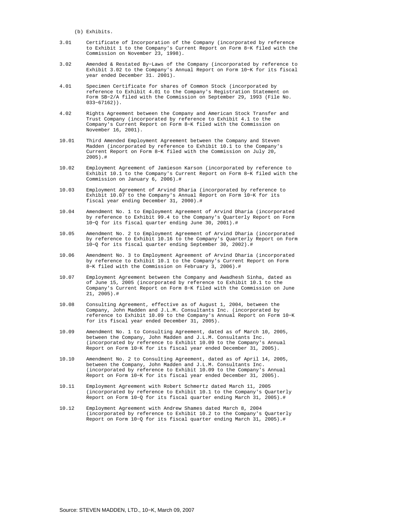- (b) Exhibits.
- 3.01 Certificate of Incorporation of the Company (incorporated by reference to Exhibit 1 to the Company's Current Report on Form 8−K filed with the Commission on November 23, 1998).
- 3.02 Amended & Restated By−Laws of the Company (incorporated by reference to Exhibit 3.02 to the Company's Annual Report on Form 10−K for its fiscal year ended December 31. 2001).
- 4.01 Specimen Certificate for shares of Common Stock (incorporated by reference to Exhibit 4.01 to the Company's Registration Statement on Form SB−2/A filed with the Commission on September 29, 1993 (File No. 033−67162)).
- 4.02 Rights Agreement between the Company and American Stock Transfer and Trust Company (incorporated by reference to Exhibit 4.1 to the Company's Current Report on Form 8−K filed with the Commission on November 16, 2001).
- 10.01 Third Amended Employment Agreement between the Company and Steven Madden (incorporated by reference to Exhibit 10.1 to the Company's Current Report on Form 8−K filed with the Commission on July 20, 2005).#
- 10.02 Employment Agreement of Jamieson Karson (incorporated by reference to Exhibit 10.1 to the Company's Current Report on Form 8−K filed with the Commission on January 6, 2006).#
- 10.03 Employment Agreement of Arvind Dharia (incorporated by reference to Exhibit 10.07 to the Company's Annual Report on Form 10−K for its fiscal year ending December 31, 2000).#
- 10.04 Amendment No. 1 to Employment Agreement of Arvind Dharia (incorporated by reference to Exhibit 99.4 to the Company's Quarterly Report on Form 10−Q for its fiscal quarter ending June 30, 2001).#
- 10.05 Amendment No. 2 to Employment Agreement of Arvind Dharia (incorporated by reference to Exhibit 10.16 to the Company's Quarterly Report on Form 10−Q for its fiscal quarter ending September 30, 2002).#
- 10.06 Amendment No. 3 to Employment Agreement of Arvind Dharia (incorporated by reference to Exhibit 10.1 to the Company's Current Report on Form 8−K filed with the Commission on February 3, 2006).#
- 10.07 Employment Agreement between the Company and Awadhesh Sinha, dated as of June 15, 2005 (incorporated by reference to Exhibit 10.1 to the Company's Current Report on Form 8−K filed with the Commission on June  $21, 2005$ ).#
- 10.08 Consulting Agreement, effective as of August 1, 2004, between the Company, John Madden and J.L.M. Consultants Inc. (incorporated by reference to Exhibit 10.09 to the Company's Annual Report on Form 10−K for its fiscal year ended December 31, 2005).
- 10.09 Amendment No. 1 to Consulting Agreement, dated as of March 10, 2005, between the Company, John Madden and J.L.M. Consultants Inc. (incorporated by reference to Exhibit 10.09 to the Company's Annual Report on Form 10−K for its fiscal year ended December 31, 2005).
- 10.10 Amendment No. 2 to Consulting Agreement, dated as of April 14, 2005, between the Company, John Madden and J.L.M. Consultants Inc. (incorporated by reference to Exhibit 10.09 to the Company's Annual Report on Form 10−K for its fiscal year ended December 31, 2005).
- 10.11 Employment Agreement with Robert Schmertz dated March 11, 2005 (incorporated by reference to Exhibit 10.1 to the Company's Quarterly Report on Form 10−Q for its fiscal quarter ending March 31, 2005).#
- 10.12 Employment Agreement with Andrew Shames dated March 8, 2004 (incorporated by reference to Exhibit 10.2 to the Company's Quarterly Report on Form 10−Q for its fiscal quarter ending March 31, 2005).#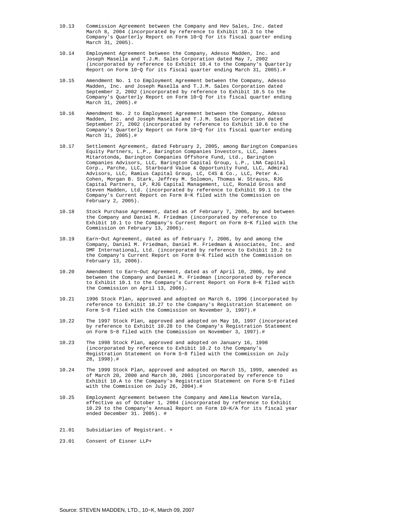- 10.13 Commission Agreement between the Company and Hev Sales, Inc. dated March 8, 2004 (incorporated by reference to Exhibit 10.3 to the Company's Quarterly Report on Form 10−Q for its fiscal quarter ending March 31, 2005).
- 10.14 Employment Agreement between the Company, Adesso Madden, Inc. and Joseph Masella and T.J.M. Sales Corporation dated May 7, 2002 (incorporated by reference to Exhibit 10.4 to the Company's Quarterly Report on Form 10−Q for its fiscal quarter ending March 31, 2005).#
- 10.15 Amendment No. 1 to Employment Agreement between the Company, Adesso Madden, Inc. and Joseph Masella and T.J.M. Sales Corporation dated September 2, 2002 (incorporated by reference to Exhibit 10.5 to the Company's Quarterly Report on Form 10−Q for its fiscal quarter ending March 31, 2005).#
- 10.16 Amendment No. 2 to Employment Agreement between the Company, Adesso Madden, Inc. and Joseph Masella and T.J.M. Sales Corporation dated September 27, 2002 (incorporated by reference to Exhibit 10.6 to the Company's Quarterly Report on Form 10−Q for its fiscal quarter ending March 31, 2005).#
- 10.17 Settlement Agreement, dated February 2, 2005, among Barington Companies Equity Partners, L.P., Barington Companies Investors, LLC, James Mitarotonda, Barington Companies Offshore Fund, Ltd., Barington Companies Advisors, LLC, Barington Capital Group, L.P., LNA Capital Corp., Parche, LLC, Starboard Value & Opportunity Fund, LLC, Admiral Advisors, LLC, Ramius Capital Group, LC, C4S & Co., LLC, Peter A. Cohen, Morgan B. Stark, Jeffrey M. Solomon, Thomas W. Strauss, RJG Capital Partners, LP, RJG Capital Management, LLC, Ronald Gross and Steven Madden, Ltd. (incorporated by reference to Exhibit 99.1 to the Company's Current Report on Form 8−K filed with the Commission on February 2, 2005).
- 10.18 Stock Purchase Agreement, dated as of February 7, 2006, by and between the Company and Daniel M. Friedman (incorporated by reference to Exhibit 10.1 to the Company's Current Report on Form 8−K filed with the Commission on February 13, 2006).
- 10.19 Earn−Out Agreement, dated as of February 7, 2006, by and among the Company, Daniel M. Friedman, Daniel M. Friedman & Associates, Inc. and DMF International, Ltd. (incorporated by reference to Exhibit 10.2 to the Company's Current Report on Form 8−K filed with the Commission on February 13, 2006).
- 10.20 Amendment to Earn−Out Agreement, dated as of April 10, 2006, by and between the Company and Daniel M. Friedman (incorporated by reference to Exhibit 10.1 to the Company's Current Report on Form 8−K filed with the Commission on April 13, 2006).
- 10.21 1996 Stock Plan, approved and adopted on March 6, 1996 (incorporated by reference to Exhibit 10.27 to the Company's Registration Statement on Form S−8 filed with the Commission on November 3, 1997).#
- 10.22 The 1997 Stock Plan, approved and adopted on May 10, 1997 (incorporated by reference to Exhibit 10.28 to the Company's Registration Statement on Form S−8 filed with the Commission on November 3, 1997).#
- 10.23 The 1998 Stock Plan, approved and adopted on January 16, 1998 (incorporated by reference to Exhibit 10.2 to the Company's Registration Statement on Form S−8 filed with the Commission on July 28, 1998).#
- 10.24 The 1999 Stock Plan, approved and adopted on March 15, 1999, amended as of March 20, 2000 and March 30, 2001 (incorporated by reference to Exhibit 10.A to the Company's Registration Statement on Form S−8 filed with the Commission on July 26, 2004).#
- 10.25 Employment Agreement between the Company and Amelia Newton Varela, effective as of October 1, 2004 (incorporated by reference to Exhibit 10.29 to the Company's Annual Report on Form 10−K/A for its fiscal year ended December 31. 2005). #
- 21.01 Subsidiaries of Registrant. +
- 23.01 Consent of Eisner LLP+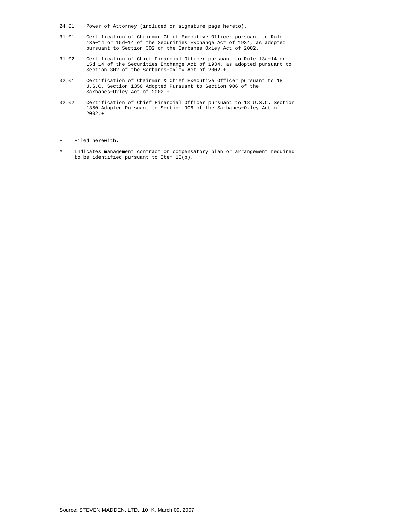- 24.01 Power of Attorney (included on signature page hereto).
- 31.01 Certification of Chairman Chief Executive Officer pursuant to Rule 13a−14 or 15d−14 of the Securities Exchange Act of 1934, as adopted pursuant to Section 302 of the Sarbanes−Oxley Act of 2002.+
- 31.02 Certification of Chief Financial Officer pursuant to Rule 13a−14 or 15d−14 of the Securities Exchange Act of 1934, as adopted pursuant to Section 302 of the Sarbanes−Oxley Act of 2002.+
- 32.01 Certification of Chairman & Chief Executive Officer pursuant to 18 U.S.C. Section 1350 Adopted Pursuant to Section 906 of the Sarbanes−Oxley Act of 2002.+
- 32.02 Certification of Chief Financial Officer pursuant to 18 U.S.C. Section 1350 Adopted Pursuant to Section 906 of the Sarbanes−Oxley Act of 2002.+

−−−−−−−−−−−−−−−−−−−−−−−−−−

- + Filed herewith.
- # Indicates management contract or compensatory plan or arrangement required to be identified pursuant to Item 15(b).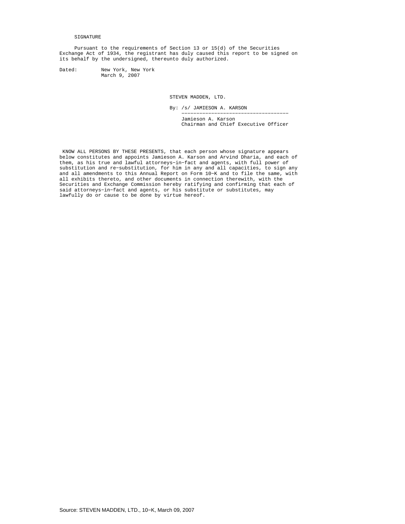# SIGNATURE

 Pursuant to the requirements of Section 13 or 15(d) of the Securities Exchange Act of 1934, the registrant has duly caused this report to be signed on its behalf by the undersigned, thereunto duly authorized.

Dated: New York, New York March 9, 2007

STEVEN MADDEN, LTD.

By: /s/ JAMIESON A. KARSON

 −−−−−−−−−−−−−−−−−−−−−−−−−−−−−−−−−−−− Jamieson A. Karson Chairman and Chief Executive Officer

 KNOW ALL PERSONS BY THESE PRESENTS, that each person whose signature appears below constitutes and appoints Jamieson A. Karson and Arvind Dharia, and each of them, as his true and lawful attorneys−in−fact and agents, with full power of substitution and re−substitution, for him in any and all capacities, to sign any and all amendments to this Annual Report on Form 10−K and to file the same, with all exhibits thereto, and other documents in connection therewith, with the Securities and Exchange Commission hereby ratifying and confirming that each of said attorneys−in−fact and agents, or his substitute or substitutes, may lawfully do or cause to be done by virtue hereof.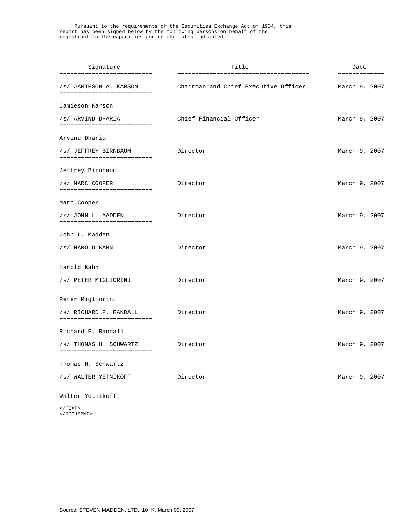Pursuant to the requirements of the Securities Exchange Act of 1934, this report has been signed below by the following persons on behalf of the registrant in the capacities and on the dates indicated.

| Signature<br>. <u>.</u>                                       | Title<br>----------------            | Date          |  |  |  |  |  |  |
|---------------------------------------------------------------|--------------------------------------|---------------|--|--|--|--|--|--|
| /s/ JAMIESON A. KARSON<br>------------------------            | Chairman and Chief Executive Officer | March 9, 2007 |  |  |  |  |  |  |
| Jamieson Karson                                               |                                      |               |  |  |  |  |  |  |
| /s/ ARVIND DHARIA<br>-------------------------                | Chief Financial Officer              | March 9, 2007 |  |  |  |  |  |  |
| Arvind Dharia                                                 |                                      |               |  |  |  |  |  |  |
| /s/ JEFFREY BIRNBAUM<br>--------------------------            | Director                             | March 9, 2007 |  |  |  |  |  |  |
| Jeffrey Birnbaum                                              |                                      |               |  |  |  |  |  |  |
| /s/ MARC COOPER<br>____________________________               | Director                             | March 9, 2007 |  |  |  |  |  |  |
| Marc Cooper                                                   |                                      |               |  |  |  |  |  |  |
| /s/ JOHN L. MADDEN<br>____________________________            | Director                             | March 9, 2007 |  |  |  |  |  |  |
| John L. Madden                                                |                                      |               |  |  |  |  |  |  |
| /s/ HAROLD KAHN<br>---------------------------                | Director                             | March 9, 2007 |  |  |  |  |  |  |
| Harold Kahn                                                   |                                      |               |  |  |  |  |  |  |
| /s/ PETER MIGLIORINI                                          | Director                             | March 9, 2007 |  |  |  |  |  |  |
| Peter Migliorini                                              |                                      |               |  |  |  |  |  |  |
| /s/ RICHARD P. RANDALL<br>---------------------------         | Director                             | March 9, 2007 |  |  |  |  |  |  |
| Richard P. Randall                                            |                                      |               |  |  |  |  |  |  |
| /s/ THOMAS H. SCHWARTZ<br>. _ _ _ _ _ _ _ _ _ _ _ _ _ _ _ _ _ | Director                             | March 9, 2007 |  |  |  |  |  |  |
| Thomas H. Schwartz                                            |                                      |               |  |  |  |  |  |  |
| /s/ WALTER YETNIKOFF<br>-------------------                   | Director                             | March 9, 2007 |  |  |  |  |  |  |
| Walter Yetnikoff                                              |                                      |               |  |  |  |  |  |  |
| $<$ /TEXT><br>                                                |                                      |               |  |  |  |  |  |  |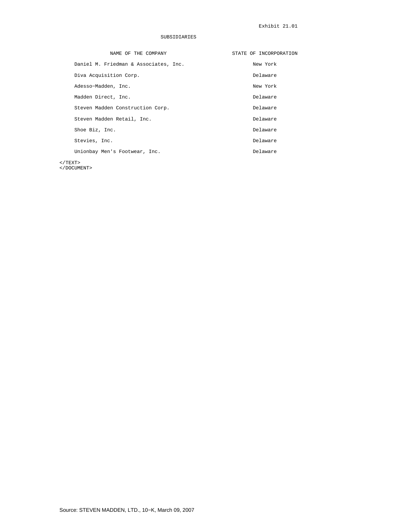# SUBSIDIARIES

| NAME OF THE COMPANY                   | STATE OF INCORPORATION |
|---------------------------------------|------------------------|
| Daniel M. Friedman & Associates, Inc. | New York               |
| Diva Acquisition Corp.                | Delaware               |
| Adesso-Madden, Inc.                   | New York               |
| Madden Direct, Inc.                   | Delaware               |
| Steven Madden Construction Corp.      | Delaware               |
| Steven Madden Retail, Inc.            | Delaware               |
| Shoe Biz, Inc.                        | Delaware               |
| Stevies, Inc.                         | Delaware               |
| Unionbay Men's Footwear, Inc.         | Delaware               |
|                                       |                        |

 $<$ /TEXT>

</DOCUMENT>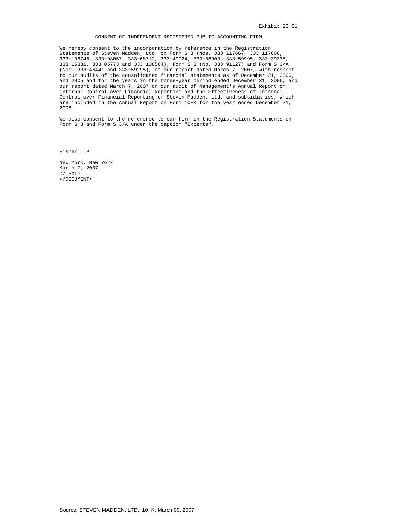## CONSENT OF INDEPENDENT REGISTERED PUBLIC ACCOUNTING FIRM

We hereby consent to the incorporation by reference in the Registration Statements of Steven Madden, Ltd. on Form S−8 (Nos. 333−117667, 333−117666, 333−106746, 333−98067, 333−68712, 333−40924, 333−86903, 333−59995, 333−39335, 333−16381, 333−05773 and 333−138584), Form S−3 (No. 333−91127) and Form S−3/A (Nos. 333−46441 and 333−59295), of our report dated March 7, 2007, with respect to our audits of the consolidated financial statements as of December 31, 2006, and 2005 and for the years in the three−year period ended December 31, 2006, and our report dated March 7, 2007 on our audit of Management's Annual Report on Internal Control over Financial Reporting and the Effectiveness of Internal Control over Financial Reporting of Steven Madden, Ltd. and subsidiaries, which are included in the Annual Report on Form 10−K for the year ended December 31, 2006.

We also consent to the reference to our firm in the Registration Statements on Form S−3 and Form S−3/A under the caption "Experts".

Eisner LLP

New York, New York March 7, 2007  $\langle$ /TEXT $\rangle$ </DOCUMENT>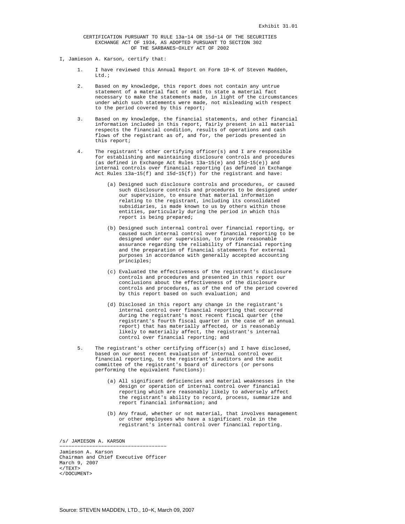CERTIFICATION PURSUANT TO RULE 13a−14 OR 15d−14 OF THE SECURITIES EXCHANGE ACT OF 1934, AS ADOPTED PURSUANT TO SECTION 302 OF THE SARBANES−OXLEY ACT OF 2002

- I, Jamieson A. Karson, certify that:
	- 1. I have reviewed this Annual Report on Form 10−K of Steven Madden, Ltd.;
	- 2. Based on my knowledge, this report does not contain any untrue statement of a material fact or omit to state a material fact necessary to make the statements made, in light of the circumstances under which such statements were made, not misleading with respect to the period covered by this report;
	- 3. Based on my knowledge, the financial statements, and other financial information included in this report, fairly present in all material respects the financial condition, results of operations and cash flows of the registrant as of, and for, the periods presented in this report;
	- 4. The registrant's other certifying officer(s) and I are responsible for establishing and maintaining disclosure controls and procedures (as defined in Exchange Act Rules 13a−15(e) and 15d−15(e)) and internal controls over financial reporting (as defined in Exchange Act Rules 13a−15(f) and 15d−15(f)) for the registrant and have:
		- (a) Designed such disclosure controls and procedures, or caused such disclosure controls and procedures to be designed under our supervision, to ensure that material information relating to the registrant, including its consolidated subsidiaries, is made known to us by others within those entities, particularly during the period in which this report is being prepared;
		- (b) Designed such internal control over financial reporting, or caused such internal control over financial reporting to be designed under our supervision, to provide reasonable assurance regarding the reliability of financial reporting and the preparation of financial statements for external purposes in accordance with generally accepted accounting principles;
		- (c) Evaluated the effectiveness of the registrant's disclosure controls and procedures and presented in this report our conclusions about the effectiveness of the disclosure controls and procedures, as of the end of the period covered by this report based on such evaluation; and
		- (d) Disclosed in this report any change in the registrant's internal control over financial reporting that occurred during the registrant's most recent fiscal quarter (the registrant's fourth fiscal quarter in the case of an annual report) that has materially affected, or is reasonably likely to materially affect, the registrant's internal control over financial reporting; and
	- 5. The registrant's other certifying officer(s) and I have disclosed, based on our most recent evaluation of internal control over financial reporting, to the registrant's auditors and the audit committee of the registrant's board of directors (or persons performing the equivalent functions):
		- (a) All significant deficiencies and material weaknesses in the design or operation of internal control over financial reporting which are reasonably likely to adversely affect the registrant's ability to record, process, summarize and report financial information; and
		- (b) Any fraud, whether or not material, that involves management or other employees who have a significant role in the registrant's internal control over financial reporting.

/s/ JAMIESON A. KARSON

Jamieson A. Karson Chairman and Chief Executive Officer March 9, 2007  $\langle$ /TEXT> </DOCUMENT>

−−−−−−−−−−−−−−−−−−−−−−−−−−−−−−−−−−−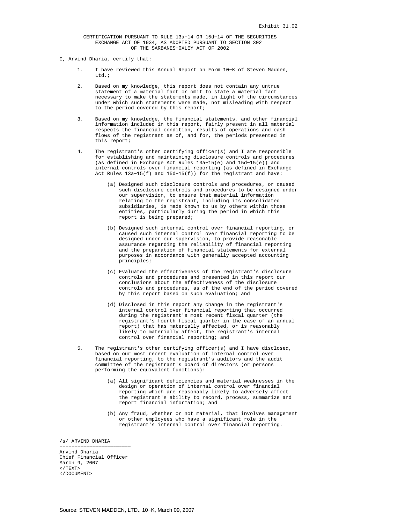CERTIFICATION PURSUANT TO RULE 13a−14 OR 15d−14 OF THE SECURITIES EXCHANGE ACT OF 1934, AS ADOPTED PURSUANT TO SECTION 302 OF THE SARBANES−OXLEY ACT OF 2002

I, Arvind Dharia, certify that:

- 1. I have reviewed this Annual Report on Form 10−K of Steven Madden, Ltd.;
- 2. Based on my knowledge, this report does not contain any untrue statement of a material fact or omit to state a material fact necessary to make the statements made, in light of the circumstances under which such statements were made, not misleading with respect to the period covered by this report;
- 3. Based on my knowledge, the financial statements, and other financial information included in this report, fairly present in all material respects the financial condition, results of operations and cash flows of the registrant as of, and for, the periods presented in this report;
- 4. The registrant's other certifying officer(s) and I are responsible for establishing and maintaining disclosure controls and procedures (as defined in Exchange Act Rules 13a−15(e) and 15d−15(e)) and internal controls over financial reporting (as defined in Exchange Act Rules 13a−15(f) and 15d−15(f)) for the registrant and have:
	- (a) Designed such disclosure controls and procedures, or caused such disclosure controls and procedures to be designed under our supervision, to ensure that material information relating to the registrant, including its consolidated subsidiaries, is made known to us by others within those entities, particularly during the period in which this report is being prepared;
	- (b) Designed such internal control over financial reporting, or caused such internal control over financial reporting to be designed under our supervision, to provide reasonable assurance regarding the reliability of financial reporting and the preparation of financial statements for external purposes in accordance with generally accepted accounting principles;
	- (c) Evaluated the effectiveness of the registrant's disclosure controls and procedures and presented in this report our conclusions about the effectiveness of the disclosure controls and procedures, as of the end of the period covered by this report based on such evaluation; and
	- (d) Disclosed in this report any change in the registrant's internal control over financial reporting that occurred during the registrant's most recent fiscal quarter (the registrant's fourth fiscal quarter in the case of an annual report) that has materially affected, or is reasonably likely to materially affect, the registrant's internal control over financial reporting; and
- 5. The registrant's other certifying officer(s) and I have disclosed, based on our most recent evaluation of internal control over financial reporting, to the registrant's auditors and the audit committee of the registrant's board of directors (or persons performing the equivalent functions):
	- (a) All significant deficiencies and material weaknesses in the design or operation of internal control over financial reporting which are reasonably likely to adversely affect the registrant's ability to record, process, summarize and report financial information; and
	- (b) Any fraud, whether or not material, that involves management or other employees who have a significant role in the registrant's internal control over financial reporting.

/s/ ARVIND DHARIA

Arvind Dharia Chief Financial Officer March 9, 2007  $\langle$ /TEXT> </DOCUMENT>

−−−−−−−−−−−−−−−−−−−−−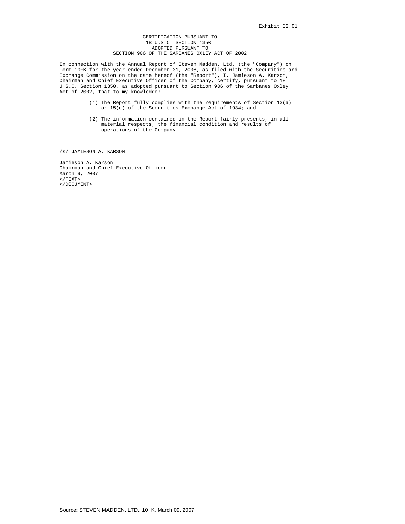## CERTIFICATION PURSUANT TO 18 U.S.C. SECTION 1350 ADOPTED PURSUANT TO SECTION 906 OF THE SARBANES−OXLEY ACT OF 2002

In connection with the Annual Report of Steven Madden, Ltd. (the "Company") on Form 10−K for the year ended December 31, 2006, as filed with the Securities and Exchange Commission on the date hereof (the "Report"), I, Jamieson A. Karson, Chairman and Chief Executive Officer of the Company, certify, pursuant to 18 U.S.C. Section 1350, as adopted pursuant to Section 906 of the Sarbanes−Oxley Act of 2002, that to my knowledge:

- (1) The Report fully complies with the requirements of Section 13(a) or 15(d) of the Securities Exchange Act of 1934; and
- (2) The information contained in the Report fairly presents, in all material respects, the financial condition and results of operations of the Company.

/s/ JAMIESON A. KARSON

−−−−−−−−−−−−−−−−−−−−− Jamieson A. Karson Chairman and Chief Executive Officer March 9, 2007  $<$ /TEXT> </DOCUMENT>